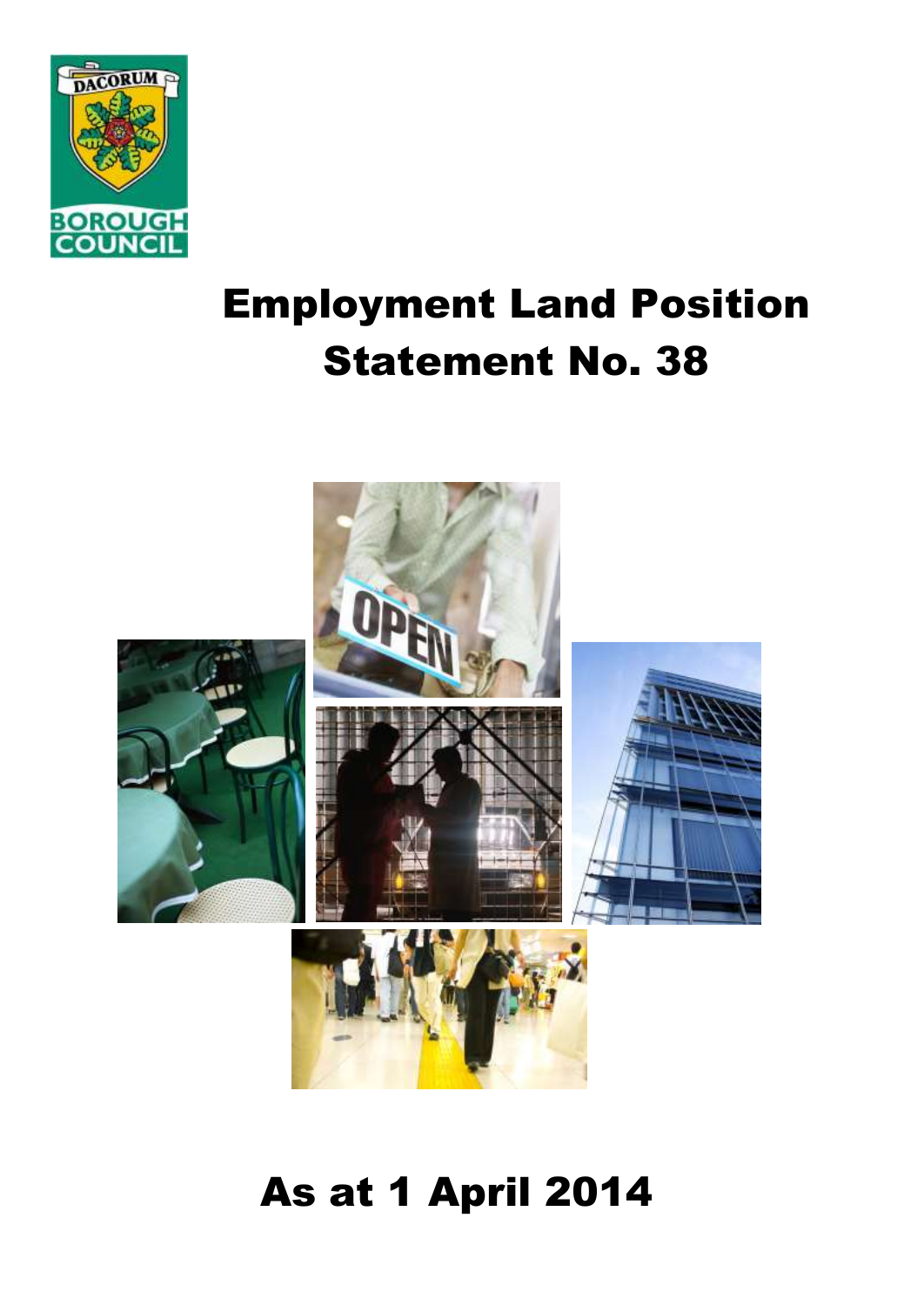

# Employment Land Position Statement No. 38



# As at 1 April 2014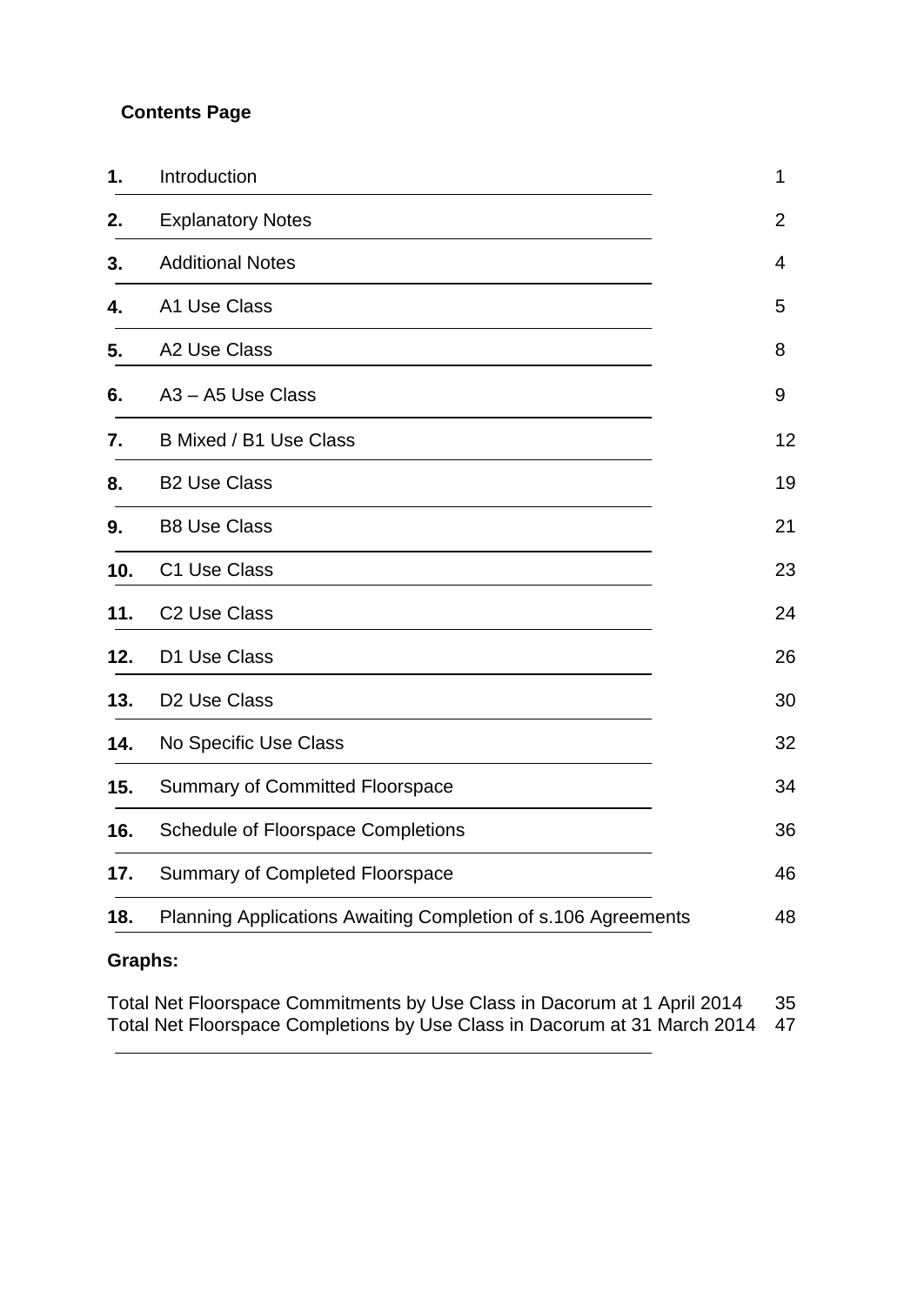#### **Contents Page**

| 1.  | Introduction                                                  | 1              |
|-----|---------------------------------------------------------------|----------------|
| 2.  | <b>Explanatory Notes</b>                                      | $\overline{2}$ |
| 3.  | <b>Additional Notes</b>                                       | 4              |
| 4.  | A1 Use Class                                                  | 5              |
| 5.  | A2 Use Class                                                  | 8              |
| 6.  | A3 - A5 Use Class                                             | 9              |
| 7.  | B Mixed / B1 Use Class                                        | 12             |
| 8.  | <b>B2 Use Class</b>                                           | 19             |
| 9.  | <b>B8 Use Class</b>                                           | 21             |
| 10. | C1 Use Class                                                  | 23             |
| 11. | C <sub>2</sub> Use Class                                      | 24             |
| 12. | D1 Use Class                                                  | 26             |
| 13. | D <sub>2</sub> Use Class                                      | 30             |
| 14. | No Specific Use Class                                         | 32             |
| 15. | <b>Summary of Committed Floorspace</b>                        | 34             |
| 16. | <b>Schedule of Floorspace Completions</b>                     | 36             |
| 17. | Summary of Completed Floorspace                               | 46             |
| 18. | Planning Applications Awaiting Completion of s.106 Agreements | 48             |

# **Graphs:**

Total Net Floorspace Commitments by Use Class in Dacorum at 1 April 2014 35 Total Net Floorspace Completions by Use Class in Dacorum at 31 March 2014 47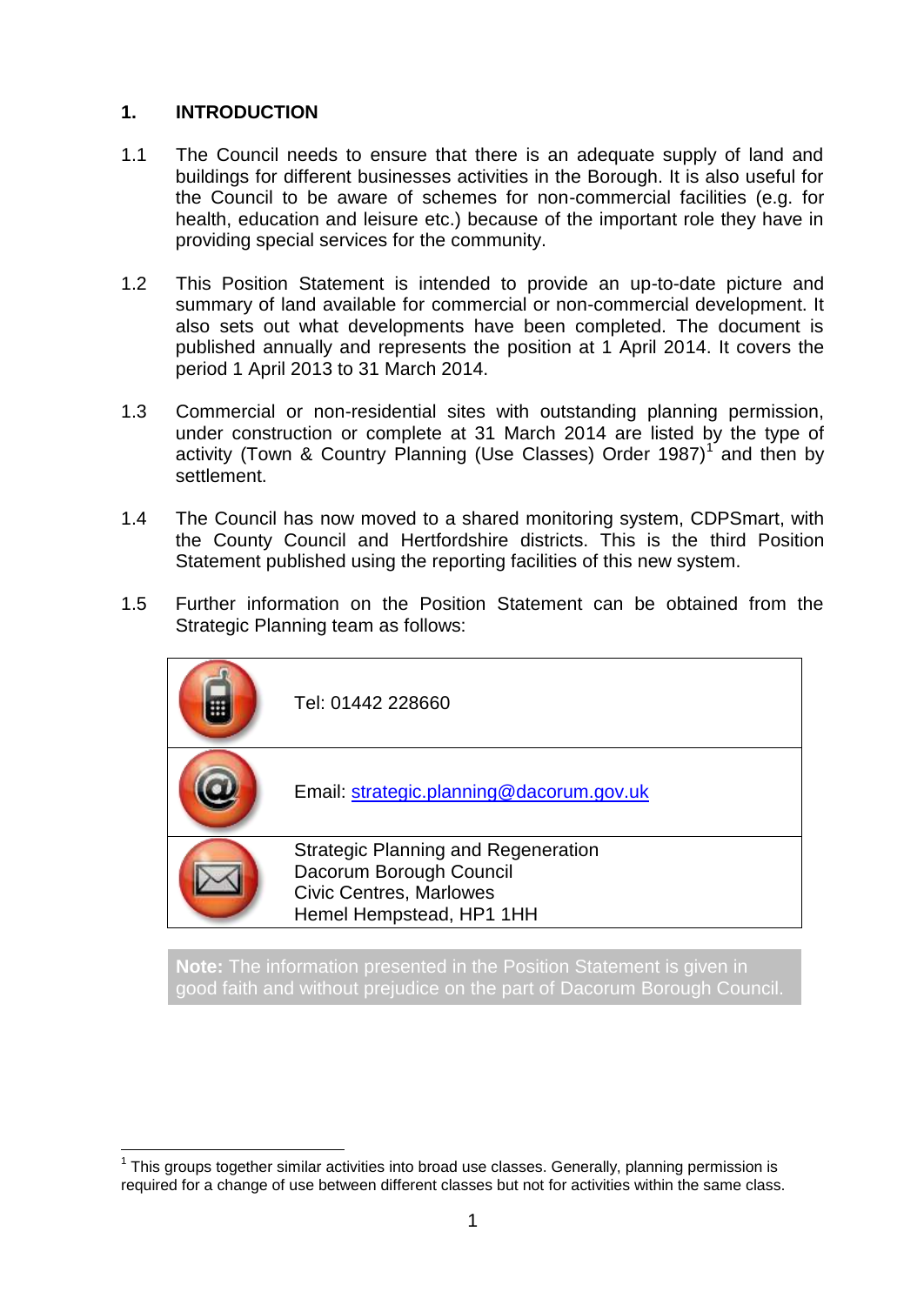#### **1. INTRODUCTION**

- 1.1 The Council needs to ensure that there is an adequate supply of land and buildings for different businesses activities in the Borough. It is also useful for the Council to be aware of schemes for non-commercial facilities (e.g. for health, education and leisure etc.) because of the important role they have in providing special services for the community.
- 1.2 This Position Statement is intended to provide an up-to-date picture and summary of land available for commercial or non-commercial development. It also sets out what developments have been completed. The document is published annually and represents the position at 1 April 2014. It covers the period 1 April 2013 to 31 March 2014.
- 1.3 Commercial or non-residential sites with outstanding planning permission, under construction or complete at 31 March 2014 are listed by the type of activity (Town & Country Planning (Use Classes) Order 1987)<sup>1</sup> and then by settlement.
- 1.4 The Council has now moved to a shared monitoring system, CDPSmart, with the County Council and Hertfordshire districts. This is the third Position Statement published using the reporting facilities of this new system.
- 1.5 Further information on the Position Statement can be obtained from the Strategic Planning team as follows:



**Note:** The information presented in the Position Statement is given in good faith and without prejudice on the part of Dacorum Borough Council.

<sup>1</sup>  $1$  This groups together similar activities into broad use classes. Generally, planning permission is required for a change of use between different classes but not for activities within the same class.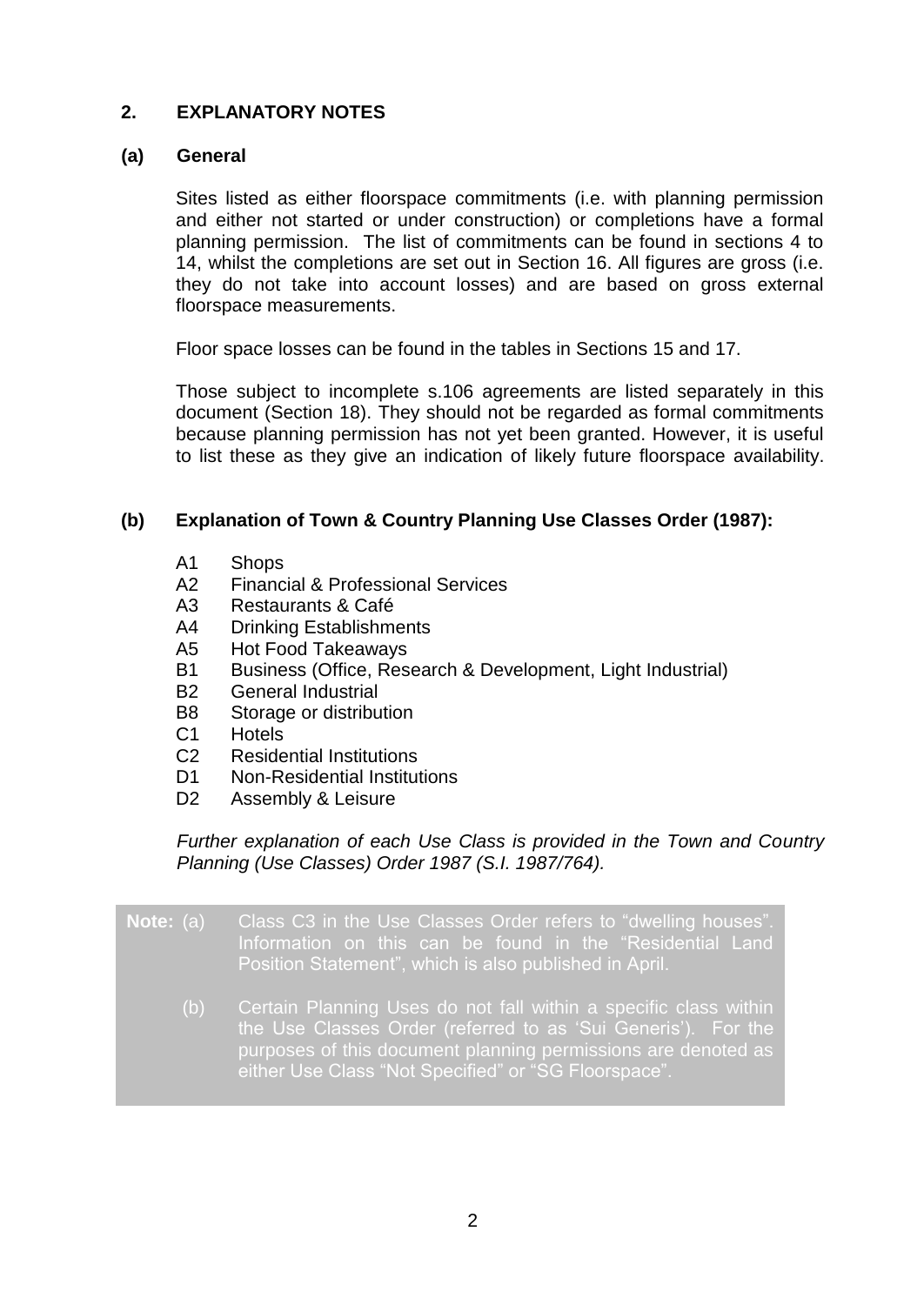#### **2. EXPLANATORY NOTES**

#### **(a) General**

Sites listed as either floorspace commitments (i.e. with planning permission and either not started or under construction) or completions have a formal planning permission. The list of commitments can be found in sections 4 to 14, whilst the completions are set out in Section 16. All figures are gross (i.e. they do not take into account losses) and are based on gross external floorspace measurements.

Floor space losses can be found in the tables in Sections 15 and 17.

Those subject to incomplete s.106 agreements are listed separately in this document (Section 18). They should not be regarded as formal commitments because planning permission has not yet been granted. However, it is useful to list these as they give an indication of likely future floorspace availability.

#### **(b) Explanation of Town & Country Planning Use Classes Order (1987):**

- A1 Shops
- A2 Financial & Professional Services
- A3 Restaurants & Café
- A4 Drinking Establishments
- A5 Hot Food Takeaways
- B1 Business (Office, Research & Development, Light Industrial)
- B2 General Industrial
- B8 Storage or distribution
- C1 Hotels
- C2 Residential Institutions
- D1 Non-Residential Institutions
- D2 Assembly & Leisure

#### *Further explanation of each Use Class is provided in the Town and Country Planning (Use Classes) Order 1987 (S.I. 1987/764).*

| <b>Note:</b> (a) | Class C3 in the Use Classes Order refers to "dwelling houses".<br>Information on this can be found in the "Residential Land<br>Position Statement", which is also published in April.                                                                      |
|------------------|------------------------------------------------------------------------------------------------------------------------------------------------------------------------------------------------------------------------------------------------------------|
| (b)              | Certain Planning Uses do not fall within a specific class within<br>the Use Classes Order (referred to as 'Sui Generis'). For the<br>purposes of this document planning permissions are denoted as<br>either Use Class "Not Specified" or "SG Floorspace". |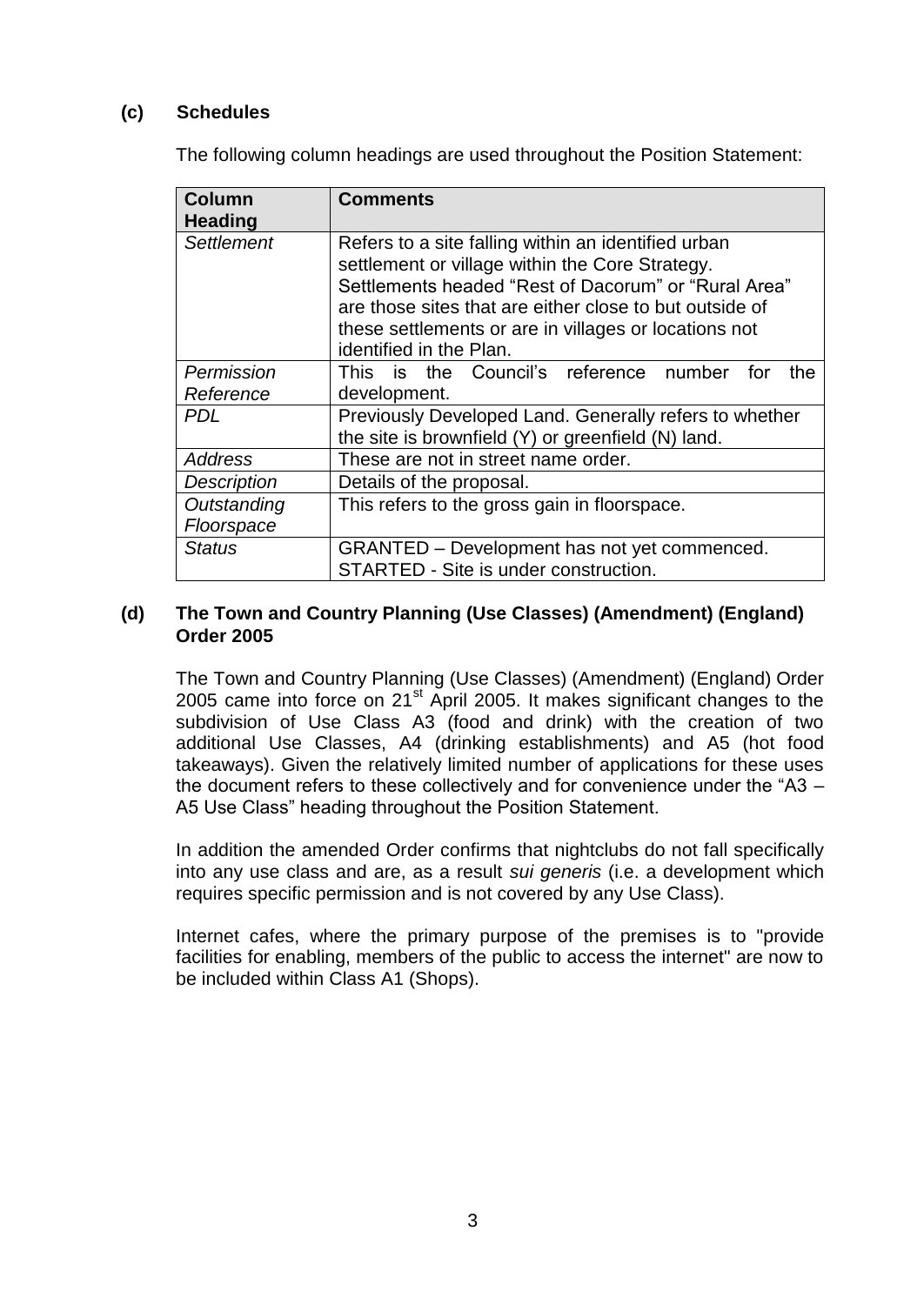#### **(c) Schedules**

The following column headings are used throughout the Position Statement:

| <b>Column</b><br><b>Heading</b> | <b>Comments</b>                                                                                                                                                                                                                                                                                               |
|---------------------------------|---------------------------------------------------------------------------------------------------------------------------------------------------------------------------------------------------------------------------------------------------------------------------------------------------------------|
| Settlement                      | Refers to a site falling within an identified urban<br>settlement or village within the Core Strategy.<br>Settlements headed "Rest of Dacorum" or "Rural Area"<br>are those sites that are either close to but outside of<br>these settlements or are in villages or locations not<br>identified in the Plan. |
| Permission                      | This is the Council's reference number<br>for<br>the                                                                                                                                                                                                                                                          |
| Reference                       | development.                                                                                                                                                                                                                                                                                                  |
| <b>PDL</b>                      | Previously Developed Land. Generally refers to whether<br>the site is brownfield (Y) or greenfield (N) land.                                                                                                                                                                                                  |
| <b>Address</b>                  | These are not in street name order.                                                                                                                                                                                                                                                                           |
| <b>Description</b>              | Details of the proposal.                                                                                                                                                                                                                                                                                      |
| Outstanding                     | This refers to the gross gain in floorspace.                                                                                                                                                                                                                                                                  |
| Floorspace                      |                                                                                                                                                                                                                                                                                                               |
| <b>Status</b>                   | GRANTED – Development has not yet commenced.<br>STARTED - Site is under construction.                                                                                                                                                                                                                         |

#### **(d) The Town and Country Planning (Use Classes) (Amendment) (England) Order 2005**

The Town and Country Planning (Use Classes) (Amendment) (England) Order 2005 came into force on 21 $^{\rm st}$  April 2005. It makes significant changes to the subdivision of Use Class A3 (food and drink) with the creation of two additional Use Classes, A4 (drinking establishments) and A5 (hot food takeaways). Given the relatively limited number of applications for these uses the document refers to these collectively and for convenience under the "A3 – A5 Use Class" heading throughout the Position Statement.

In addition the amended Order confirms that nightclubs do not fall specifically into any use class and are, as a result *sui generis* (i.e. a development which requires specific permission and is not covered by any Use Class).

Internet cafes, where the primary purpose of the premises is to "provide facilities for enabling, members of the public to access the internet" are now to be included within Class A1 (Shops).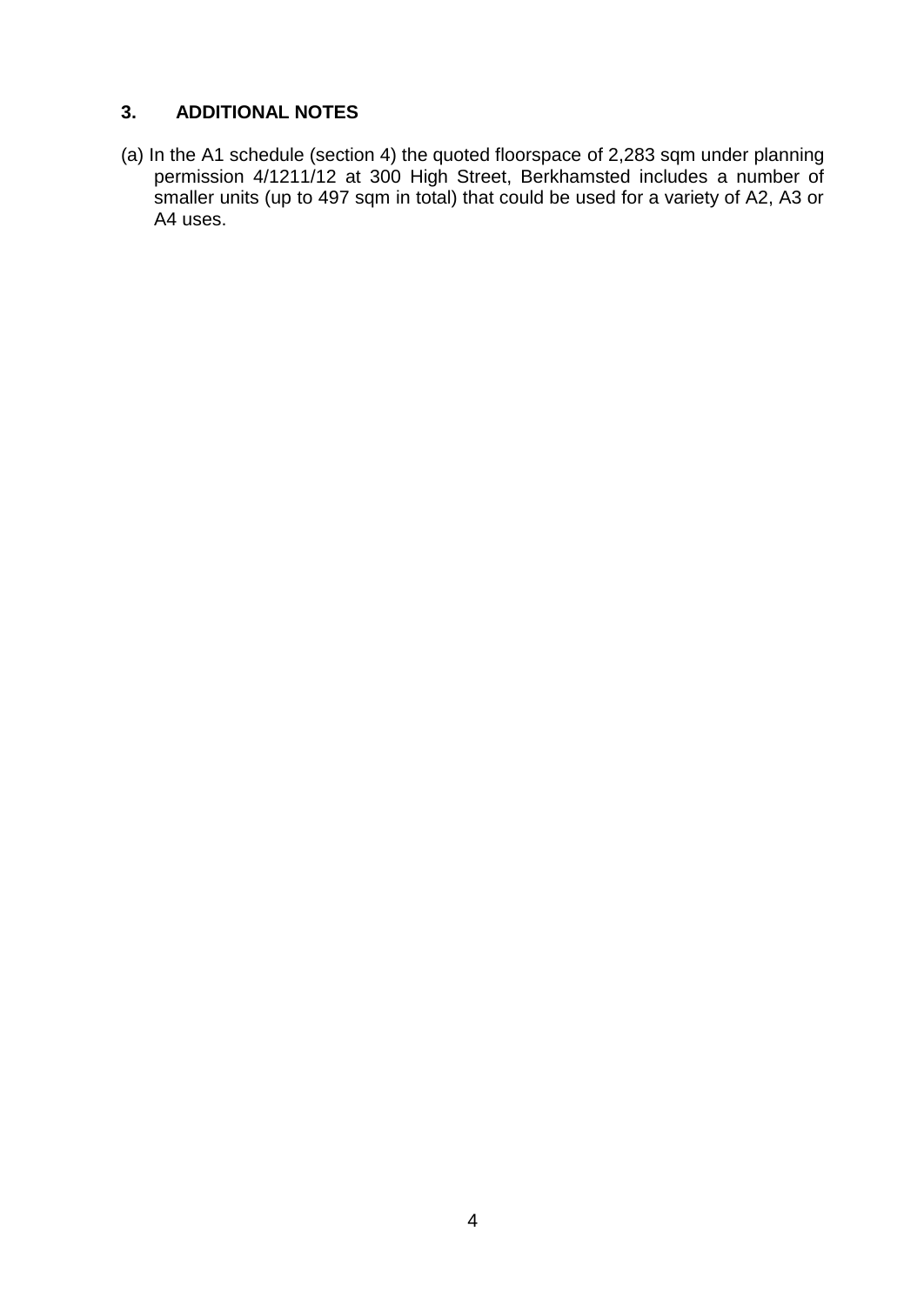#### **3. ADDITIONAL NOTES**

(a) In the A1 schedule (section 4) the quoted floorspace of 2,283 sqm under planning permission 4/1211/12 at 300 High Street, Berkhamsted includes a number of smaller units (up to 497 sqm in total) that could be used for a variety of A2, A3 or A4 uses.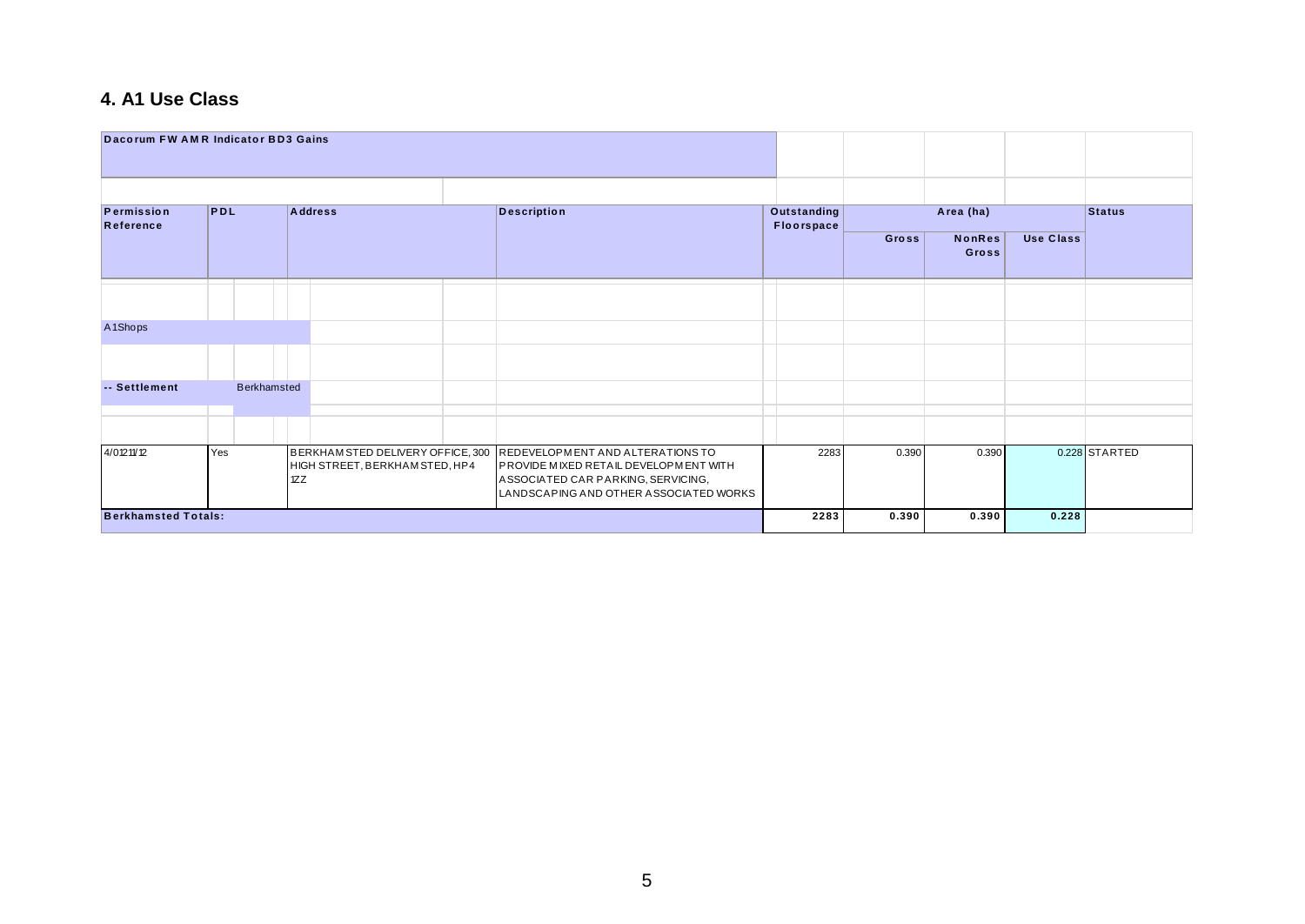# 4. A1 Use Class

| Dacorum FW AMR Indicator BD3 Gains |     |  |             |     |                                                                     |                                                                                                                                                                  |                           |                               |                  |       |               |
|------------------------------------|-----|--|-------------|-----|---------------------------------------------------------------------|------------------------------------------------------------------------------------------------------------------------------------------------------------------|---------------------------|-------------------------------|------------------|-------|---------------|
| Permission<br>Reference            | PDL |  |             |     | <b>Address</b>                                                      | <b>Description</b>                                                                                                                                               | Outstanding<br>Floorspace |                               | Area (ha)        |       | <b>Status</b> |
|                                    |     |  |             |     |                                                                     |                                                                                                                                                                  | Gross                     | <b>NonRes</b><br><b>Gross</b> | <b>Use Class</b> |       |               |
|                                    |     |  |             |     |                                                                     |                                                                                                                                                                  |                           |                               |                  |       |               |
| A1Shops                            |     |  |             |     |                                                                     |                                                                                                                                                                  |                           |                               |                  |       |               |
|                                    |     |  |             |     |                                                                     |                                                                                                                                                                  |                           |                               |                  |       |               |
| -- Settlement                      |     |  | Berkhamsted |     |                                                                     |                                                                                                                                                                  |                           |                               |                  |       |               |
|                                    |     |  |             |     |                                                                     |                                                                                                                                                                  |                           |                               |                  |       |               |
| 4/01211/12                         | Yes |  |             | 1ZZ | BERKHAM STED DELIVERY OFFICE, 300<br>HIGH STREET, BERKHAM STED, HP4 | REDEVELOPMENT AND ALTERATIONS TO<br><b>PROVIDE MIXED RETAIL DEVELOPMENT WITH</b><br>ASSOCIATED CAR PARKING, SERVICING,<br>LANDSCAPING AND OTHER ASSOCIATED WORKS | 2283                      | 0.390                         | 0.390            |       | 0.228 STARTED |
| <b>Berkhamsted Totals:</b>         |     |  |             |     |                                                                     |                                                                                                                                                                  | 2283                      | 0.390                         | 0.390            | 0.228 |               |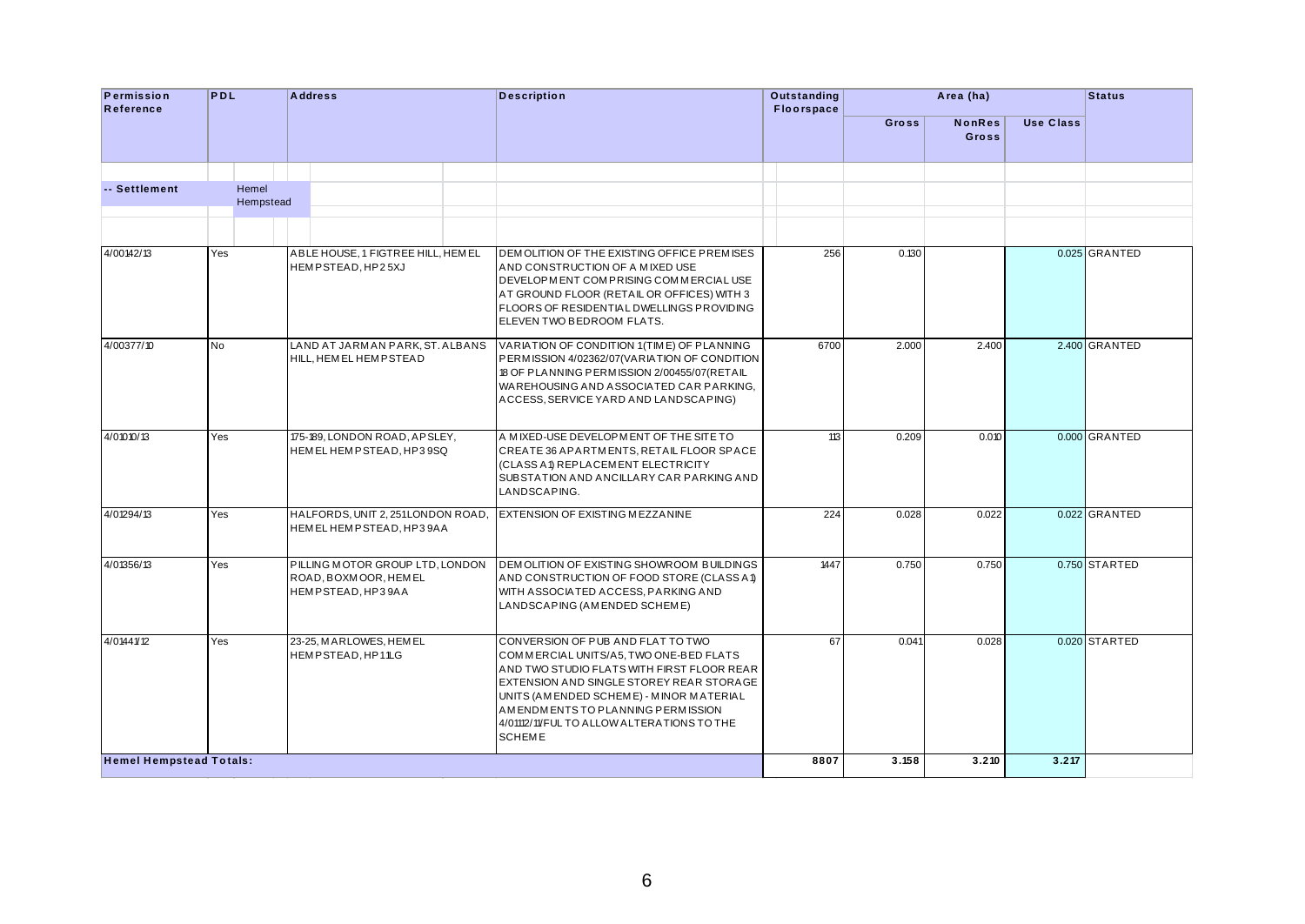| Permission<br>Reference        | <b>PDL</b> |           | <b>Address</b>                                                               | <b>Description</b>                                                                                                                                                                                                                                                                                                    | Outstanding<br><b>Floorspace</b> |       | Area (ha)              |                  | <b>Status</b> |
|--------------------------------|------------|-----------|------------------------------------------------------------------------------|-----------------------------------------------------------------------------------------------------------------------------------------------------------------------------------------------------------------------------------------------------------------------------------------------------------------------|----------------------------------|-------|------------------------|------------------|---------------|
|                                |            |           |                                                                              |                                                                                                                                                                                                                                                                                                                       |                                  | Gross | <b>NonRes</b><br>Gross | <b>Use Class</b> |               |
| -- Settlement                  | Hemel      | Hempstead |                                                                              |                                                                                                                                                                                                                                                                                                                       |                                  |       |                        |                  |               |
|                                |            |           |                                                                              |                                                                                                                                                                                                                                                                                                                       |                                  |       |                        |                  |               |
| 4/00142/13                     | Yes        |           | ABLE HOUSE. 1 FIGTREE HILL. HEM EL<br>HEMPSTEAD, HP25XJ                      | DEMOLITION OF THE EXISTING OFFICE PREMISES<br>AND CONSTRUCTION OF A MIXED USE<br>DEVELOPMENT COMPRISING COMMERCIAL USE<br>AT GROUND FLOOR (RETAIL OR OFFICES) WITH 3<br>FLOORS OF RESIDENTIAL DWELLINGS PROVIDING<br>ELEVEN TWO BEDROOM FLATS.                                                                        | 256                              | 0.130 |                        |                  | 0.025 GRANTED |
| 4/00377/10                     | No         |           | LAND AT JARMAN PARK, ST. ALBANS<br>HILL, HEM EL HEM PSTEAD                   | VARIATION OF CONDITION 1(TIME) OF PLANNING<br>PERMISSION 4/02362/07(VARIATION OF CONDITION<br>18 OF PLANNING PERMISSION 2/00455/07(RETAIL<br>WAREHOUSING AND ASSOCIATED CAR PARKING,<br>ACCESS, SERVICE YARD AND LANDSCAPING)                                                                                         | 6700                             | 2.000 | 2.400                  |                  | 2.400 GRANTED |
| 4/01010/13                     | Yes        |           | 175-189, LONDON ROAD, APSLEY,<br>HEMEL HEMPSTEAD, HP39SQ                     | A MIXED-USE DEVELOPMENT OF THE SITE TO<br>CREATE 36 APARTMENTS, RETAIL FLOOR SPACE<br>(CLASS A1) REPLACEMENT ELECTRICITY<br>SUBSTATION AND ANCILLARY CAR PARKING AND<br>LANDSCAPING.                                                                                                                                  | 113                              | 0.209 | 0.010                  |                  | 0.000 GRANTED |
| 4/01294/13                     | Yes        |           | HALFORDS, UNIT 2, 251LONDON ROAD,<br>HEMEL HEMPSTEAD, HP39AA                 | EXTENSION OF EXISTING MEZZANINE                                                                                                                                                                                                                                                                                       | 224                              | 0.028 | 0.022                  |                  | 0.022 GRANTED |
| 4/01356/13                     | Yes        |           | PILLING MOTOR GROUP LTD, LONDON<br>ROAD, BOXMOOR, HEMEL<br>HEMPSTEAD, HP39AA | DEMOLITION OF EXISTING SHOWROOM BUILDINGS<br>AND CONSTRUCTION OF FOOD STORE (CLASS A1)<br>WITH ASSOCIATED ACCESS, PARKING AND<br>LANDSCAPING (AM ENDED SCHEME)                                                                                                                                                        | 1447                             | 0.750 | 0.750                  |                  | 0.750 STARTED |
| 4/01441/12                     | Yes        |           | 23-25, MARLOWES, HEMEL<br>HEMPSTEAD.HP11LG                                   | CONVERSION OF PUB AND FLAT TO TWO<br>COMMERCIAL UNITS/A5, TWO ONE-BED FLATS<br>AND TWO STUDIO FLATS WITH FIRST FLOOR REAR<br>EXTENSION AND SINGLE STOREY REAR STORAGE<br>UNITS (AMENDED SCHEME) - MINOR MATERIAL<br>AM ENDMENTS TO PLANNING PERMISSION<br>4/01112/11/FUL TO ALLOW ALTERATIONS TO THE<br><b>SCHEME</b> | 67                               | 0.041 | 0.028                  |                  | 0.020 STARTED |
| <b>Hemel Hempstead Totals:</b> |            |           |                                                                              |                                                                                                                                                                                                                                                                                                                       | 8807                             | 3.158 | 3.210                  | 3.217            |               |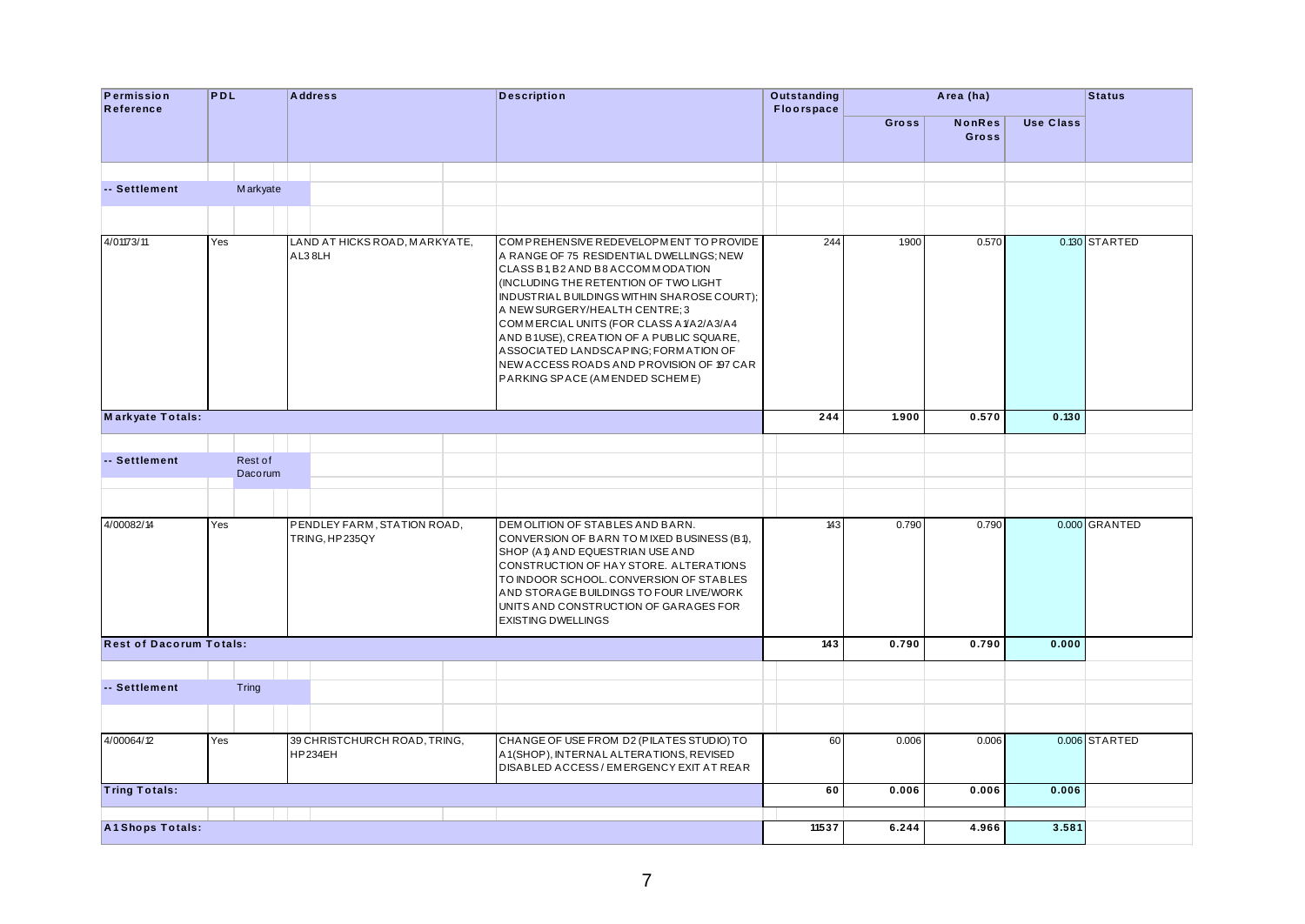| Permission<br>Reference        | PDL |                                    | <b>Address</b>                                | <b>Description</b>                                                                                                                                                                                                                                                                                                                                                                                                                                               | Outstanding |       | Area (ha)              |                  | <b>Status</b> |
|--------------------------------|-----|------------------------------------|-----------------------------------------------|------------------------------------------------------------------------------------------------------------------------------------------------------------------------------------------------------------------------------------------------------------------------------------------------------------------------------------------------------------------------------------------------------------------------------------------------------------------|-------------|-------|------------------------|------------------|---------------|
|                                |     |                                    |                                               |                                                                                                                                                                                                                                                                                                                                                                                                                                                                  | Floorspace  | Gross | <b>NonRes</b><br>Gross | <b>Use Class</b> |               |
| -- Settlement                  |     | <b>Markyate</b>                    |                                               |                                                                                                                                                                                                                                                                                                                                                                                                                                                                  |             |       |                        |                  |               |
|                                |     |                                    |                                               |                                                                                                                                                                                                                                                                                                                                                                                                                                                                  |             |       |                        |                  |               |
| 4/01173/11                     | Yes |                                    | LAND AT HICKS ROAD, MARKYATE,<br>AL3 8LH      | COMPREHENSIVE REDEVELOPMENT TO PROVIDE<br>A RANGE OF 75 RESIDENTIAL DWELLINGS; NEW<br>CLASS B1, B2 AND B8 ACCOMMODATION<br>(INCLUDING THE RETENTION OF TWO LIGHT<br>INDUSTRIAL BUILDINGS WITHIN SHAROSE COURT);<br>A NEW SURGERY/HEALTH CENTRE; 3<br>COMMERCIAL UNITS (FOR CLASS A 1/A2/A3/A4<br>AND B1USE), CREATION OF A PUBLIC SQUARE,<br>ASSOCIATED LANDSCAPING; FORMATION OF<br>NEW ACCESS ROADS AND PROVISION OF 197 CAR<br>PARKING SPACE (AMENDED SCHEME) | 244         | 1.900 | 0.570                  |                  | 0.130 STARTED |
| Markyate Totals:               |     |                                    |                                               |                                                                                                                                                                                                                                                                                                                                                                                                                                                                  | 244         | 1.900 | 0.570                  | 0.130            |               |
|                                |     |                                    |                                               |                                                                                                                                                                                                                                                                                                                                                                                                                                                                  |             |       |                        |                  |               |
| -- Settlement                  |     | Rest of<br>Dacorum                 |                                               |                                                                                                                                                                                                                                                                                                                                                                                                                                                                  |             |       |                        |                  |               |
|                                |     |                                    |                                               |                                                                                                                                                                                                                                                                                                                                                                                                                                                                  |             |       |                        |                  |               |
| 4/00082/14                     | Yes |                                    | PENDLEY FARM, STATION ROAD,<br>TRING, HP235QY | DEMOLITION OF STABLES AND BARN.<br>CONVERSION OF BARN TO MIXED BUSINESS (B1),<br>SHOP (A1) AND EQUESTRIAN USE AND<br>CONSTRUCTION OF HAY STORE. ALTERATIONS<br>TO INDOOR SCHOOL. CONVERSION OF STABLES<br>AND STORAGE BUILDINGS TO FOUR LIVE/WORK<br>UNITS AND CONSTRUCTION OF GARAGES FOR<br><b>EXISTING DWELLINGS</b>                                                                                                                                          | 143         | 0.790 | 0.790                  |                  | 0.000 GRANTED |
| <b>Rest of Dacorum Totals:</b> |     |                                    |                                               |                                                                                                                                                                                                                                                                                                                                                                                                                                                                  | 143         | 0.790 | 0.790                  | 0.000            |               |
| -- Settlement                  |     | <b>Tring</b><br><b>State State</b> |                                               |                                                                                                                                                                                                                                                                                                                                                                                                                                                                  |             |       |                        |                  |               |
| 4/00064/12                     | Yes |                                    | 39 CHRISTCHURCH ROAD, TRING,<br>HP234EH       | CHANGE OF USE FROM D2 (PILATES STUDIO) TO<br>A1(SHOP), INTERNAL ALTERATIONS, REVISED<br>DISABLED ACCESS / EMERGENCY EXIT AT REAR                                                                                                                                                                                                                                                                                                                                 | 60          | 0.006 | 0.006                  |                  | 0.006 STARTED |
| <b>Tring Totals:</b>           |     |                                    |                                               |                                                                                                                                                                                                                                                                                                                                                                                                                                                                  | 60          | 0.006 | 0.006                  | 0.006            |               |
| <b>A1Shops Totals:</b>         |     |                                    |                                               |                                                                                                                                                                                                                                                                                                                                                                                                                                                                  | 11537       | 6.244 | 4.966                  | 3.581            |               |
|                                |     |                                    |                                               |                                                                                                                                                                                                                                                                                                                                                                                                                                                                  |             |       |                        |                  |               |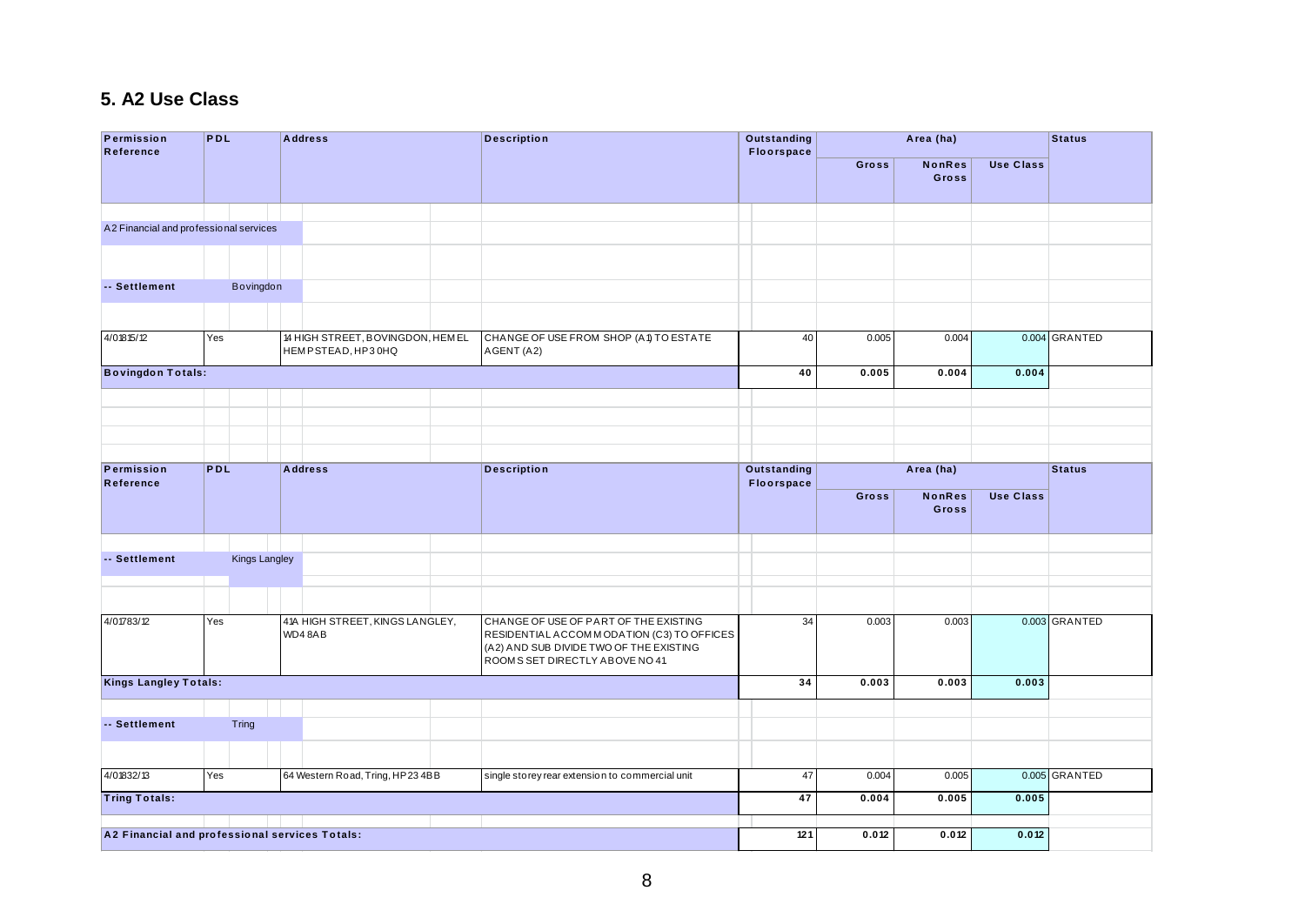#### **5. A2 Use Class**

| Floorspace<br>Gross<br><b>NonRes</b><br>Gross<br>A2 Financial and professional services<br>-- Settlement<br>Bovingdon<br>4/01815/12<br>14 HIGH STREET, BOVINGDON, HEMEL<br>CHANGE OF USE FROM SHOP (A1) TO ESTATE<br>Yes<br>40<br>0.005<br>0.004<br>HEMPSTEAD, HP30HQ<br>AGENT (A2)<br><b>Bovingdon Totals:</b><br>40<br>0.005<br>0.004<br>PDL<br>Permission<br>Address<br><b>Description</b><br>Outstanding<br>Area (ha)<br>Reference<br>Floorspace<br><b>NonRes</b><br>Gross<br>Gross<br><b>Kings Langley</b><br>-- Settlement<br>41A HIGH STREET, KINGS LANGLEY,<br>CHANGE OF USE OF PART OF THE EXISTING<br>34<br>4/01783/12<br>Yes<br>0.003<br>0.003<br>WD48AB<br>RESIDENTIAL ACCOMMODATION (C3) TO OFFICES<br>(A2) AND SUB DIVIDE TWO OF THE EXISTING<br>ROOMS SET DIRECTLY ABOVE NO 41.<br><b>Kings Langley Totals:</b><br>34<br>0.003<br>0.003<br>-- Settlement<br>Tring | 0.004 GRANTED<br>0.004 | <b>Use Class</b> |  |  |  |  | Reference |  |
|----------------------------------------------------------------------------------------------------------------------------------------------------------------------------------------------------------------------------------------------------------------------------------------------------------------------------------------------------------------------------------------------------------------------------------------------------------------------------------------------------------------------------------------------------------------------------------------------------------------------------------------------------------------------------------------------------------------------------------------------------------------------------------------------------------------------------------------------------------------------------------|------------------------|------------------|--|--|--|--|-----------|--|
|                                                                                                                                                                                                                                                                                                                                                                                                                                                                                                                                                                                                                                                                                                                                                                                                                                                                                  |                        |                  |  |  |  |  |           |  |
|                                                                                                                                                                                                                                                                                                                                                                                                                                                                                                                                                                                                                                                                                                                                                                                                                                                                                  |                        |                  |  |  |  |  |           |  |
|                                                                                                                                                                                                                                                                                                                                                                                                                                                                                                                                                                                                                                                                                                                                                                                                                                                                                  |                        |                  |  |  |  |  |           |  |
|                                                                                                                                                                                                                                                                                                                                                                                                                                                                                                                                                                                                                                                                                                                                                                                                                                                                                  |                        |                  |  |  |  |  |           |  |
|                                                                                                                                                                                                                                                                                                                                                                                                                                                                                                                                                                                                                                                                                                                                                                                                                                                                                  |                        |                  |  |  |  |  |           |  |
|                                                                                                                                                                                                                                                                                                                                                                                                                                                                                                                                                                                                                                                                                                                                                                                                                                                                                  |                        |                  |  |  |  |  |           |  |
|                                                                                                                                                                                                                                                                                                                                                                                                                                                                                                                                                                                                                                                                                                                                                                                                                                                                                  |                        |                  |  |  |  |  |           |  |
|                                                                                                                                                                                                                                                                                                                                                                                                                                                                                                                                                                                                                                                                                                                                                                                                                                                                                  |                        |                  |  |  |  |  |           |  |
|                                                                                                                                                                                                                                                                                                                                                                                                                                                                                                                                                                                                                                                                                                                                                                                                                                                                                  | <b>Status</b>          |                  |  |  |  |  |           |  |
|                                                                                                                                                                                                                                                                                                                                                                                                                                                                                                                                                                                                                                                                                                                                                                                                                                                                                  |                        | <b>Use Class</b> |  |  |  |  |           |  |
|                                                                                                                                                                                                                                                                                                                                                                                                                                                                                                                                                                                                                                                                                                                                                                                                                                                                                  |                        |                  |  |  |  |  |           |  |
|                                                                                                                                                                                                                                                                                                                                                                                                                                                                                                                                                                                                                                                                                                                                                                                                                                                                                  |                        |                  |  |  |  |  |           |  |
|                                                                                                                                                                                                                                                                                                                                                                                                                                                                                                                                                                                                                                                                                                                                                                                                                                                                                  | 0.003 GRANTED          |                  |  |  |  |  |           |  |
|                                                                                                                                                                                                                                                                                                                                                                                                                                                                                                                                                                                                                                                                                                                                                                                                                                                                                  | 0.003                  |                  |  |  |  |  |           |  |
|                                                                                                                                                                                                                                                                                                                                                                                                                                                                                                                                                                                                                                                                                                                                                                                                                                                                                  |                        |                  |  |  |  |  |           |  |
|                                                                                                                                                                                                                                                                                                                                                                                                                                                                                                                                                                                                                                                                                                                                                                                                                                                                                  |                        |                  |  |  |  |  |           |  |
| 4/01832/13<br>Yes<br>64 Western Road, Tring, HP23 4BB<br>47<br>0.004<br>0.005<br>single storey rear extension to commercial unit<br><b>Tring Totals:</b><br>47<br>0.004<br>0.005                                                                                                                                                                                                                                                                                                                                                                                                                                                                                                                                                                                                                                                                                                 | 0.005 GRANTED<br>0.005 |                  |  |  |  |  |           |  |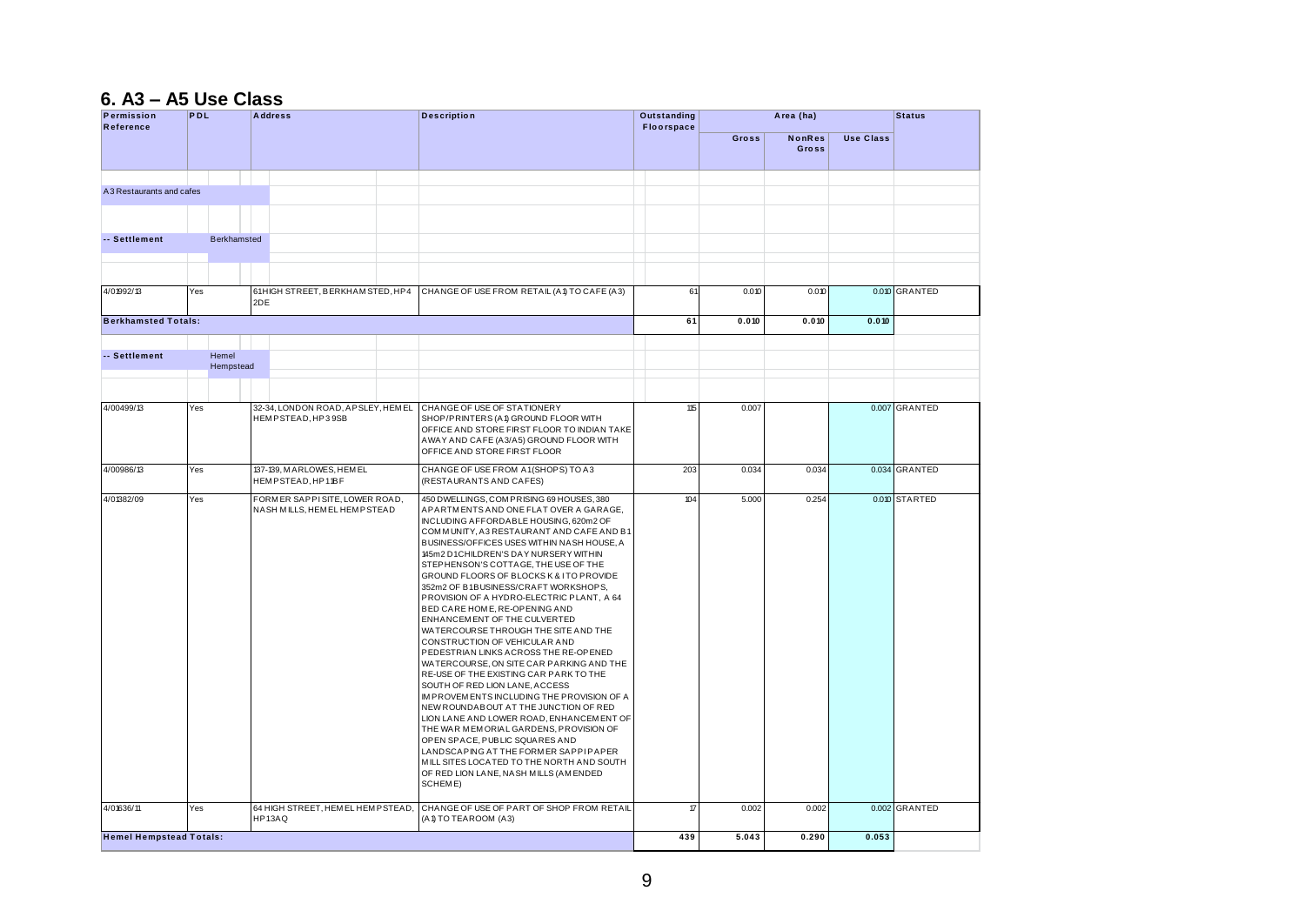#### **6. A3 – A5 Use Class**

| Permission<br>Reference    | <b>PDL</b> |       |             | <b>Address</b> |                                                              | <b>Description</b>                                                                                                                                                                                                                                                                                                                                                                                                                                                                                                                                                                                                                                                                                                                                                                                                                                                                                                                                                                                                                                                                                         | <b>Outstanding</b><br>Floorspace |       | Area (ha)              |                  | <b>Status</b> |
|----------------------------|------------|-------|-------------|----------------|--------------------------------------------------------------|------------------------------------------------------------------------------------------------------------------------------------------------------------------------------------------------------------------------------------------------------------------------------------------------------------------------------------------------------------------------------------------------------------------------------------------------------------------------------------------------------------------------------------------------------------------------------------------------------------------------------------------------------------------------------------------------------------------------------------------------------------------------------------------------------------------------------------------------------------------------------------------------------------------------------------------------------------------------------------------------------------------------------------------------------------------------------------------------------------|----------------------------------|-------|------------------------|------------------|---------------|
|                            |            |       |             |                |                                                              |                                                                                                                                                                                                                                                                                                                                                                                                                                                                                                                                                                                                                                                                                                                                                                                                                                                                                                                                                                                                                                                                                                            |                                  | Gross | <b>NonRes</b><br>Gross | <b>Use Class</b> |               |
|                            |            |       |             |                |                                                              |                                                                                                                                                                                                                                                                                                                                                                                                                                                                                                                                                                                                                                                                                                                                                                                                                                                                                                                                                                                                                                                                                                            |                                  |       |                        |                  |               |
| A3 Restaurants and cafes   |            |       |             |                |                                                              |                                                                                                                                                                                                                                                                                                                                                                                                                                                                                                                                                                                                                                                                                                                                                                                                                                                                                                                                                                                                                                                                                                            |                                  |       |                        |                  |               |
|                            |            |       |             |                |                                                              |                                                                                                                                                                                                                                                                                                                                                                                                                                                                                                                                                                                                                                                                                                                                                                                                                                                                                                                                                                                                                                                                                                            |                                  |       |                        |                  |               |
| -- Settlement              |            |       | Berkhamsted |                |                                                              |                                                                                                                                                                                                                                                                                                                                                                                                                                                                                                                                                                                                                                                                                                                                                                                                                                                                                                                                                                                                                                                                                                            |                                  |       |                        |                  |               |
|                            |            |       |             |                |                                                              |                                                                                                                                                                                                                                                                                                                                                                                                                                                                                                                                                                                                                                                                                                                                                                                                                                                                                                                                                                                                                                                                                                            |                                  |       |                        |                  |               |
| 4/01992/13                 | Yes        |       |             | 2DE            |                                                              | 61HIGH STREET, BERKHAM STED, HP4 CHANGE OF USE FROM RETAIL (A1) TO CAFE (A3)                                                                                                                                                                                                                                                                                                                                                                                                                                                                                                                                                                                                                                                                                                                                                                                                                                                                                                                                                                                                                               | 61                               | 0.010 | 0.010                  |                  | 0.010 GRANTED |
| <b>Berkhamsted Totals:</b> |            |       |             |                |                                                              |                                                                                                                                                                                                                                                                                                                                                                                                                                                                                                                                                                                                                                                                                                                                                                                                                                                                                                                                                                                                                                                                                                            | 61                               | 0.010 | 0.010                  | 0.010            |               |
|                            |            |       |             |                |                                                              |                                                                                                                                                                                                                                                                                                                                                                                                                                                                                                                                                                                                                                                                                                                                                                                                                                                                                                                                                                                                                                                                                                            |                                  |       |                        |                  |               |
| -- Settlement              |            | Hemel | Hempstead   |                |                                                              |                                                                                                                                                                                                                                                                                                                                                                                                                                                                                                                                                                                                                                                                                                                                                                                                                                                                                                                                                                                                                                                                                                            |                                  |       |                        |                  |               |
|                            |            |       |             |                |                                                              |                                                                                                                                                                                                                                                                                                                                                                                                                                                                                                                                                                                                                                                                                                                                                                                                                                                                                                                                                                                                                                                                                                            |                                  |       |                        |                  |               |
| 4/00499/13                 | Yes        |       |             |                | HEMPSTEAD, HP39SB                                            | 32-34, LONDON ROAD, APSLEY, HEMEL CHANGE OF USE OF STATIONERY<br>SHOP/PRINTERS (A1) GROUND FLOOR WITH<br>OFFICE AND STORE FIRST FLOOR TO INDIAN TAKE<br>AWAY AND CAFE (A3/A5) GROUND FLOOR WITH<br>OFFICE AND STORE FIRST FLOOR                                                                                                                                                                                                                                                                                                                                                                                                                                                                                                                                                                                                                                                                                                                                                                                                                                                                            | 115                              | 0.007 |                        |                  | 0.007 GRANTED |
| 4/00986/13                 | Yes        |       |             |                | 137-139, MARLOWES, HEMEL<br>HEMPSTEAD, HP11BF                | CHANGE OF USE FROM A1(SHOPS) TO A3<br>(RESTAURANTS AND CAFES)                                                                                                                                                                                                                                                                                                                                                                                                                                                                                                                                                                                                                                                                                                                                                                                                                                                                                                                                                                                                                                              | 203                              | 0.034 | 0.034                  |                  | 0.034 GRANTED |
| 4/01382/09                 | Yes        |       |             |                | FORMER SAPPISITE, LOWER ROAD,<br>NASH MILLS, HEMEL HEMPSTEAD | 450 DWELLINGS, COMPRISING 69 HOUSES, 380<br>APARTMENTS AND ONE FLAT OVER A GARAGE,<br>INCLUDING AFFORDABLE HOUSING, 620m2 OF<br>COMMUNITY, A3 RESTAURANT AND CAFE AND B1<br>BUSINESS/OFFICES USES WITHIN NASH HOUSE, A<br>145m2 D1CHILDREN'S DAY NURSERY WITHIN<br>STEPHENSON'S COTTAGE, THE USE OF THE<br>GROUND FLOORS OF BLOCKS K & ITO PROVIDE<br>352m2 OF B1BUSINESS/CRAFT WORKSHOPS,<br>PROVISION OF A HYDRO-ELECTRIC PLANT, A 64<br>BED CARE HOM E, RE-OPENING AND<br>ENHANCEMENT OF THE CULVERTED<br>WATERCOURSE THROUGH THE SITE AND THE<br>CONSTRUCTION OF VEHICULAR AND<br>PEDESTRIAN LINKS ACROSS THE RE-OPENED<br>WATERCOURSE, ON SITE CAR PARKING AND THE<br>RE-USE OF THE EXISTING CAR PARK TO THE<br>SOUTH OF RED LION LANE, ACCESS<br>IMPROVEMENTS INCLUDING THE PROVISION OF A<br>NEW ROUNDABOUT AT THE JUNCTION OF RED<br>LION LANE AND LOWER ROAD, ENHANCEMENT OF<br>THE WAR MEMORIAL GARDENS, PROVISION OF<br>OPEN SPACE, PUBLIC SQUARES AND<br>LANDSCAPING AT THE FORMER SAPPIPAPER<br>MILL SITES LOCATED TO THE NORTH AND SOUTH<br>OF RED LION LANE, NASH MILLS (AMENDED<br>SCHEME) | 104                              | 5.000 | 0.254                  |                  | 0.010 STARTED |
| 4/01636/11                 | Yes        |       |             | HP13AQ         |                                                              | 64 HIGH STREET, HEMEL HEMPSTEAD, CHANGE OF USE OF PART OF SHOP FROM RETAIL<br>(A1) TO TEAROOM (A3)                                                                                                                                                                                                                                                                                                                                                                                                                                                                                                                                                                                                                                                                                                                                                                                                                                                                                                                                                                                                         | $\mathcal{L}$                    | 0.002 | 0.002                  |                  | 0.002 GRANTED |
|                            |            |       |             |                |                                                              |                                                                                                                                                                                                                                                                                                                                                                                                                                                                                                                                                                                                                                                                                                                                                                                                                                                                                                                                                                                                                                                                                                            |                                  |       |                        |                  |               |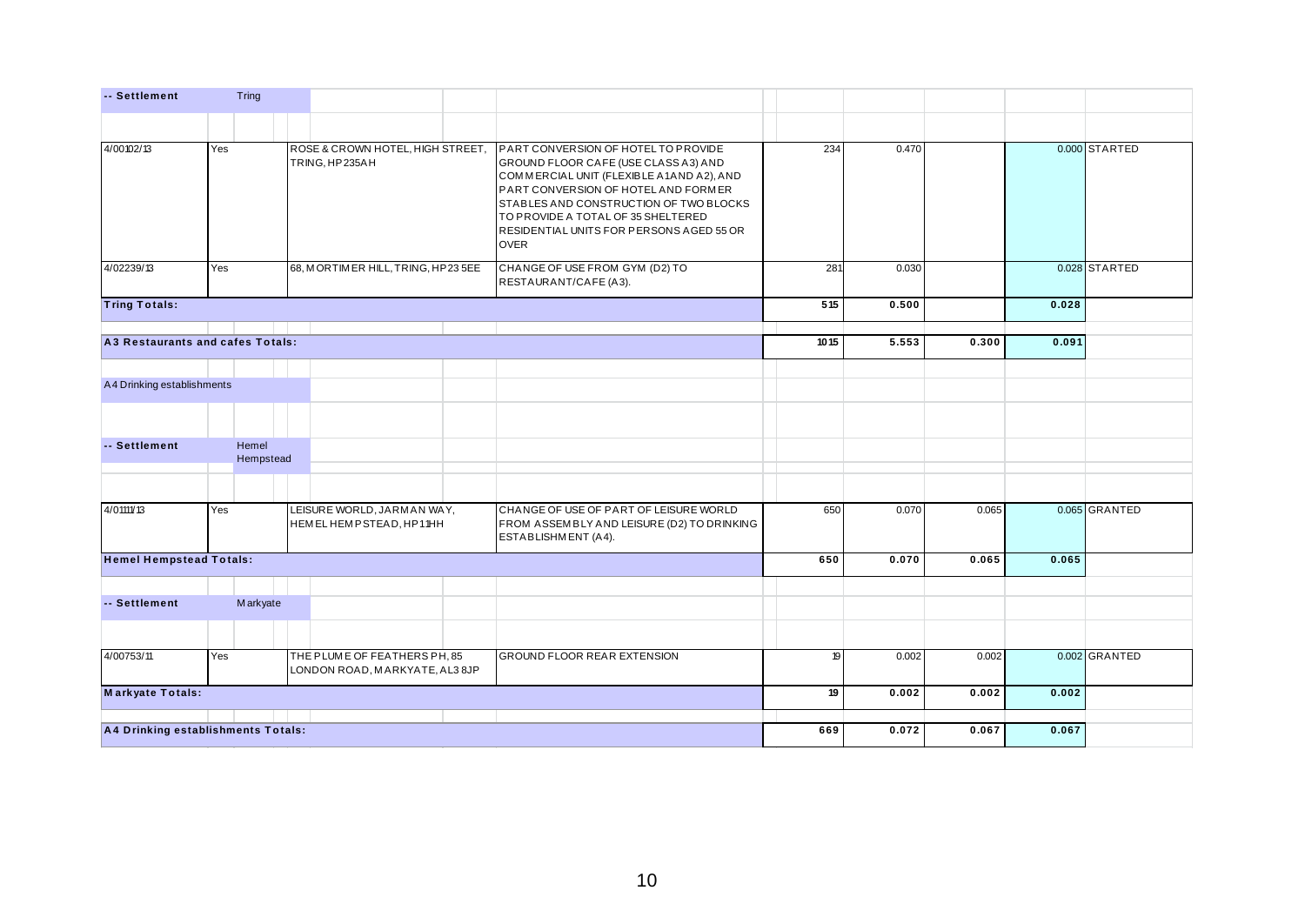| -- Settlement                      |     | Tring              |                                                                |                                                                                                                                                                                                                                                                                                                  |      |       |       |       |               |
|------------------------------------|-----|--------------------|----------------------------------------------------------------|------------------------------------------------------------------------------------------------------------------------------------------------------------------------------------------------------------------------------------------------------------------------------------------------------------------|------|-------|-------|-------|---------------|
|                                    |     |                    |                                                                |                                                                                                                                                                                                                                                                                                                  |      |       |       |       |               |
| 4/00102/13                         | Yes |                    | ROSE & CROWN HOTEL, HIGH STREET,<br>TRING, HP235AH             | <b>PART CONVERSION OF HOTEL TO PROVIDE</b><br>GROUND FLOOR CAFE (USE CLASS A3) AND<br>COMMERCIAL UNIT (FLEXIBLE A1AND A2), AND<br>PART CONVERSION OF HOTEL AND FORMER<br>STABLES AND CONSTRUCTION OF TWO BLOCKS<br>TO PROVIDE A TOTAL OF 35 SHELTERED<br>RESIDENTIAL UNITS FOR PERSONS AGED 55 OR<br><b>OVER</b> | 234  | 0.470 |       |       | 0.000 STARTED |
| 4/02239/13                         | Yes |                    | 68, MORTIMER HILL, TRING, HP23 5EE                             | CHANGE OF USE FROM GYM (D2) TO<br>RESTAURANT/CAFE (A3).                                                                                                                                                                                                                                                          | 281  | 0.030 |       |       | 0.028 STARTED |
| <b>Tring Totals:</b>               |     |                    |                                                                |                                                                                                                                                                                                                                                                                                                  | 515  | 0.500 |       | 0.028 |               |
| A3 Restaurants and cafes Totals:   |     |                    |                                                                |                                                                                                                                                                                                                                                                                                                  | 1015 | 5.553 | 0.300 | 0.091 |               |
| A4 Drinking establishments         |     |                    |                                                                |                                                                                                                                                                                                                                                                                                                  |      |       |       |       |               |
| -- Settlement                      |     | Hemel<br>Hempstead |                                                                |                                                                                                                                                                                                                                                                                                                  |      |       |       |       |               |
| 4/01111/13                         | Yes |                    | LEISURE WORLD, JARMAN WAY,<br>HEMEL HEMPSTEAD, HP11HH          | CHANGE OF USE OF PART OF LEISURE WORLD<br>FROM ASSEMBLY AND LEISURE (D2) TO DRINKING<br>ESTABLISHMENT (A4).                                                                                                                                                                                                      | 650  | 0.070 | 0.065 |       | 0.065 GRANTED |
| <b>Hemel Hempstead Totals:</b>     |     |                    |                                                                |                                                                                                                                                                                                                                                                                                                  | 650  | 0.070 | 0.065 | 0.065 |               |
| -- Settlement                      |     | <b>Markyate</b>    |                                                                |                                                                                                                                                                                                                                                                                                                  |      |       |       |       |               |
| 4/00753/11                         | Yes |                    | THE PLUME OF FEATHERS PH, 85<br>LONDON ROAD, MARKYATE, AL3 8JP | <b>GROUND FLOOR REAR EXTENSION</b>                                                                                                                                                                                                                                                                               | 19   | 0.002 | 0.002 |       | 0.002 GRANTED |
| <b>Markyate Totals:</b>            |     |                    |                                                                |                                                                                                                                                                                                                                                                                                                  | 19   | 0.002 | 0.002 | 0.002 |               |
| A4 Drinking establishments Totals: |     |                    |                                                                |                                                                                                                                                                                                                                                                                                                  | 669  | 0.072 | 0.067 | 0.067 |               |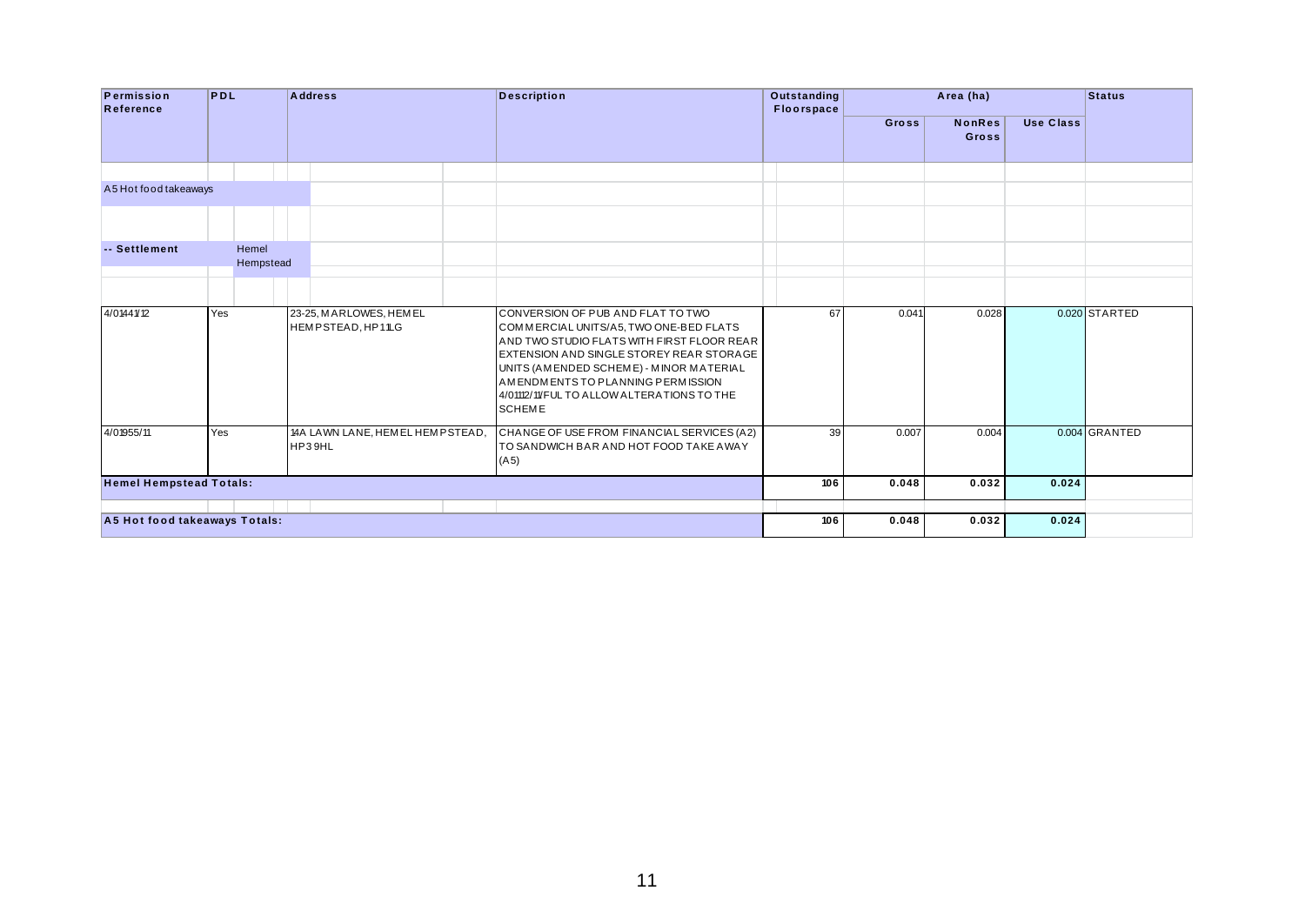| Permission<br>Reference        | PDL |                                             |  | <b>Address</b>                              | <b>Description</b>                                                                                                                                                                                                                                                                                                    | Outstanding<br>Floorspace |       | Area (ha)              |                  | <b>Status</b> |
|--------------------------------|-----|---------------------------------------------|--|---------------------------------------------|-----------------------------------------------------------------------------------------------------------------------------------------------------------------------------------------------------------------------------------------------------------------------------------------------------------------------|---------------------------|-------|------------------------|------------------|---------------|
|                                |     |                                             |  |                                             |                                                                                                                                                                                                                                                                                                                       |                           | Gross | <b>NonRes</b><br>Gross | <b>Use Class</b> |               |
| A5 Hot food takeaways          |     |                                             |  |                                             |                                                                                                                                                                                                                                                                                                                       |                           |       |                        |                  |               |
|                                |     |                                             |  |                                             |                                                                                                                                                                                                                                                                                                                       |                           |       |                        |                  |               |
|                                |     |                                             |  |                                             |                                                                                                                                                                                                                                                                                                                       |                           |       |                        |                  |               |
| -- Settlement                  |     | Hemel<br>Hempstead                          |  |                                             |                                                                                                                                                                                                                                                                                                                       |                           |       |                        |                  |               |
|                                |     |                                             |  |                                             |                                                                                                                                                                                                                                                                                                                       |                           |       |                        |                  |               |
| 4/01441/12                     | Yes | 23-25, MARLOWES, HEMEL<br>HEMPSTEAD, HP11LG |  |                                             | CONVERSION OF PUB AND FLAT TO TWO<br>COMMERCIAL UNITS/A5, TWO ONE-BED FLATS<br>AND TWO STUDIO FLATS WITH FIRST FLOOR REAR<br>EXTENSION AND SINGLE STOREY REAR STORAGE<br>UNITS (AMENDED SCHEME) - MINOR MATERIAL<br>AM ENDMENTS TO PLANNING PERMISSION<br>4/01112/11/FUL TO ALLOW ALTERATIONS TO THE<br><b>SCHEME</b> | 67                        | 0.041 | 0.028                  |                  | 0.020 STARTED |
| 4/01955/11                     | Yes |                                             |  | 14A LAWN LANE, HEM EL HEM PSTEAD,<br>HP39HL | CHANGE OF USE FROM FINANCIAL SERVICES (A2)<br>TO SANDWICH BAR AND HOT FOOD TAKE AWAY<br>(A5)                                                                                                                                                                                                                          | 39                        | 0.007 | 0.004                  |                  | 0.004 GRANTED |
| <b>Hemel Hempstead Totals:</b> |     |                                             |  |                                             |                                                                                                                                                                                                                                                                                                                       | 106                       | 0.048 | 0.032                  | 0.024            |               |
| A5 Hot food takeaways Totals:  |     |                                             |  |                                             | 106                                                                                                                                                                                                                                                                                                                   | 0.048                     | 0.032 | 0.024                  |                  |               |
|                                |     |                                             |  |                                             |                                                                                                                                                                                                                                                                                                                       |                           |       |                        |                  |               |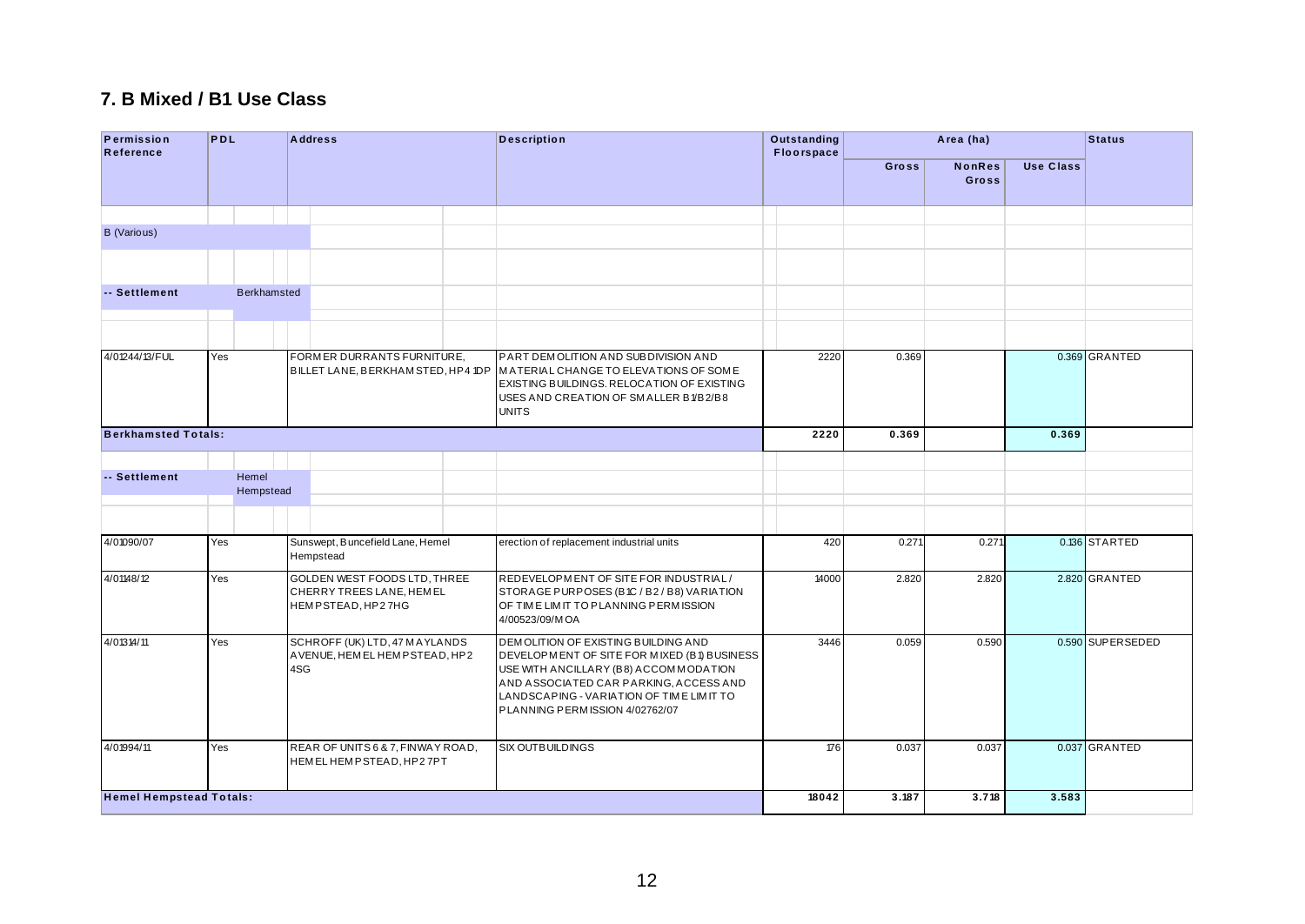### 7. B Mixed / B1 Use Class

| Permission<br>Reference        | <b>PDL</b>         |     | <b>Address</b>                                                                | <b>Description</b>                                                                                                                                                                                                                                  | <b>Outstanding</b><br><b>Floorspace</b> |       | Area (ha)                     |                  | <b>Status</b>    |
|--------------------------------|--------------------|-----|-------------------------------------------------------------------------------|-----------------------------------------------------------------------------------------------------------------------------------------------------------------------------------------------------------------------------------------------------|-----------------------------------------|-------|-------------------------------|------------------|------------------|
|                                |                    |     |                                                                               |                                                                                                                                                                                                                                                     |                                         | Gross | <b>NonRes</b><br><b>Gross</b> | <b>Use Class</b> |                  |
|                                |                    |     |                                                                               |                                                                                                                                                                                                                                                     |                                         |       |                               |                  |                  |
| B (Various)                    |                    |     |                                                                               |                                                                                                                                                                                                                                                     |                                         |       |                               |                  |                  |
|                                |                    |     |                                                                               |                                                                                                                                                                                                                                                     |                                         |       |                               |                  |                  |
| -- Settlement                  | <b>Berkhamsted</b> |     |                                                                               |                                                                                                                                                                                                                                                     |                                         |       |                               |                  |                  |
|                                |                    |     |                                                                               |                                                                                                                                                                                                                                                     |                                         |       |                               |                  |                  |
| 4/01244/13/FUL                 | Yes                |     | FORMER DURRANTS FURNITURE,<br>BILLET LANE, BERKHAM STED, HP4 1DP              | PART DEMOLITION AND SUBDIVISION AND<br>MATERIAL CHANGE TO ELEVATIONS OF SOME<br>EXISTING BUILDINGS. RELOCATION OF EXISTING<br>USES AND CREATION OF SMALLER B1/B2/B8<br><b>UNITS</b>                                                                 | 2220                                    | 0.369 |                               |                  | 0.369 GRANTED    |
| <b>Berkhamsted Totals:</b>     |                    |     |                                                                               |                                                                                                                                                                                                                                                     | 2220                                    | 0.369 |                               | 0.369            |                  |
|                                |                    |     |                                                                               |                                                                                                                                                                                                                                                     |                                         |       |                               |                  |                  |
| -- Settlement                  | Hemel<br>Hempstead |     |                                                                               |                                                                                                                                                                                                                                                     |                                         |       |                               |                  |                  |
|                                |                    |     |                                                                               |                                                                                                                                                                                                                                                     |                                         |       |                               |                  |                  |
| 4/01090/07                     | Yes                |     | Sunswept, Buncefield Lane, Hemel<br>Hempstead                                 | erection of replacement industrial units                                                                                                                                                                                                            | 420                                     | 0.271 | 0.271                         |                  | 0.136 STARTED    |
| 4/01148/12                     | Yes                |     | GOLDEN WEST FOODS LTD, THREE<br>CHERRY TREES LANE. HEMEL<br>HEMPSTEAD, HP27HG | REDEVELOPMENT OF SITE FOR INDUSTRIAL /<br>STORAGE PURPOSES (B1C / B2 / B8) VARIATION<br>OF TIME LIMIT TO PLANNING PERMISSION<br>4/00523/09/M OA                                                                                                     | 14000                                   | 2.820 | 2.820                         |                  | 2.820 GRANTED    |
| 4/01314/11                     | Yes                | 4SG | SCHROFF (UK) LTD, 47 MAYLANDS<br>AVENUE, HEM EL HEM PSTEAD, HP2               | DEMOLITION OF EXISTING BUILDING AND<br>DEVELOPMENT OF SITE FOR MIXED (B1) BUSINESS<br>USE WITH ANCILLARY (B8) ACCOMMODATION<br>AND ASSOCIATED CAR PARKING, ACCESS AND<br>LANDSCAPING - VARIATION OF TIME LIMIT TO<br>PLANNING PERMISSION 4/02762/07 | 3446                                    | 0.059 | 0.590                         |                  | 0.590 SUPERSEDED |
| 4/01994/11                     | Yes                |     | REAR OF UNITS 6 & 7, FINWAY ROAD,<br>HEMEL HEMPSTEAD, HP27PT                  | <b>SIX OUTBUILDINGS</b>                                                                                                                                                                                                                             | 176                                     | 0.037 | 0.037                         |                  | 0.037 GRANTED    |
| <b>Hemel Hempstead Totals:</b> |                    |     |                                                                               |                                                                                                                                                                                                                                                     | 18042                                   | 3.187 | 3.718                         | 3.583            |                  |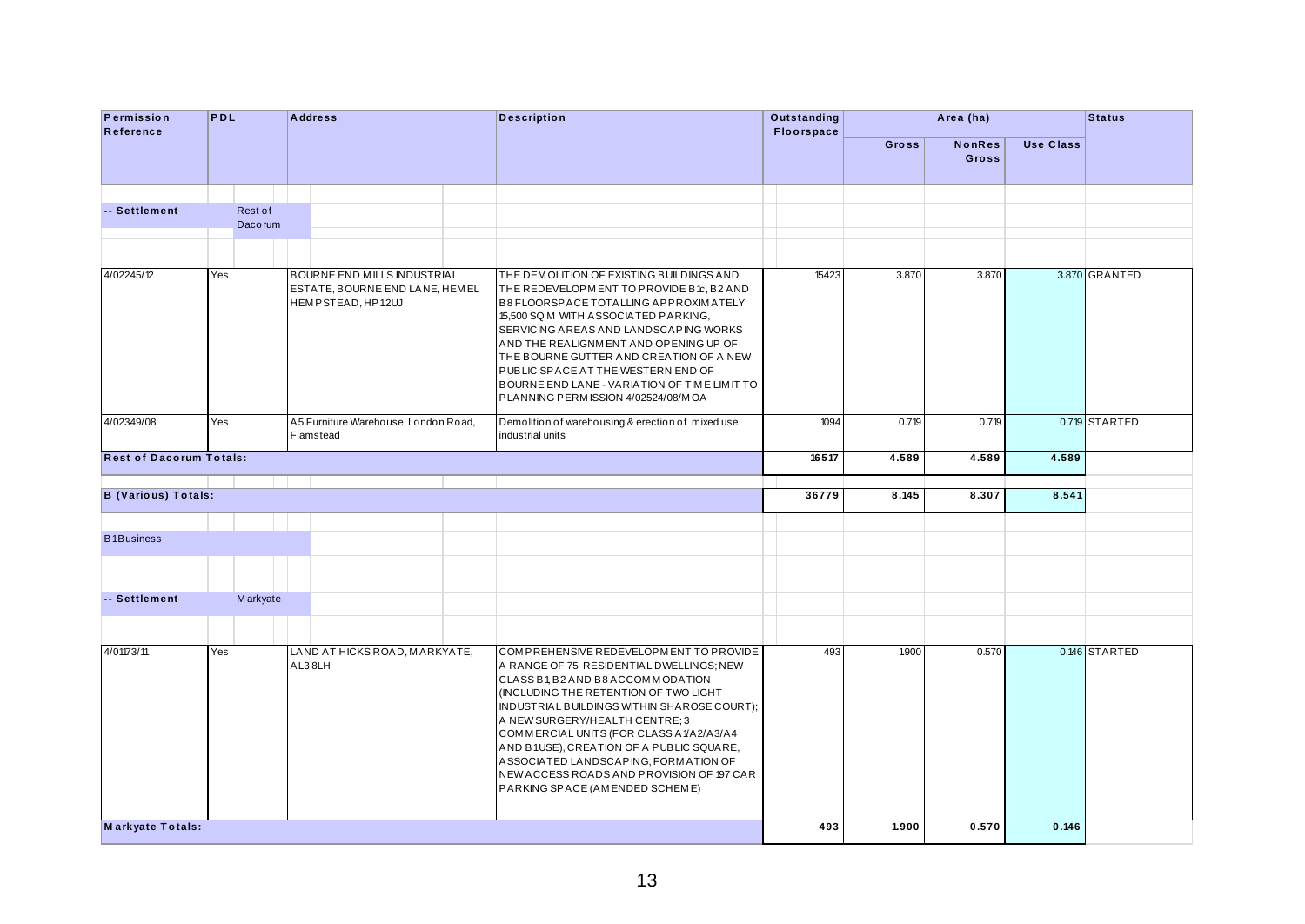| <b>PDL</b><br><b>Address</b><br><b>Description</b><br><b>Outstanding</b><br>Area (ha)<br><b>Status</b><br>Reference<br><b>Floorspace</b><br>Gross<br><b>NonRes</b><br><b>Use Class</b><br>Gross<br>Rest of<br>Dacorum<br>Yes<br>BOURNE END MILLS INDUSTRIAL<br>THE DEMOLITION OF EXISTING BUILDINGS AND<br>15423<br>3.870<br>3.870<br>3.870 GRANTED<br>ESTATE, BOURNE END LANE, HEM EL<br>THE REDEVELOPMENT TO PROVIDE B tc, B2 AND<br>HEMPSTEAD, HP12UJ<br>B8 FLOORSPACE TOTALLING APPROXIMATELY<br>15,500 SQ M WITH ASSOCIATED PARKING,<br>SERVICING AREAS AND LANDSCAPING WORKS<br>AND THE REALIGNMENT AND OPENING UP OF<br>THE BOURNE GUTTER AND CREATION OF A NEW<br>PUBLIC SPACE AT THE WESTERN END OF<br>BOURNE END LANE - VARIATION OF TIME LIMIT TO<br>PLANNING PERMISSION 4/02524/08/MOA<br>0.719 STARTED<br>Yes<br>A5 Furniture Warehouse, London Road,<br>Demolition of warehousing & erection of mixed use<br>1094<br>0.719<br>0.719<br>Flamstead<br>industrial units<br><b>Rest of Dacorum Totals:</b><br>16517<br>4.589<br>4.589<br>4.589<br><b>B</b> (Various) Totals:<br>8.541<br>36779<br>8.145<br>8.307<br><b>Markyate</b><br>Yes<br>LAND AT HICKS ROAD, MARKYATE,<br>COMPREHENSIVE REDEVELOPMENT TO PROVIDE<br>493<br>1900<br>0.570<br>0.446 STARTED<br>AL38LH<br>A RANGE OF 75 RESIDENTIAL DWELLINGS; NEW<br>CLASS B1, B2 AND B8 ACCOMMODATION<br>(INCLUDING THE RETENTION OF TWO LIGHT<br>INDUSTRIAL BUILDINGS WITHIN SHAROSE COURT);<br>A NEW SURGERY/HEALTH CENTRE; 3<br>COMMERCIAL UNITS (FOR CLASS A 1/A2/A3/A4<br>AND B1USE), CREATION OF A PUBLIC SQUARE,<br>ASSOCIATED LANDSCAPING; FORMATION OF<br>NEW ACCESS ROADS AND PROVISION OF 197 CAR<br>PARKING SPACE (AMENDED SCHEME)<br>493<br>1.900<br>0.570<br>0.146 |                         |  |  |  |  |  |  |
|------------------------------------------------------------------------------------------------------------------------------------------------------------------------------------------------------------------------------------------------------------------------------------------------------------------------------------------------------------------------------------------------------------------------------------------------------------------------------------------------------------------------------------------------------------------------------------------------------------------------------------------------------------------------------------------------------------------------------------------------------------------------------------------------------------------------------------------------------------------------------------------------------------------------------------------------------------------------------------------------------------------------------------------------------------------------------------------------------------------------------------------------------------------------------------------------------------------------------------------------------------------------------------------------------------------------------------------------------------------------------------------------------------------------------------------------------------------------------------------------------------------------------------------------------------------------------------------------------------------------------------------------------------------------------------------------------------------------------------------------|-------------------------|--|--|--|--|--|--|
|                                                                                                                                                                                                                                                                                                                                                                                                                                                                                                                                                                                                                                                                                                                                                                                                                                                                                                                                                                                                                                                                                                                                                                                                                                                                                                                                                                                                                                                                                                                                                                                                                                                                                                                                                | Permission              |  |  |  |  |  |  |
|                                                                                                                                                                                                                                                                                                                                                                                                                                                                                                                                                                                                                                                                                                                                                                                                                                                                                                                                                                                                                                                                                                                                                                                                                                                                                                                                                                                                                                                                                                                                                                                                                                                                                                                                                |                         |  |  |  |  |  |  |
|                                                                                                                                                                                                                                                                                                                                                                                                                                                                                                                                                                                                                                                                                                                                                                                                                                                                                                                                                                                                                                                                                                                                                                                                                                                                                                                                                                                                                                                                                                                                                                                                                                                                                                                                                | -- Settlement           |  |  |  |  |  |  |
|                                                                                                                                                                                                                                                                                                                                                                                                                                                                                                                                                                                                                                                                                                                                                                                                                                                                                                                                                                                                                                                                                                                                                                                                                                                                                                                                                                                                                                                                                                                                                                                                                                                                                                                                                | 4/02245/12              |  |  |  |  |  |  |
|                                                                                                                                                                                                                                                                                                                                                                                                                                                                                                                                                                                                                                                                                                                                                                                                                                                                                                                                                                                                                                                                                                                                                                                                                                                                                                                                                                                                                                                                                                                                                                                                                                                                                                                                                | 4/02349/08              |  |  |  |  |  |  |
|                                                                                                                                                                                                                                                                                                                                                                                                                                                                                                                                                                                                                                                                                                                                                                                                                                                                                                                                                                                                                                                                                                                                                                                                                                                                                                                                                                                                                                                                                                                                                                                                                                                                                                                                                |                         |  |  |  |  |  |  |
|                                                                                                                                                                                                                                                                                                                                                                                                                                                                                                                                                                                                                                                                                                                                                                                                                                                                                                                                                                                                                                                                                                                                                                                                                                                                                                                                                                                                                                                                                                                                                                                                                                                                                                                                                |                         |  |  |  |  |  |  |
|                                                                                                                                                                                                                                                                                                                                                                                                                                                                                                                                                                                                                                                                                                                                                                                                                                                                                                                                                                                                                                                                                                                                                                                                                                                                                                                                                                                                                                                                                                                                                                                                                                                                                                                                                | <b>B1Business</b>       |  |  |  |  |  |  |
|                                                                                                                                                                                                                                                                                                                                                                                                                                                                                                                                                                                                                                                                                                                                                                                                                                                                                                                                                                                                                                                                                                                                                                                                                                                                                                                                                                                                                                                                                                                                                                                                                                                                                                                                                | -- Settlement           |  |  |  |  |  |  |
|                                                                                                                                                                                                                                                                                                                                                                                                                                                                                                                                                                                                                                                                                                                                                                                                                                                                                                                                                                                                                                                                                                                                                                                                                                                                                                                                                                                                                                                                                                                                                                                                                                                                                                                                                |                         |  |  |  |  |  |  |
|                                                                                                                                                                                                                                                                                                                                                                                                                                                                                                                                                                                                                                                                                                                                                                                                                                                                                                                                                                                                                                                                                                                                                                                                                                                                                                                                                                                                                                                                                                                                                                                                                                                                                                                                                | 4/01173/11              |  |  |  |  |  |  |
|                                                                                                                                                                                                                                                                                                                                                                                                                                                                                                                                                                                                                                                                                                                                                                                                                                                                                                                                                                                                                                                                                                                                                                                                                                                                                                                                                                                                                                                                                                                                                                                                                                                                                                                                                | <b>Markyate Totals:</b> |  |  |  |  |  |  |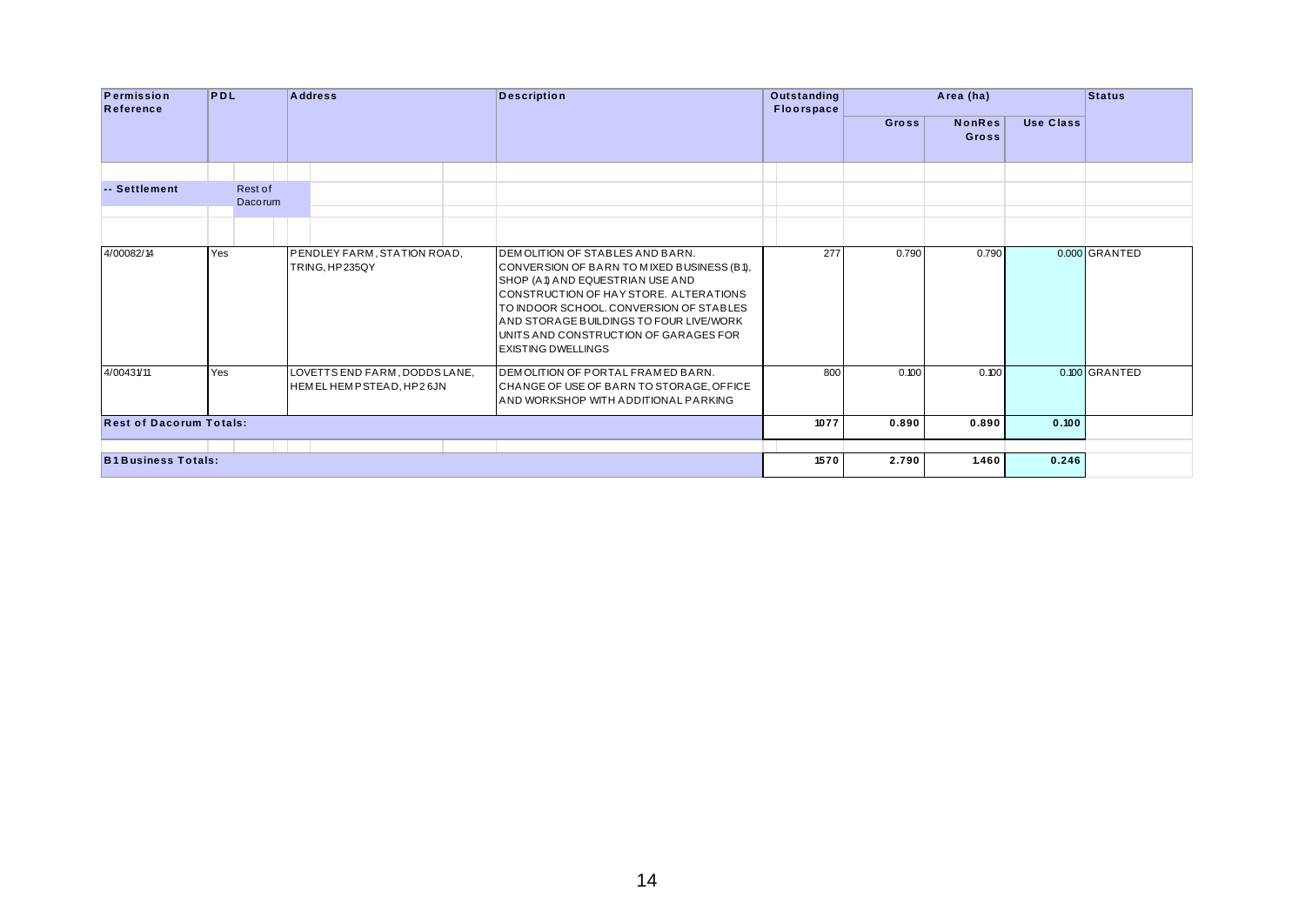| Permission<br>Reference        | PDL |                    |  | <b>Address</b>                                           | <b>Description</b>                                                                                                    | Outstanding<br>Floorspace                     |                                                                                                                                                                                                                                                                                                                                 |       | Area (ha)              |                  | <b>Status</b> |  |               |
|--------------------------------|-----|--------------------|--|----------------------------------------------------------|-----------------------------------------------------------------------------------------------------------------------|-----------------------------------------------|---------------------------------------------------------------------------------------------------------------------------------------------------------------------------------------------------------------------------------------------------------------------------------------------------------------------------------|-------|------------------------|------------------|---------------|--|---------------|
|                                |     |                    |  |                                                          |                                                                                                                       |                                               |                                                                                                                                                                                                                                                                                                                                 | Gross | <b>NonRes</b><br>Gross | <b>Use Class</b> |               |  |               |
|                                |     |                    |  |                                                          |                                                                                                                       |                                               |                                                                                                                                                                                                                                                                                                                                 |       |                        |                  |               |  |               |
| -- Settlement                  |     | Rest of<br>Dacorum |  |                                                          |                                                                                                                       |                                               |                                                                                                                                                                                                                                                                                                                                 |       |                        |                  |               |  |               |
|                                |     |                    |  |                                                          |                                                                                                                       |                                               |                                                                                                                                                                                                                                                                                                                                 |       |                        |                  |               |  |               |
| 4/00082/14                     |     | Yes                |  |                                                          |                                                                                                                       | PENDLEY FARM, STATION ROAD,<br>TRING, HP235QY | <b>IDEMOLITION OF STABLES AND BARN.</b><br>CONVERSION OF BARN TO MIXED BUSINESS (B1),<br>SHOP (A1) AND EQUESTRIAN USE AND<br>CONSTRUCTION OF HAY STORE. ALTERATIONS<br>TO INDOOR SCHOOL. CONVERSION OF STABLES<br>AND STORAGE BUILDINGS TO FOUR LIVE/WORK<br>UNITS AND CONSTRUCTION OF GARAGES FOR<br><b>EXISTING DWELLINGS</b> |       | 277                    | 0.790            | 0.790         |  | 0.000 GRANTED |
| 4/00431/11                     | Yes |                    |  | LOVETTS END FARM, DODDS LANE,<br>HEMEL HEMPSTEAD, HP26JN | DEMOLITION OF PORTAL FRAMED BARN.<br>CHANGE OF USE OF BARN TO STORAGE, OFFICE<br>AND WORKSHOP WITH ADDITIONAL PARKING |                                               | 800                                                                                                                                                                                                                                                                                                                             | 0.100 | 0.100                  |                  | 0.100 GRANTED |  |               |
| <b>Rest of Dacorum Totals:</b> |     |                    |  |                                                          |                                                                                                                       |                                               | 1077                                                                                                                                                                                                                                                                                                                            | 0.890 | 0.890                  | 0.100            |               |  |               |
|                                |     |                    |  |                                                          |                                                                                                                       |                                               |                                                                                                                                                                                                                                                                                                                                 |       |                        |                  |               |  |               |
| <b>B1 Business Totals:</b>     |     |                    |  |                                                          |                                                                                                                       |                                               | 1570                                                                                                                                                                                                                                                                                                                            | 2.790 | 1.460                  | 0.246            |               |  |               |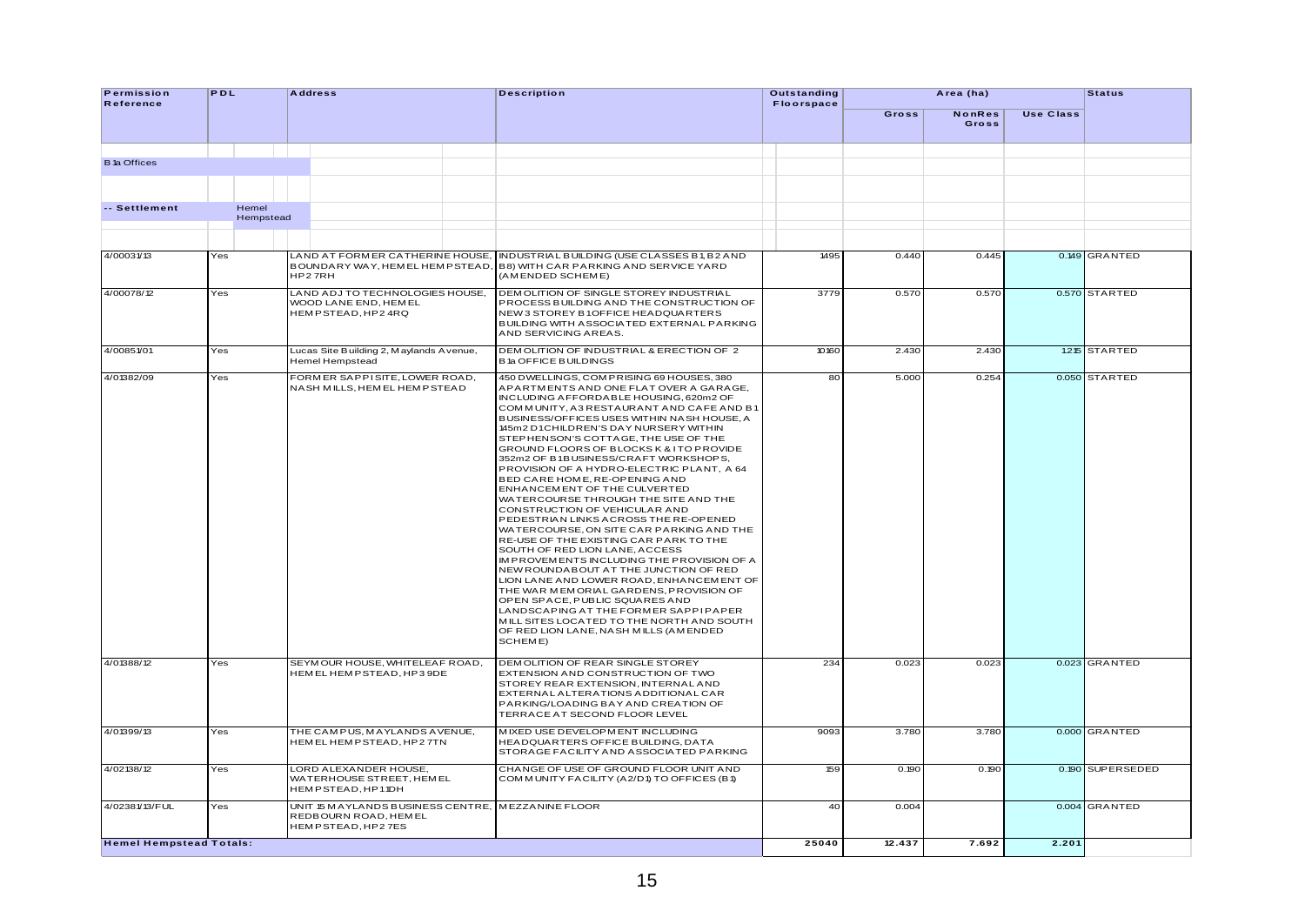| Permission                     | PDL |                    |                                                                                                | <b>Description</b>                                                                                                                                                                                                                                                                                                                                                                                                                                                                                                                                                                                                                                                                                                                                                                                                                                                                                                                                                                                                                                                                                             |                                  |        |                                     |                  |                  |
|--------------------------------|-----|--------------------|------------------------------------------------------------------------------------------------|----------------------------------------------------------------------------------------------------------------------------------------------------------------------------------------------------------------------------------------------------------------------------------------------------------------------------------------------------------------------------------------------------------------------------------------------------------------------------------------------------------------------------------------------------------------------------------------------------------------------------------------------------------------------------------------------------------------------------------------------------------------------------------------------------------------------------------------------------------------------------------------------------------------------------------------------------------------------------------------------------------------------------------------------------------------------------------------------------------------|----------------------------------|--------|-------------------------------------|------------------|------------------|
| Reference                      |     |                    | <b>Address</b>                                                                                 |                                                                                                                                                                                                                                                                                                                                                                                                                                                                                                                                                                                                                                                                                                                                                                                                                                                                                                                                                                                                                                                                                                                | Outstanding<br><b>Floorspace</b> | Gross  | Area (ha)<br><b>NonRes</b><br>Gross | <b>Use Class</b> | <b>Status</b>    |
| <b>B</b> ta Offices            |     |                    |                                                                                                |                                                                                                                                                                                                                                                                                                                                                                                                                                                                                                                                                                                                                                                                                                                                                                                                                                                                                                                                                                                                                                                                                                                |                                  |        |                                     |                  |                  |
|                                |     |                    |                                                                                                |                                                                                                                                                                                                                                                                                                                                                                                                                                                                                                                                                                                                                                                                                                                                                                                                                                                                                                                                                                                                                                                                                                                |                                  |        |                                     |                  |                  |
| -- Settlement                  |     | Hemel<br>Hempstead |                                                                                                |                                                                                                                                                                                                                                                                                                                                                                                                                                                                                                                                                                                                                                                                                                                                                                                                                                                                                                                                                                                                                                                                                                                |                                  |        |                                     |                  |                  |
|                                |     |                    |                                                                                                |                                                                                                                                                                                                                                                                                                                                                                                                                                                                                                                                                                                                                                                                                                                                                                                                                                                                                                                                                                                                                                                                                                                |                                  |        |                                     |                  |                  |
| 4/00031/13                     | Yes |                    | BOUNDARY WAY, HEM ELHEM PSTEAD,<br>HP27RH                                                      | LAND AT FORMER CATHERINE HOUSE, INDUSTRIAL BUILDING (USE CLASSES B1, B2 AND<br>B8) WITH CAR PARKING AND SERVICE YARD<br>(AMENDED SCHEME)                                                                                                                                                                                                                                                                                                                                                                                                                                                                                                                                                                                                                                                                                                                                                                                                                                                                                                                                                                       | 1495                             | 0.440  | 0.445                               |                  | 0.149 GRANTED    |
| 4/00078/12                     | Yes |                    | LAND ADJ TO TECHNOLOGIES HOUSE,<br>WOOD LANE END, HEMEL<br>HEMPSTEAD, HP24RQ                   | DEMOLITION OF SINGLE STOREY INDUSTRIAL<br>PROCESS BUILDING AND THE CONSTRUCTION OF<br>NEW 3 STOREY B1OFFICE HEADQUARTERS<br>BUILDING WITH ASSOCIATED EXTERNAL PARKING<br>AND SERVICING AREAS.                                                                                                                                                                                                                                                                                                                                                                                                                                                                                                                                                                                                                                                                                                                                                                                                                                                                                                                  | 3779                             | 0.570  | 0.570                               |                  | 0.570 STARTED    |
| 4/0085101                      | Yes |                    | Lucas Site Building 2, Maylands Avenue,<br>Hemel Hempstead                                     | DEMOLITION OF INDUSTRIAL & ERECTION OF 2<br><b>B ta OFFICE BUILDINGS</b>                                                                                                                                                                                                                                                                                                                                                                                                                                                                                                                                                                                                                                                                                                                                                                                                                                                                                                                                                                                                                                       | 10160                            | 2.430  | 2.430                               |                  | 1.215 STARTED    |
| 4/01382/09                     | Yes |                    | FORMER SAPPISITE, LOWER ROAD,<br>NASH MILLS, HEMEL HEMPSTEAD                                   | 450 DWELLINGS, COMPRISING 69 HOUSES, 380<br>APARTMENTS AND ONE FLAT OVER A GARAGE,<br>INCLUDING AFFORDABLE HOUSING, 620m2 OF<br>COMMUNITY, A3 RESTAURANT AND CAFE AND B1<br>BUSINESS/OFFICES USES WITHIN NASH HOUSE, A<br>145m2 D1CHILDREN'S DAY NURSERY WITHIN<br>STEPHENSON'S COTTAGE, THE USE OF THE<br>GROUND FLOORS OF BLOCKS K & ITO PROVIDE<br>352m2 OF B1BUSINESS/CRAFT WORKSHOPS,<br>PROVISION OF A HYDRO-ELECTRIC PLANT, A 64<br>BED CARE HOM E, RE-OP ENING AND<br>ENHANCEM ENT OF THE CULVERTED<br>WATERCOURSE THROUGH THE SITE AND THE<br>CONSTRUCTION OF VEHICULAR AND<br>PEDESTRIAN LINKS ACROSS THE RE-OPENED<br>WATERCOURSE, ON SITE CAR PARKING AND THE<br>RE-USE OF THE EXISTING CAR PARK TO THE<br>SOUTH OF RED LION LANE, ACCESS<br>IM PROVEMENTS INCLUDING THE PROVISION OF A<br>NEW ROUNDABOUT AT THE JUNCTION OF RED<br>LION LANE AND LOWER ROAD, ENHANCEM ENT OF<br>THE WAR MEMORIAL GARDENS, PROVISION OF<br>OPEN SPACE, PUBLIC SQUARES AND<br>LANDSCAPING AT THE FORMER SAPPIPAPER<br>MILL SITES LOCATED TO THE NORTH AND SOUTH<br>OF RED LION LANE, NASH MILLS (AMENDED<br>SCHEME) | 80                               | 5.000  | 0.254                               |                  | 0.050 STARTED    |
| 4/01388/12                     | Yes |                    | SEYMOUR HOUSE, WHITELEAF ROAD,<br>HEMEL HEMPSTEAD, HP3 9DE                                     | DEMOLITION OF REAR SINGLE STOREY<br>EXTENSION AND CONSTRUCTION OF TWO<br>STOREY REAR EXTENSION, INTERNAL AND<br>EXTERNAL ALTERATIONS ADDITIONAL CAR<br>PARKING/LOADING BAY AND CREATION OF<br>TERRACE AT SECOND FLOOR LEVEL                                                                                                                                                                                                                                                                                                                                                                                                                                                                                                                                                                                                                                                                                                                                                                                                                                                                                    | 234                              | 0.023  | 0.023                               |                  | 0.023 GRANTED    |
| 4/01399/13                     | Yes |                    | THE CAMPUS, MAYLANDS AVENUE,<br>HEMEL HEM PSTEAD, HP27TN                                       | MIXED USE DEVELOPMENT INCLUDING<br>HEADQUARTERS OFFICE BUILDING, DATA<br>STORAGE FACILITY AND ASSOCIATED PARKING                                                                                                                                                                                                                                                                                                                                                                                                                                                                                                                                                                                                                                                                                                                                                                                                                                                                                                                                                                                               | 9093                             | 3.780  | 3.780                               |                  | 0.000 GRANTED    |
| 4/02138/12                     | Yes |                    | LORD ALEXANDER HOUSE,<br>WATERHOUSE STREET, HEM EL<br>HEMPSTEAD, HP11DH                        | CHANGE OF USE OF GROUND FLOOR UNIT AND<br>COMMUNITY FACILITY (A2/D1) TO OFFICES (B1)                                                                                                                                                                                                                                                                                                                                                                                                                                                                                                                                                                                                                                                                                                                                                                                                                                                                                                                                                                                                                           | 159                              | 0.190  | 0.190                               |                  | 0.190 SUPERSEDED |
| 4/02381/13/FUL                 | Yes |                    | UNIT 15 MAYLANDS BUSINESS CENTRE, MEZZANINE FLOOR<br>REDBOURN ROAD, HEMEL<br>HEMPSTEAD, HP27ES |                                                                                                                                                                                                                                                                                                                                                                                                                                                                                                                                                                                                                                                                                                                                                                                                                                                                                                                                                                                                                                                                                                                | 40                               | 0.004  |                                     |                  | 0.004 GRANTED    |
| <b>Hemel Hempstead Totals:</b> |     |                    |                                                                                                |                                                                                                                                                                                                                                                                                                                                                                                                                                                                                                                                                                                                                                                                                                                                                                                                                                                                                                                                                                                                                                                                                                                | 25040                            | 12.437 | 7.692                               | 2.201            |                  |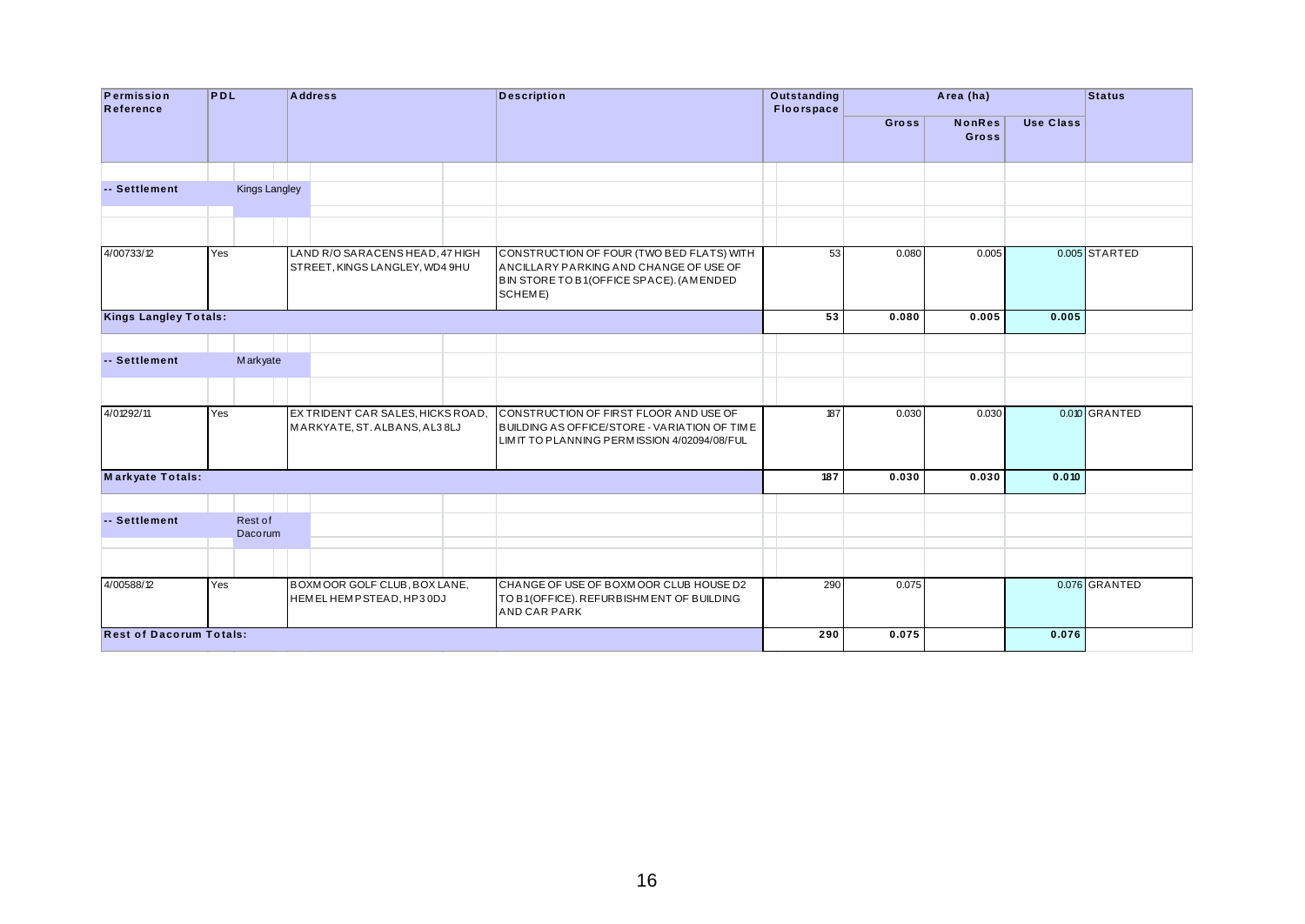| Permission<br>Reference        | PDL |                      | <b>Address</b>                                                     | <b>Description</b>                                                                                                                         | Outstanding<br>Floorspace |     |       | Area (ha)                     |                  | <b>Status</b> |
|--------------------------------|-----|----------------------|--------------------------------------------------------------------|--------------------------------------------------------------------------------------------------------------------------------------------|---------------------------|-----|-------|-------------------------------|------------------|---------------|
|                                |     |                      |                                                                    |                                                                                                                                            |                           |     | Gross | <b>NonRes</b><br><b>Gross</b> | <b>Use Class</b> |               |
|                                |     |                      |                                                                    |                                                                                                                                            |                           |     |       |                               |                  |               |
| -- Settlement                  |     | <b>Kings Langley</b> |                                                                    |                                                                                                                                            |                           |     |       |                               |                  |               |
|                                |     |                      |                                                                    |                                                                                                                                            |                           |     |       |                               |                  |               |
| 4/00733/12                     | Yes |                      | LAND R/O SARACENS HEAD, 47 HIGH<br>STREET, KINGS LANGLEY, WD4 9HU  | CONSTRUCTION OF FOUR (TWO BED FLATS) WITH<br>ANCILLARY PARKING AND CHANGE OF USE OF<br>BIN STORE TO B1 (OFFICE SPACE). (AMENDED<br>SCHEME) |                           | 53  | 0.080 | 0.005                         |                  | 0.005 STARTED |
| <b>Kings Langley Totals:</b>   |     |                      |                                                                    |                                                                                                                                            |                           | 53  | 0.080 | 0.005                         | 0.005            |               |
|                                |     |                      |                                                                    |                                                                                                                                            |                           |     |       |                               |                  |               |
| -- Settlement                  |     | Markyate             |                                                                    |                                                                                                                                            |                           |     |       |                               |                  |               |
|                                |     |                      |                                                                    |                                                                                                                                            |                           |     |       |                               |                  |               |
| 4/01292/11                     | Yes |                      | EX TRIDENT CAR SALES, HICKS ROAD,<br>MARKYATE, ST. ALBANS, AL3 8LJ | CONSTRUCTION OF FIRST FLOOR AND USE OF<br>BUILDING AS OFFICE/STORE - VARIATION OF TIME<br>LIMIT TO PLANNING PERMISSION 4/02094/08/FUL      |                           | 187 | 0.030 | 0.030                         |                  | 0.010 GRANTED |
| <b>Markyate Totals:</b>        |     |                      |                                                                    |                                                                                                                                            |                           | 187 | 0.030 | 0.030                         | 0.010            |               |
| -- Settlement                  |     | Rest of<br>Dacorum   |                                                                    |                                                                                                                                            |                           |     |       |                               |                  |               |
|                                |     |                      |                                                                    |                                                                                                                                            |                           |     |       |                               |                  |               |
| 4/00588/12                     | Yes |                      | BOXMOOR GOLF CLUB, BOX LANE,<br>HEMELHEMPSTEAD, HP30DJ             | CHANGE OF USE OF BOXMOOR CLUB HOUSE D2<br>TO B1(OFFICE). REFURBISHM ENT OF BUILDING<br>AND CAR PARK                                        |                           | 290 | 0.075 |                               |                  | 0.076 GRANTED |
| <b>Rest of Dacorum Totals:</b> |     |                      |                                                                    |                                                                                                                                            |                           | 290 | 0.075 |                               | 0.076            |               |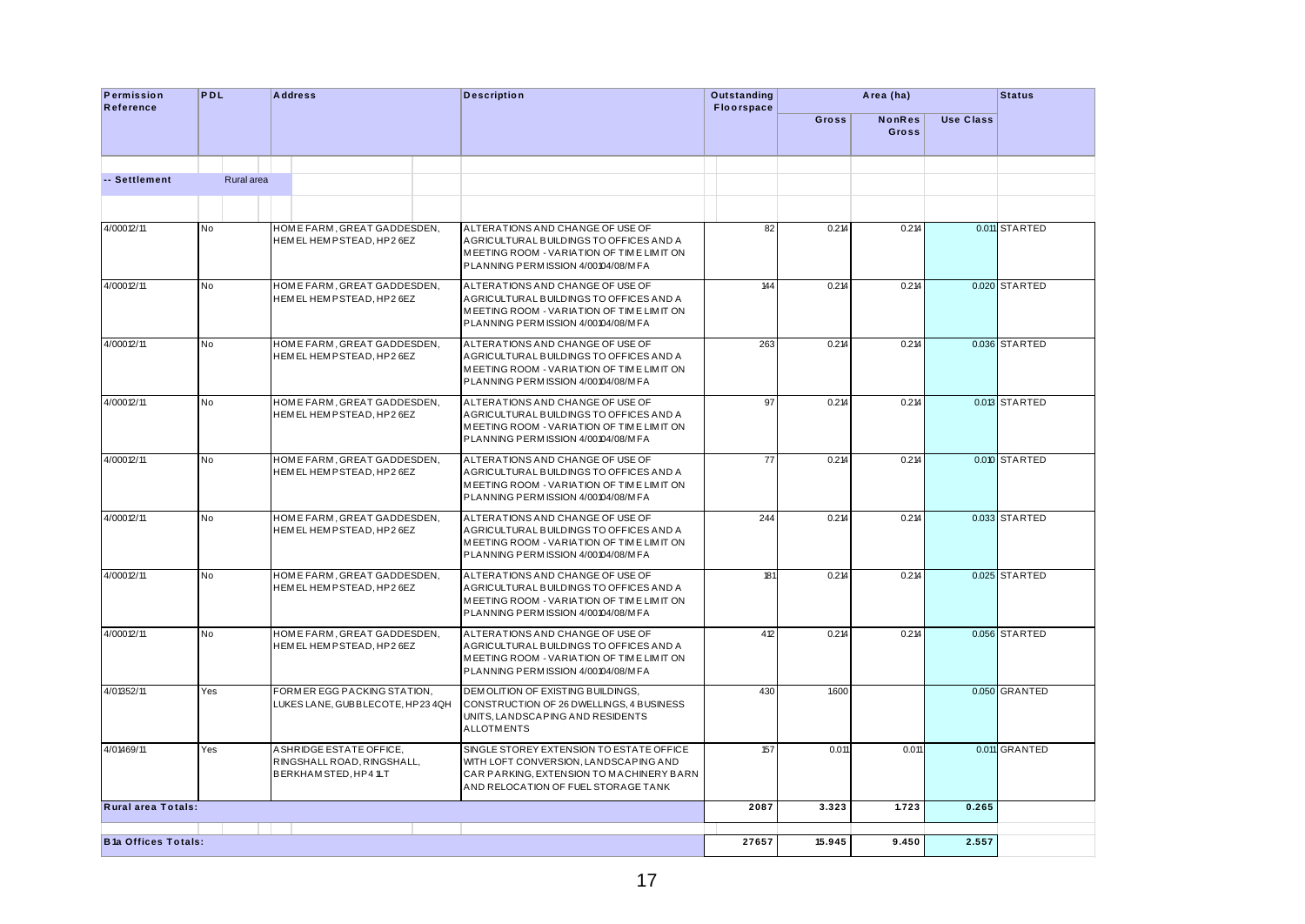| Permission<br>Reference     | <b>PDL</b> | <b>Address</b>                                                                  | <b>Description</b>                                                                                                                                                   | Outstanding<br>Floorspace |        | Area (ha)              |                  | <b>Status</b> |
|-----------------------------|------------|---------------------------------------------------------------------------------|----------------------------------------------------------------------------------------------------------------------------------------------------------------------|---------------------------|--------|------------------------|------------------|---------------|
|                             |            |                                                                                 |                                                                                                                                                                      |                           | Gross  | <b>NonRes</b><br>Gross | <b>Use Class</b> |               |
| -- Settlement               | Rural area |                                                                                 |                                                                                                                                                                      |                           |        |                        |                  |               |
| 4/00012/11                  | No         | HOME FARM. GREAT GADDESDEN.<br>HEMEL HEMPSTEAD, HP26EZ                          | ALTERATIONS AND CHANGE OF USE OF<br>A GRICULTURAL BUILDINGS TO OFFICES AND A<br>MEETING ROOM - VARIATION OF TIME LIMIT ON<br>PLANNING PERMISSION 4/00104/08/MFA      | 82                        | 0.214  | 0.214                  |                  | 0.011 STARTED |
| 4/00012/11                  | No         | HOME FARM, GREAT GADDESDEN,<br>HEMEL HEMPSTEAD, HP26EZ                          | ALTERATIONS AND CHANGE OF USE OF<br>A GRICULTURAL BUILDINGS TO OFFICES AND A<br>MEETING ROOM - VARIATION OF TIME LIMIT ON<br>PLANNING PERMISSION 4/00104/08/MFA      | 144                       | 0.214  | 0.214                  |                  | 0.020 STARTED |
| 4/00012/11                  | No         | HOME FARM, GREAT GADDESDEN,<br>HEMEL HEMPSTEAD. HP26EZ                          | ALTERATIONS AND CHANGE OF USE OF<br>A GRICULTURAL BUILDINGS TO OFFICES AND A<br>MEETING ROOM - VARIATION OF TIME LIMIT ON<br>PLANNING PERMISSION 4/00104/08/MFA      | 263                       | 0.214  | 0.214                  |                  | 0.036 STARTED |
| 4/00012/11                  | No         | HOME FARM, GREAT GADDESDEN,<br>HEMELHEMPSTEAD, HP26EZ                           | ALTERATIONS AND CHANGE OF USE OF<br>A GRICULTURAL BUILDINGS TO OFFICES AND A<br>MEETING ROOM - VARIATION OF TIME LIMIT ON<br>PLANNING PERMISSION 4/00104/08/MFA      | 97                        | 0.214  | 0.214                  |                  | 0.013 STARTED |
| 4/00012/11                  | No         | HOME FARM, GREAT GADDESDEN,<br>HEMEL HEMPSTEAD, HP26EZ                          | ALTERATIONS AND CHANGE OF USE OF<br>A GRICULTURAL BUILDINGS TO OFFICES AND A<br>MEETING ROOM - VARIATION OF TIME LIMIT ON<br>PLANNING PERMISSION 4/00104/08/M FA     | 77                        | 0.214  | 0.214                  |                  | 0.010 STARTED |
| 4/00012/11                  | No         | HOME FARM, GREAT GADDESDEN,<br>HEMEL HEMPSTEAD, HP26EZ                          | ALTERATIONS AND CHANGE OF USE OF<br>A GRICULTURAL BUILDINGS TO OFFICES AND A<br>MEETING ROOM - VARIATION OF TIME LIMIT ON<br>PLANNING PERMISSION 4/00104/08/MFA      | 244                       | 0.214  | 0.214                  |                  | 0.033 STARTED |
| 4/00012/11                  | No         | HOME FARM, GREAT GADDESDEN,<br>HEMEL HEMPSTEAD, HP26EZ                          | ALTERATIONS AND CHANGE OF USE OF<br>A GRICULTURAL BUILDINGS TO OFFICES AND A<br>MEETING ROOM - VARIATION OF TIME LIMIT ON<br>PLANNING PERMISSION 4/00104/08/MFA      | 181                       | 0.214  | 0.214                  |                  | 0.025 STARTED |
| 4/00012/11                  | No         | HOME FARM, GREAT GADDESDEN,<br>HEMEL HEMPSTEAD, HP26EZ                          | ALTERATIONS AND CHANGE OF USE OF<br>A GRICULTURAL BUILDINGS TO OFFICES AND A<br>MEETING ROOM - VARIATION OF TIME LIMIT ON<br>PLANNING PERMISSION 4/00104/08/MFA      | 412                       | 0.214  | 0.214                  |                  | 0.056 STARTED |
| 4/01352/11                  | Yes        | FORMER EGG PACKING STATION,<br>LUKES LANE, GUBBLECOTE, HP23 4QH                 | DEMOLITION OF EXISTING BUILDINGS.<br>CONSTRUCTION OF 26 DWELLINGS, 4 BUSINESS<br>UNITS, LANDSCAPING AND RESIDENTS<br><b>ALLOTMENTS</b>                               | 430                       | 1.600  |                        |                  | 0.050 GRANTED |
| 4/01469/11                  | Yes        | A SHRIDGE ESTATE OFFICE.<br>RINGSHALL ROAD, RINGSHALL,<br>BERKHAM STED, HP4 1LT | SINGLE STOREY EXTENSION TO ESTATE OFFICE<br>WITH LOFT CONVERSION, LANDSCAPING AND<br>CAR PARKING, EXTENSION TO MACHINERY BARN<br>AND RELOCATION OF FUEL STORAGE TANK | 157                       | 0.011  | 0.011                  |                  | 0.011 GRANTED |
| <b>Rural area Totals:</b>   |            |                                                                                 |                                                                                                                                                                      | 2087                      | 3.323  | 1.723                  | 0.265            |               |
| <b>B</b> 1a Offices Totals: |            |                                                                                 |                                                                                                                                                                      | 27657                     | 15.945 | 9.450                  | 2.557            |               |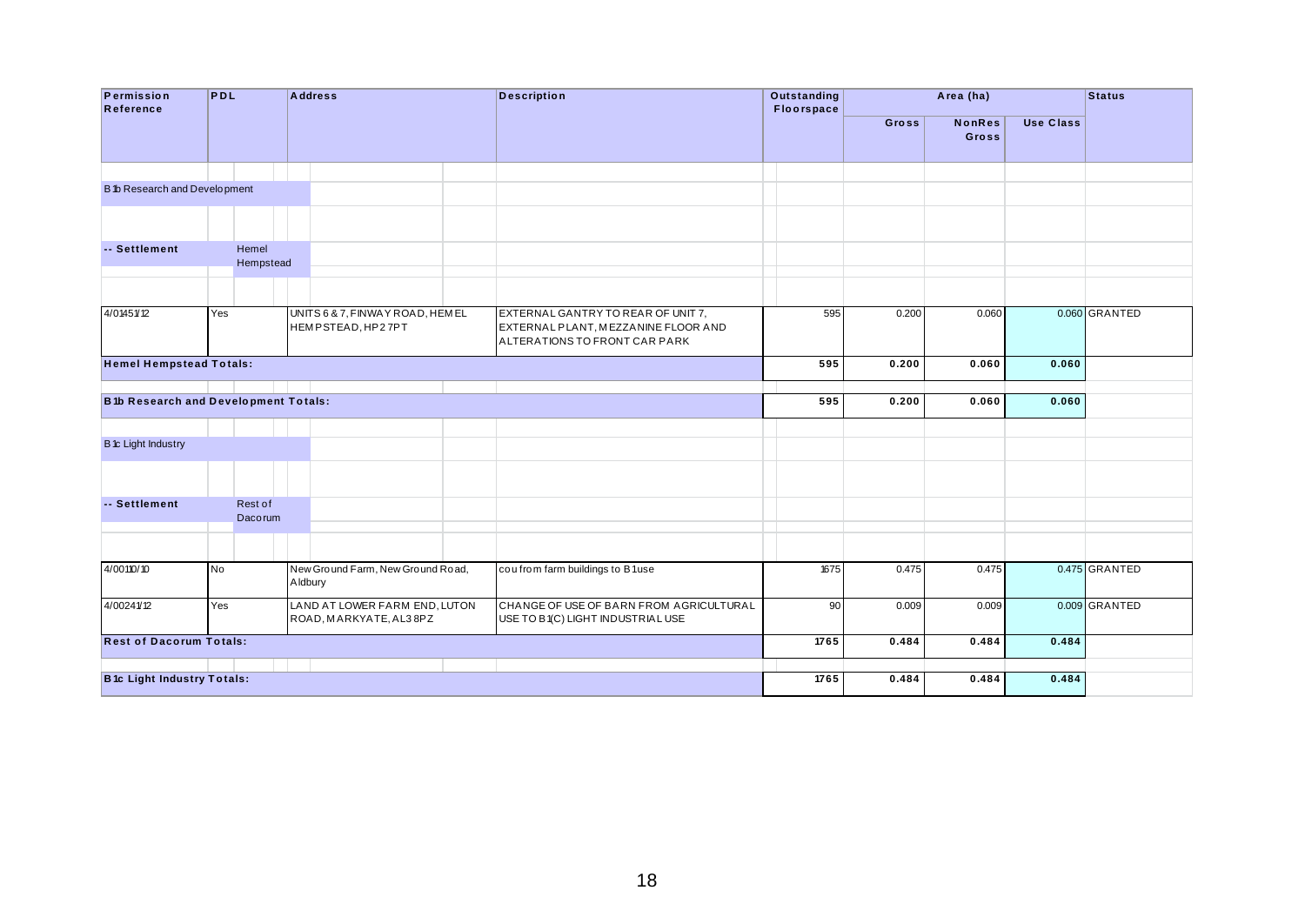| Permission<br>Reference                     | PDL                                |                    |  | <b>Address</b>                                           |  | <b>Description</b>                                                                                         | <b>Outstanding</b><br><b>Floorspace</b> |       | Area (ha)              |                  | <b>Status</b> |
|---------------------------------------------|------------------------------------|--------------------|--|----------------------------------------------------------|--|------------------------------------------------------------------------------------------------------------|-----------------------------------------|-------|------------------------|------------------|---------------|
|                                             |                                    |                    |  |                                                          |  |                                                                                                            |                                         | Gross | <b>NonRes</b><br>Gross | <b>Use Class</b> |               |
|                                             |                                    |                    |  |                                                          |  |                                                                                                            |                                         |       |                        |                  |               |
| B 1b Research and Development               |                                    |                    |  |                                                          |  |                                                                                                            |                                         |       |                        |                  |               |
|                                             |                                    |                    |  |                                                          |  |                                                                                                            |                                         |       |                        |                  |               |
| -- Settlement                               |                                    | Hemel<br>Hempstead |  |                                                          |  |                                                                                                            |                                         |       |                        |                  |               |
|                                             |                                    |                    |  |                                                          |  |                                                                                                            |                                         |       |                        |                  |               |
| 4/01451/12                                  | Yes                                |                    |  | UNITS 6 & 7, FINWAY ROAD, HEMEL<br>HEMPSTEAD, HP27PT     |  | EXTERNAL GANTRY TO REAR OF UNIT 7,<br>EXTERNAL PLANT, MEZZANINE FLOOR AND<br>ALTERATIONS TO FRONT CAR PARK | 595                                     | 0.200 | 0.060                  |                  | 0.060 GRANTED |
| <b>Hemel Hempstead Totals:</b>              |                                    |                    |  |                                                          |  |                                                                                                            | 595                                     | 0.200 | 0.060                  | 0.060            |               |
| <b>B1b Research and Development Totals:</b> |                                    |                    |  |                                                          |  |                                                                                                            | 595                                     | 0.200 | 0.060                  | 0.060            |               |
|                                             |                                    |                    |  |                                                          |  |                                                                                                            |                                         |       |                        |                  |               |
| B 1c Light Industry                         |                                    |                    |  |                                                          |  |                                                                                                            |                                         |       |                        |                  |               |
|                                             |                                    |                    |  |                                                          |  |                                                                                                            |                                         |       |                        |                  |               |
| -- Settlement                               |                                    | Rest of<br>Dacorum |  |                                                          |  |                                                                                                            |                                         |       |                        |                  |               |
|                                             |                                    |                    |  |                                                          |  |                                                                                                            |                                         |       |                        |                  |               |
| 4/00110/10                                  | No                                 |                    |  | New Ground Farm, New Ground Road,<br>Aldbury             |  | cou from farm buildings to B1use                                                                           | $\frac{1675}{ }$                        | 0.475 | 0.475                  |                  | 0.475 GRANTED |
| 4/0024112                                   | Yes                                |                    |  | LAND AT LOWER FARM END, LUTON<br>ROAD, MARKYATE, AL3 8PZ |  | CHANGE OF USE OF BARN FROM AGRICULTURAL<br>USE TO B1(C) LIGHT INDUSTRIAL USE                               | 90                                      | 0.009 | 0.009                  |                  | 0.009 GRANTED |
| <b>Rest of Dacorum Totals:</b>              |                                    |                    |  |                                                          |  |                                                                                                            | 1765                                    | 0.484 | 0.484                  | 0.484            |               |
|                                             |                                    |                    |  |                                                          |  |                                                                                                            |                                         |       |                        |                  |               |
|                                             | <b>B</b> 1c Light Industry Totals: |                    |  |                                                          |  |                                                                                                            | 1765                                    | 0.484 | 0.484                  | 0.484            |               |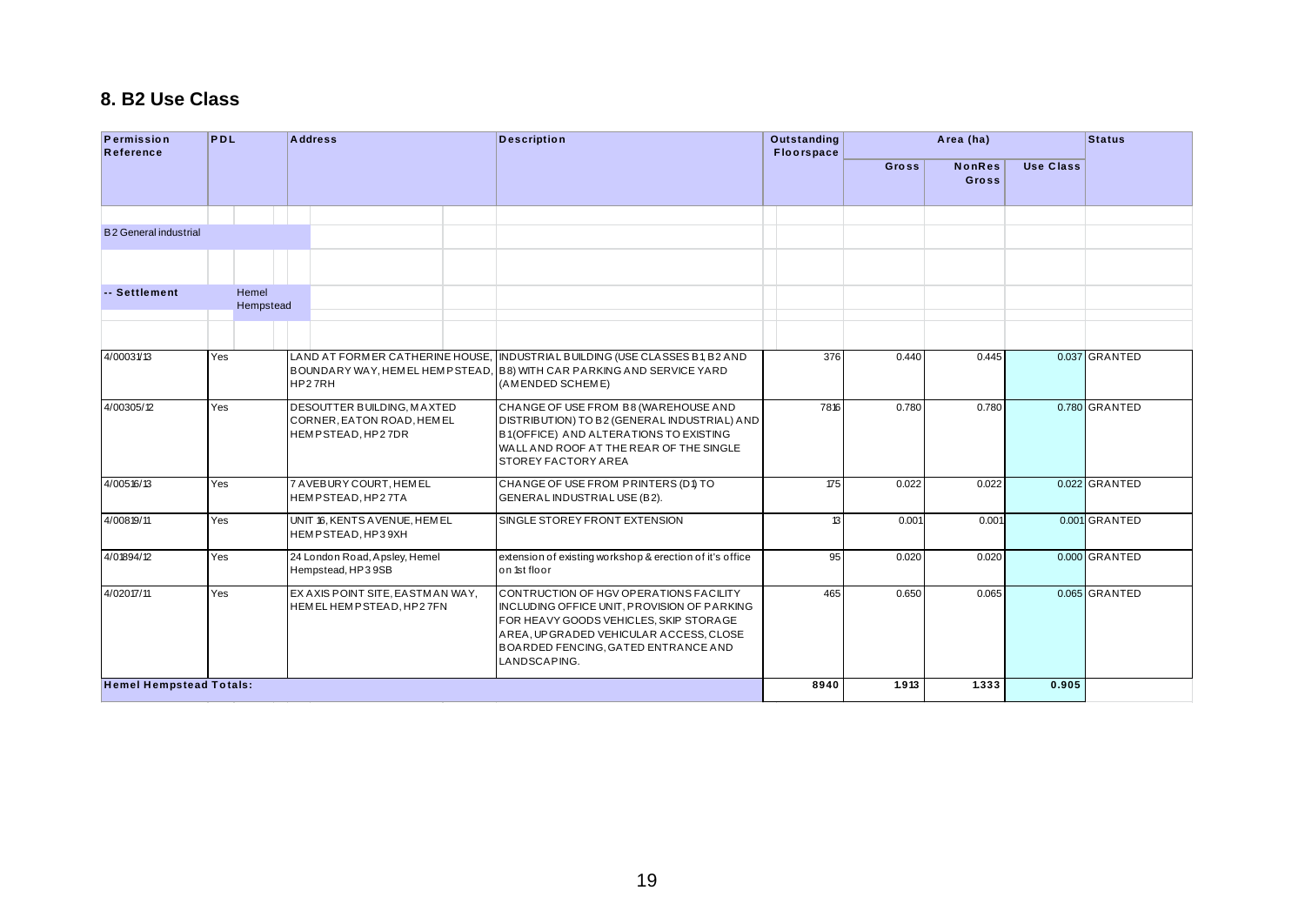# 8. B2 Use Class

| Permission<br>Reference        | <b>PDL</b> |                    | <b>Address</b>                                                               | <b>Description</b>                                                                                                                                                                                                               | Outstanding<br>Floorspace |       | Area (ha)                     |                  | Status        |
|--------------------------------|------------|--------------------|------------------------------------------------------------------------------|----------------------------------------------------------------------------------------------------------------------------------------------------------------------------------------------------------------------------------|---------------------------|-------|-------------------------------|------------------|---------------|
|                                |            |                    |                                                                              |                                                                                                                                                                                                                                  |                           | Gross | <b>NonRes</b><br><b>Gross</b> | <b>Use Class</b> |               |
|                                |            |                    |                                                                              |                                                                                                                                                                                                                                  |                           |       |                               |                  |               |
| <b>B2</b> General industrial   |            |                    |                                                                              |                                                                                                                                                                                                                                  |                           |       |                               |                  |               |
|                                |            |                    |                                                                              |                                                                                                                                                                                                                                  |                           |       |                               |                  |               |
| -- Settlement                  |            | Hemel<br>Hempstead |                                                                              |                                                                                                                                                                                                                                  |                           |       |                               |                  |               |
|                                |            |                    |                                                                              |                                                                                                                                                                                                                                  |                           |       |                               |                  |               |
| 4/0003113                      | Yes        |                    | BOUNDARY WAY, HEMEL HEMPSTEAD,<br>HP27RH                                     | LAND AT FORMER CATHERINE HOUSE, INDUSTRIAL BUILDING (USE CLASSES B1B2 AND<br><b>B8) WITH CAR PARKING AND SERVICE YARD</b><br>(AM ENDED SCHEME)                                                                                   | 376                       | 0.440 | 0.445                         |                  | 0.037 GRANTED |
| 4/00305/12                     | Yes        |                    | DESOUTTER BUILDING, MAXTED<br>CORNER, EATON ROAD, HEMEL<br>HEMPSTEAD, HP27DR | CHANGE OF USE FROM B8 (WAREHOUSE AND<br>DISTRIBUTION) TO B2 (GENERAL INDUSTRIAL) AND<br><b>B1(OFFICE) AND ALTERATIONS TO EXISTING</b><br>WALL AND ROOF AT THE REAR OF THE SINGLE<br><b>STOREY FACTORY AREA</b>                   | 7816                      | 0.780 | 0.780                         |                  | 0.780 GRANTED |
| 4/00516/13                     | Yes        |                    | 7 AVEBURY COURT, HEMEL<br>HEMPSTEAD, HP27TA                                  | CHANGE OF USE FROM PRINTERS (D1) TO<br>GENERAL INDUSTRIAL USE (B2).                                                                                                                                                              | 175                       | 0.022 | 0.022                         |                  | 0.022 GRANTED |
| 4/00819/11                     | Yes        |                    | UNIT 16, KENTS A VENUE, HEM EL<br>HEMPSTEAD, HP39XH                          | SINGLE STOREY FRONT EXTENSION                                                                                                                                                                                                    | 13                        | 0.001 | 0.001                         |                  | 0.001 GRANTED |
| 4/01894/12                     | Yes        |                    | 24 London Road, Apsley, Hemel<br>Hempstead, HP3 9SB                          | extension of existing workshop & erection of it's office<br>on 1st floor                                                                                                                                                         | 95                        | 0.020 | 0.020                         |                  | 0.000 GRANTED |
| 4/02017/11                     | Yes        |                    | EX AXIS POINT SITE, EASTMAN WAY,<br>HEMEL HEMPSTEAD, HP27FN                  | CONTRUCTION OF HGV OPERATIONS FACILITY<br>INCLUDING OFFICE UNIT, PROVISION OF PARKING<br>FOR HEAVY GOODS VEHICLES, SKIP STORAGE<br>AREA, UPGRADED VEHICULAR ACCESS, CLOSE<br>BOARDED FENCING, GATED ENTRANCE AND<br>LANDSCAPING. | 465                       | 0.650 | 0.065                         |                  | 0.065 GRANTED |
| <b>Hemel Hempstead Totals:</b> |            |                    |                                                                              |                                                                                                                                                                                                                                  | 8940                      | 1.913 | 1.333                         | 0.905            |               |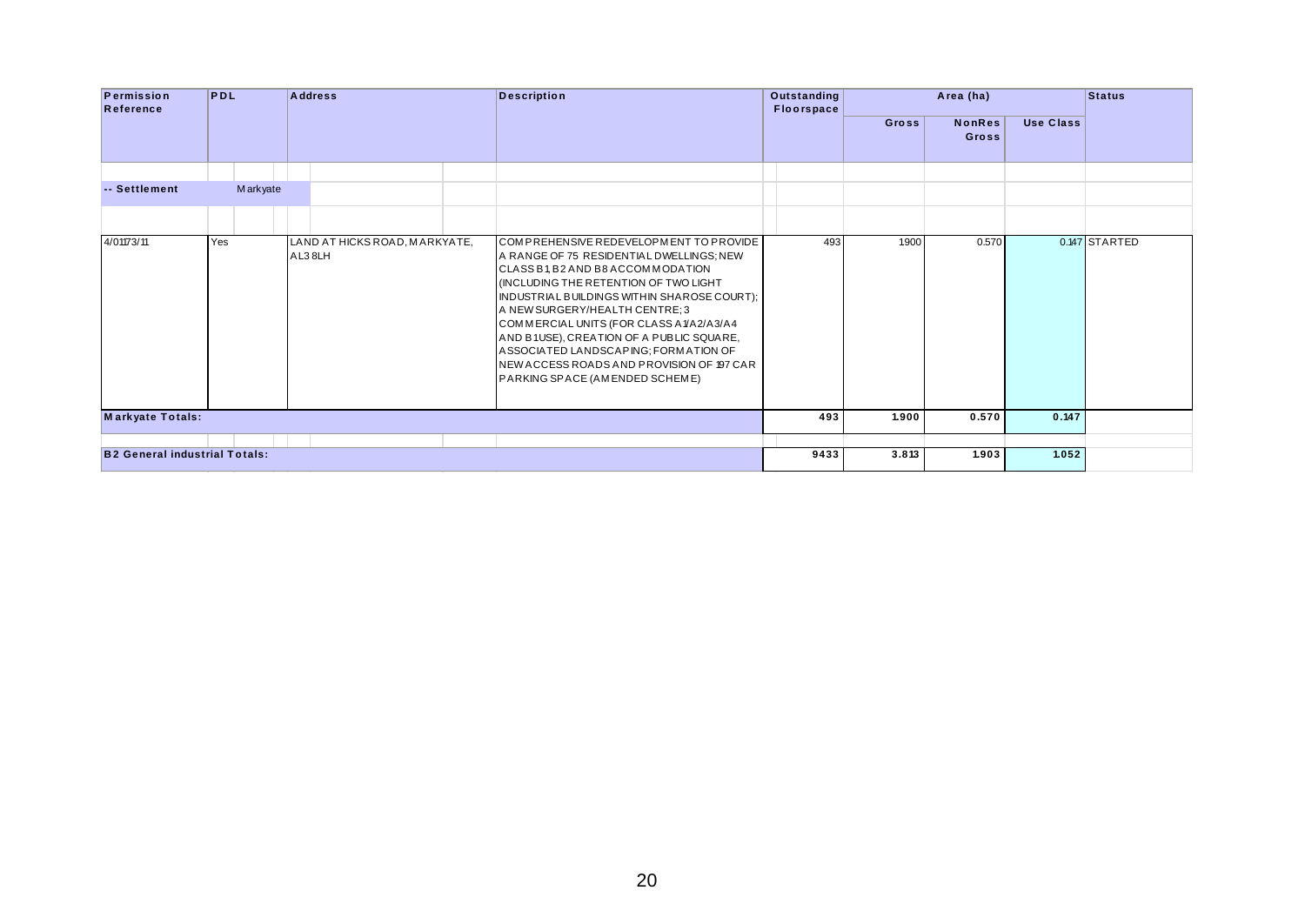| Permission<br>Reference              | PDL |          | <b>Address</b>                          | <b>Description</b>                                                                                                                                                                                                                                                                                                                                                                                                                                                 | Outstanding<br>Floorspace |       | Area (ha)                     |                  | <b>Status</b> |
|--------------------------------------|-----|----------|-----------------------------------------|--------------------------------------------------------------------------------------------------------------------------------------------------------------------------------------------------------------------------------------------------------------------------------------------------------------------------------------------------------------------------------------------------------------------------------------------------------------------|---------------------------|-------|-------------------------------|------------------|---------------|
|                                      |     |          |                                         |                                                                                                                                                                                                                                                                                                                                                                                                                                                                    |                           | Gross | <b>NonRes</b><br><b>Gross</b> | <b>Use Class</b> |               |
|                                      |     |          |                                         |                                                                                                                                                                                                                                                                                                                                                                                                                                                                    |                           |       |                               |                  |               |
| -- Settlement                        |     | Markyate |                                         |                                                                                                                                                                                                                                                                                                                                                                                                                                                                    |                           |       |                               |                  |               |
|                                      |     |          |                                         |                                                                                                                                                                                                                                                                                                                                                                                                                                                                    |                           |       |                               |                  |               |
| 4/01173/11                           | Yes |          | LAND AT HICKS ROAD, MARKYATE,<br>AL38LH | COMPREHENSIVE REDEVELOPMENT TO PROVIDE<br>A RANGE OF 75 RESIDENTIAL DWELLINGS; NEW<br>CLASS B1, B2 AND B8 ACCOM MODATION<br>(INCLUDING THE RETENTION OF TWO LIGHT)<br>INDUSTRIAL BUILDINGS WITHIN SHAROSE COURT);<br>A NEW SURGERY/HEALTH CENTRE; 3<br>COMMERCIAL UNITS (FOR CLASS A 1/A2/A3/A4<br>AND B1USE), CREATION OF A PUBLIC SQUARE,<br>ASSOCIATED LANDSCAPING; FORMATION OF<br>NEW ACCESS ROADS AND PROVISION OF 197 CAR<br>PARKING SPACE (AMENDED SCHEME) | 493                       | 1.900 | 0.570                         |                  | 0.147 STARTED |
| <b>Markyate Totals:</b>              |     |          |                                         |                                                                                                                                                                                                                                                                                                                                                                                                                                                                    | 493                       | 1.900 | 0.570                         | 0.147            |               |
| <b>B2 General industrial Totals:</b> |     |          |                                         |                                                                                                                                                                                                                                                                                                                                                                                                                                                                    | 9433                      | 3.813 | 1.903                         | 1.052            |               |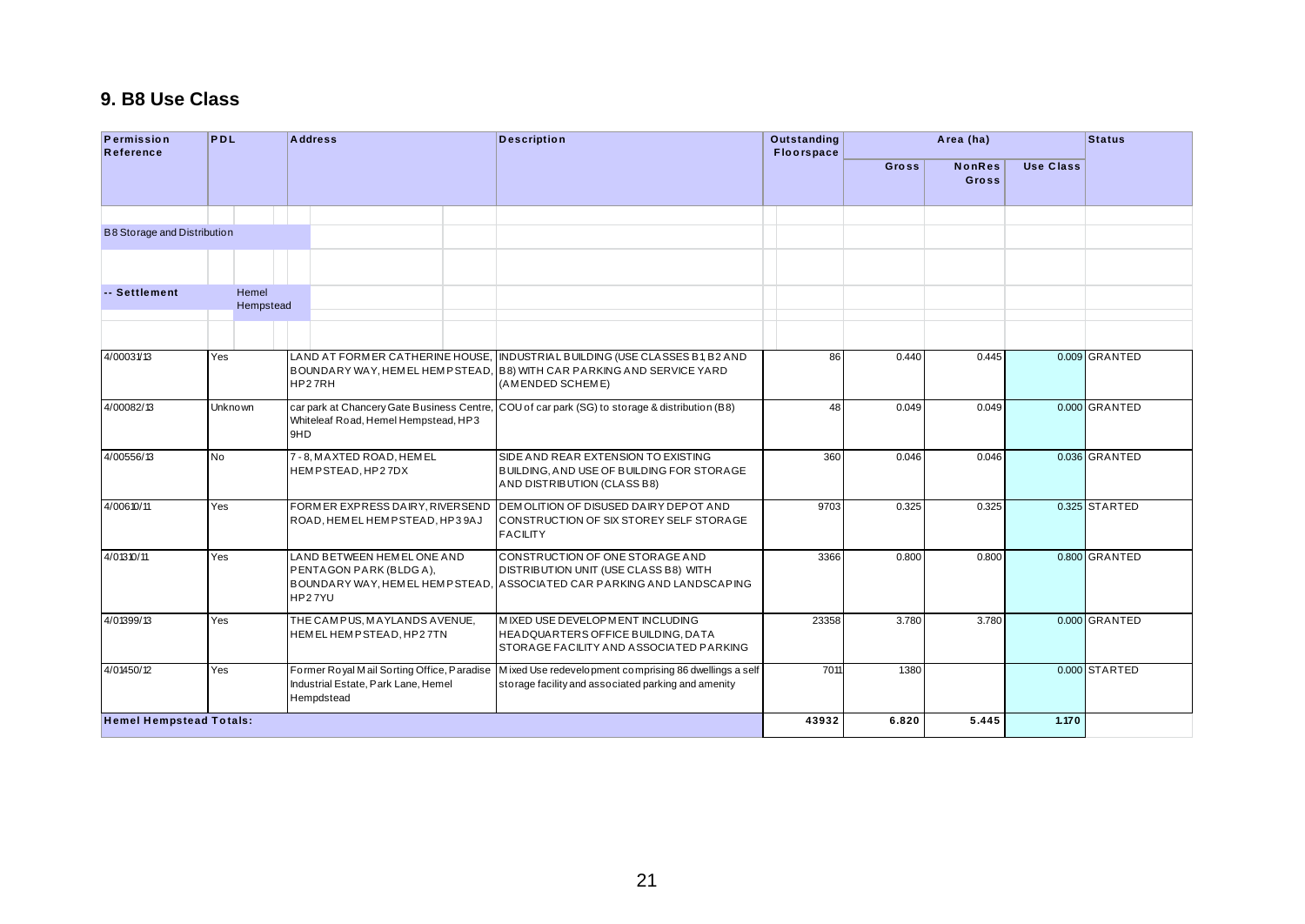## 9. B8 Use Class

| Permission<br>Reference            | PDL       |                    | <b>Address</b>                                                                                     | <b>Description</b>                                                                                                                            | Outstanding<br>Floorspace |       | Area (ha)              |                  | <b>Status</b> |
|------------------------------------|-----------|--------------------|----------------------------------------------------------------------------------------------------|-----------------------------------------------------------------------------------------------------------------------------------------------|---------------------------|-------|------------------------|------------------|---------------|
|                                    |           |                    |                                                                                                    |                                                                                                                                               |                           | Gross | <b>NonRes</b><br>Gross | <b>Use Class</b> |               |
|                                    |           |                    |                                                                                                    |                                                                                                                                               |                           |       |                        |                  |               |
| <b>B8 Storage and Distribution</b> |           |                    |                                                                                                    |                                                                                                                                               |                           |       |                        |                  |               |
|                                    |           |                    |                                                                                                    |                                                                                                                                               |                           |       |                        |                  |               |
| -- Settlement                      |           | Hemel<br>Hempstead |                                                                                                    |                                                                                                                                               |                           |       |                        |                  |               |
|                                    |           |                    |                                                                                                    |                                                                                                                                               |                           |       |                        |                  |               |
| 4/00031/13                         | Yes       |                    | BOUNDARY WAY, HEMEL HEMPSTEAD,<br>HP27RH                                                           | LAND AT FORMER CATHERINE HOUSE, INDUSTRIAL BUILDING (USE CLASSES B1B2 AND<br><b>B8) WITH CAR PARKING AND SERVICE YARD</b><br>(AMENDED SCHEME) | 86                        | 0.440 | 0.445                  |                  | 0.009 GRANTED |
| 4/00082/13                         |           | Unknown            | car park at Chancery Gate Business Centre,<br>Whiteleaf Road, Hemel Hempstead, HP3<br>9HD          | COU of car park (SG) to storage & distribution (B8)                                                                                           | 48                        | 0.049 | 0.049                  |                  | 0.000 GRANTED |
| 4/00556/13                         | <b>No</b> |                    | 7 - 8, MAXTED ROAD, HEMEL<br>HEMPSTEAD, HP27DX                                                     | SIDE AND REAR EXTENSION TO EXISTING<br>BUILDING, AND USE OF BUILDING FOR STORAGE<br>AND DISTRIBUTION (CLASS B8)                               | 360                       | 0.046 | 0.046                  |                  | 0.036 GRANTED |
| 4/00610/11                         | Yes       |                    | FORMER EXPRESS DAIRY, RIVERSEND<br>ROAD, HEMEL HEMPSTEAD, HP39AJ                                   | DEMOLITION OF DISUSED DAIRY DEPOT AND<br>CONSTRUCTION OF SIX STOREY SELF STORAGE<br><b>FACILITY</b>                                           | 9703                      | 0.325 | 0.325                  |                  | 0.325 STARTED |
| 4/01310/11                         | Yes       |                    | LAND BETWEEN HEM EL ONE AND<br>PENTAGON PARK (BLDG A),<br>BOUNDARY WAY, HEMEL HEMPSTEAD,<br>HP27YU | CONSTRUCTION OF ONE STORAGE AND<br>DISTRIBUTION UNIT (USE CLASS B8) WITH<br>IASSOCIATED CAR PARKING AND LANDSCAPING                           | 3366                      | 0.800 | 0.800                  |                  | 0.800 GRANTED |
| 4/01399/13                         | Yes       |                    | THE CAMPUS, MAYLANDS AVENUE,<br>HEMEL HEMPSTEAD, HP27TN                                            | MIXED USE DEVELOPMENT INCLUDING<br>HEADQUARTERS OFFICE BUILDING, DATA<br>STORAGE FACILITY AND ASSOCIATED PARKING                              | 23358                     | 3.780 | 3.780                  |                  | 0.000 GRANTED |
| 4/01450/12                         | Yes       |                    | Former Royal Mail Sorting Office, Paradise<br>Industrial Estate, Park Lane, Hemel<br>Hempdstead    | Mixed Use redevelopment comprising 86 dwellings a self<br>storage facility and associated parking and amenity                                 | 7011                      | 1.380 |                        |                  | 0.000 STARTED |
| <b>Hemel Hempstead Totals:</b>     |           |                    |                                                                                                    |                                                                                                                                               | 43932                     | 6.820 | 5.445                  | 1.170            |               |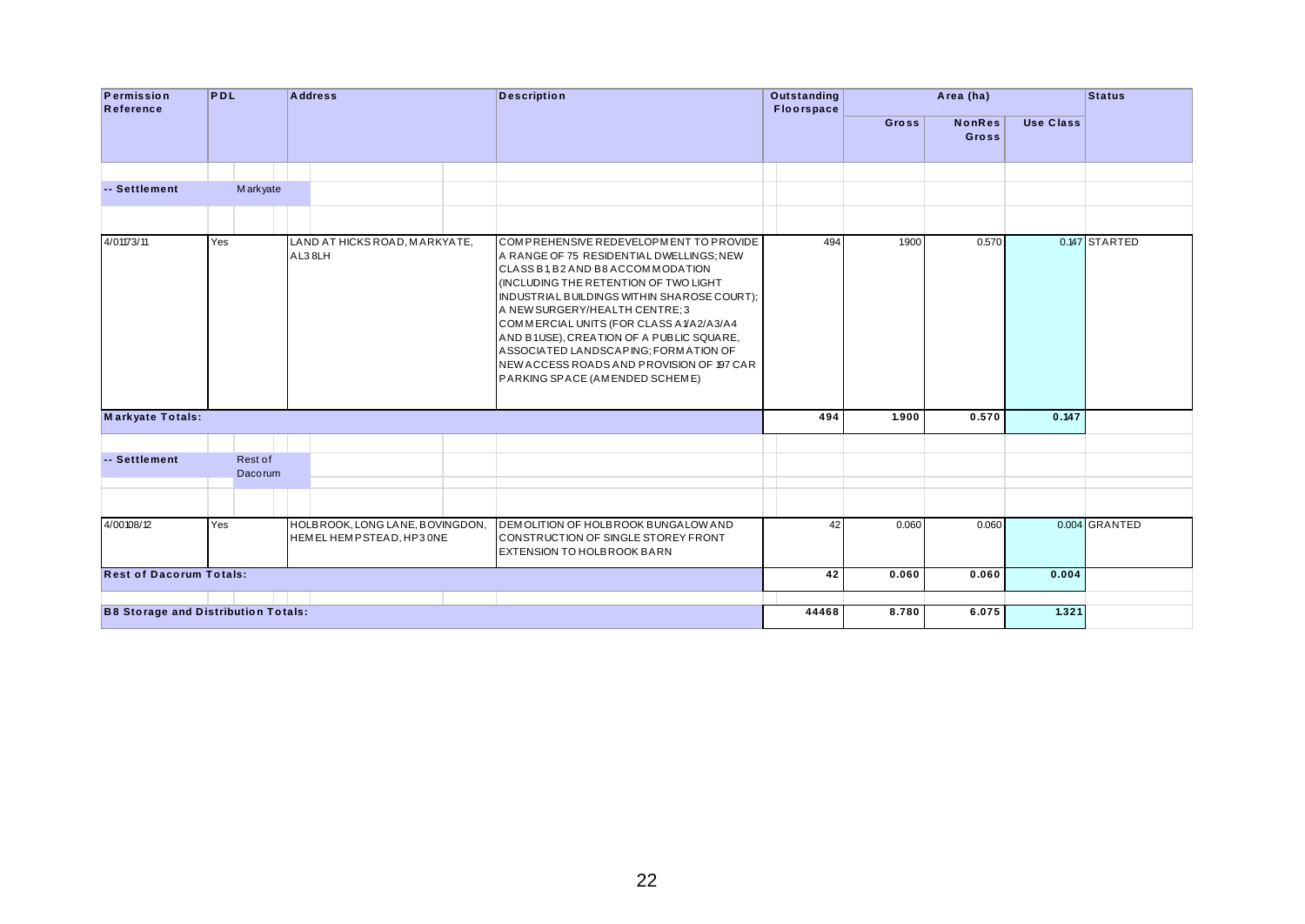| Permission<br>Reference        | PDL                                        |                    |  |         | <b>Address</b>                                              |       | <b>Description</b>                                                                                                                                                                                                                                                                                                                                                                                                                                               | <b>Outstanding</b><br><b>Floorspace</b> |       | Area (ha)              |                  | <b>Status</b> |
|--------------------------------|--------------------------------------------|--------------------|--|---------|-------------------------------------------------------------|-------|------------------------------------------------------------------------------------------------------------------------------------------------------------------------------------------------------------------------------------------------------------------------------------------------------------------------------------------------------------------------------------------------------------------------------------------------------------------|-----------------------------------------|-------|------------------------|------------------|---------------|
|                                |                                            |                    |  |         |                                                             |       |                                                                                                                                                                                                                                                                                                                                                                                                                                                                  |                                         | Gross | <b>NonRes</b><br>Gross | <b>Use Class</b> |               |
|                                |                                            |                    |  |         |                                                             |       |                                                                                                                                                                                                                                                                                                                                                                                                                                                                  |                                         |       |                        |                  |               |
| -- Settlement                  |                                            | Markyate           |  |         |                                                             |       |                                                                                                                                                                                                                                                                                                                                                                                                                                                                  |                                         |       |                        |                  |               |
|                                |                                            |                    |  |         |                                                             |       |                                                                                                                                                                                                                                                                                                                                                                                                                                                                  |                                         |       |                        |                  |               |
| 4/01173/11                     | Yes                                        |                    |  | AL3 8LH | LAND AT HICKS ROAD, MARKYATE,                               |       | COMPREHENSIVE REDEVELOPMENT TO PROVIDE<br>A RANGE OF 75 RESIDENTIAL DWELLINGS; NEW<br>CLASS B1, B2 AND B8 ACCOMMODATION<br>(INCLUDING THE RETENTION OF TWO LIGHT<br>INDUSTRIAL BUILDINGS WITHIN SHAROSE COURT);<br>A NEW SURGERY/HEALTH CENTRE; 3<br>COMMERCIAL UNITS (FOR CLASS A 1/A2/A3/A4<br>AND B1USE), CREATION OF A PUBLIC SQUARE,<br>ASSOCIATED LANDSCAPING; FORMATION OF<br>NEW ACCESS ROADS AND PROVISION OF 197 CAR<br>PARKING SPACE (AMENDED SCHEME) | 494                                     | 1900  | 0.570                  |                  | 0.147 STARTED |
| Markyate Totals:               |                                            |                    |  |         |                                                             |       |                                                                                                                                                                                                                                                                                                                                                                                                                                                                  | 494                                     | 1.900 | 0.570                  | 0.147            |               |
| -- Settlement                  |                                            | Rest of<br>Dacorum |  |         |                                                             |       |                                                                                                                                                                                                                                                                                                                                                                                                                                                                  |                                         |       |                        |                  |               |
| 4/00108/12                     | Yes                                        |                    |  |         | HOLBROOK, LONG LANE, BOVINGDON,<br>HEMEL HEMPSTEAD, HP3 ONE |       | <b>DEMOLITION OF HOLBROOK BUNGALOW AND</b><br>CONSTRUCTION OF SINGLE STOREY FRONT<br>EXTENSION TO HOLBROOK BARN                                                                                                                                                                                                                                                                                                                                                  | 42                                      | 0.060 | 0.060                  |                  | 0.004 GRANTED |
| <b>Rest of Dacorum Totals:</b> |                                            |                    |  |         |                                                             |       |                                                                                                                                                                                                                                                                                                                                                                                                                                                                  | 42                                      | 0.060 | 0.060                  | 0.004            |               |
|                                |                                            |                    |  |         |                                                             |       |                                                                                                                                                                                                                                                                                                                                                                                                                                                                  |                                         |       |                        |                  |               |
|                                | <b>B8 Storage and Distribution Totals:</b> |                    |  |         |                                                             | 44468 | 8.780                                                                                                                                                                                                                                                                                                                                                                                                                                                            | 6.075                                   | 1.321 |                        |                  |               |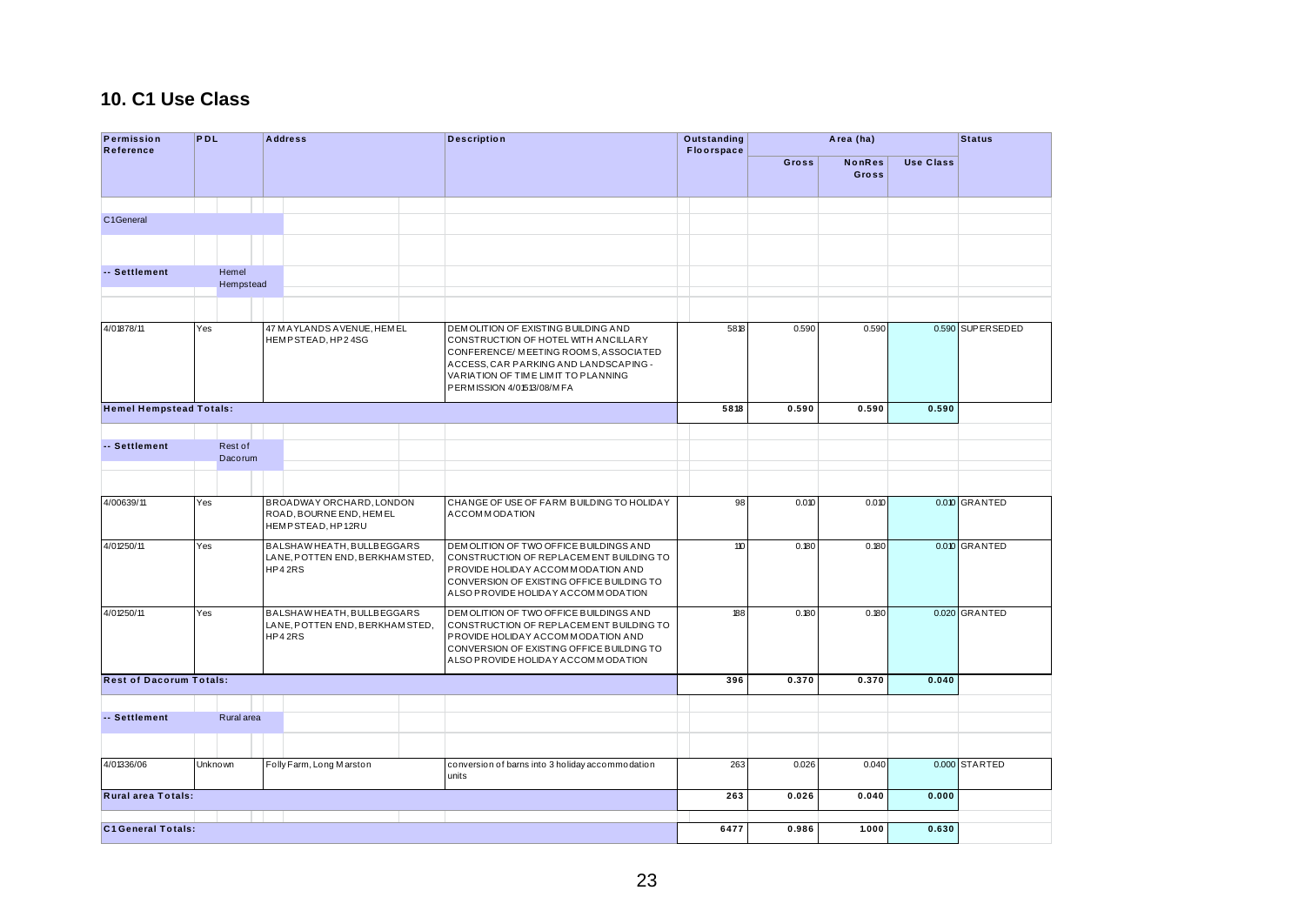# 10. C1 Use Class

| Permission<br>Reference        | PDL |                    | <b>Address</b>                                                           | <b>Description</b>                                                                                                                                                                                                                | Outstanding<br><b>Floorspace</b> |       | Area (ha)              |                  | <b>Status</b>    |
|--------------------------------|-----|--------------------|--------------------------------------------------------------------------|-----------------------------------------------------------------------------------------------------------------------------------------------------------------------------------------------------------------------------------|----------------------------------|-------|------------------------|------------------|------------------|
|                                |     |                    |                                                                          |                                                                                                                                                                                                                                   |                                  | Gross | <b>NonRes</b><br>Gross | <b>Use Class</b> |                  |
|                                |     |                    |                                                                          |                                                                                                                                                                                                                                   |                                  |       |                        |                  |                  |
| C1General                      |     |                    |                                                                          |                                                                                                                                                                                                                                   |                                  |       |                        |                  |                  |
|                                |     |                    |                                                                          |                                                                                                                                                                                                                                   |                                  |       |                        |                  |                  |
| -- Settlement                  |     | Hemel<br>Hempstead |                                                                          |                                                                                                                                                                                                                                   |                                  |       |                        |                  |                  |
|                                |     |                    |                                                                          |                                                                                                                                                                                                                                   |                                  |       |                        |                  |                  |
| 4/01878/11                     | Yes |                    | 47 M A YLANDS AVENUE, HEM EL<br>HEMPSTEAD, HP24SG                        | DEMOLITION OF EXISTING BUILDING AND<br>CONSTRUCTION OF HOTEL WITH ANCILLARY<br>CONFERENCE/ MEETING ROOMS, ASSOCIATED<br>ACCESS, CAR PARKING AND LANDSCAPING -<br>VARIATION OF TIME LIMIT TO PLANNING<br>PERMISSION 4/01513/08/MFA | 5818                             | 0.590 | 0.590                  |                  | 0.590 SUPERSEDED |
| <b>Hemel Hempstead Totals:</b> |     |                    |                                                                          |                                                                                                                                                                                                                                   | 5818                             | 0.590 | 0.590                  | 0.590            |                  |
|                                |     |                    |                                                                          |                                                                                                                                                                                                                                   |                                  |       |                        |                  |                  |
| -- Settlement                  |     | Rest of<br>Dacorum |                                                                          |                                                                                                                                                                                                                                   |                                  |       |                        |                  |                  |
|                                |     |                    |                                                                          |                                                                                                                                                                                                                                   |                                  |       |                        |                  |                  |
|                                |     |                    |                                                                          |                                                                                                                                                                                                                                   |                                  |       |                        |                  |                  |
| 4/00639/11                     | Yes |                    | BROADWAY ORCHARD, LONDON<br>ROAD, BOURNE END, HEMEL<br>HEMPSTEAD, HP12RU | CHANGE OF USE OF FARM BUILDING TO HOLIDAY<br><b>ACCOMMODATION</b>                                                                                                                                                                 | 98                               | 0.010 | 0.010                  |                  | 0.010 GRANTED    |
| 4/01250/11                     | Yes |                    | BALSHAW HEATH, BULLBEGGARS<br>LANE, POTTEN END, BERKHAMSTED,<br>HP42RS   | DEMOLITION OF TWO OFFICE BUILDINGS AND<br>CONSTRUCTION OF REPLACEMENT BUILDING TO<br>PROVIDE HOLIDAY ACCOMMODATION AND<br>CONVERSION OF EXISTING OFFICE BUILDING TO<br>ALSO PROVIDE HOLIDAY ACCOMMODATION                         | 110                              | 0.180 | 0.180                  |                  | 0.010 GRANTED    |
| 4/01250/11                     | Yes |                    | BALSHAW HEATH, BULLBEGGARS<br>LANE, POTTEN END, BERKHAMSTED,<br>HP42RS   | DEMOLITION OF TWO OFFICE BUILDINGS AND<br>CONSTRUCTION OF REPLACEMENT BUILDING TO<br>PROVIDE HOLIDAY ACCOMMODATION AND<br>CONVERSION OF EXISTING OFFICE BUILDING TO<br>ALSO PROVIDE HOLIDAY ACCOMMODATION                         | 188                              | 0.180 | 0.180                  |                  | 0.020 GRANTED    |
| <b>Rest of Dacorum Totals:</b> |     |                    |                                                                          |                                                                                                                                                                                                                                   | 396                              | 0.370 | 0.370                  | 0.040            |                  |
|                                |     |                    |                                                                          |                                                                                                                                                                                                                                   |                                  |       |                        |                  |                  |
| -- Settlement                  |     | Rural area         |                                                                          |                                                                                                                                                                                                                                   |                                  |       |                        |                  |                  |
|                                |     |                    |                                                                          |                                                                                                                                                                                                                                   |                                  |       |                        |                  |                  |
| 4/01336/06                     |     | Unknown            | Folly Farm, Long Marston                                                 | conversion of barns into 3 holiday accommodation<br>units                                                                                                                                                                         | 263                              | 0.026 | 0.040                  |                  | 0.000 STARTED    |
| <b>Rural area Totals:</b>      |     |                    |                                                                          |                                                                                                                                                                                                                                   | 263                              | 0.026 | 0.040                  | 0.000            |                  |
|                                |     |                    |                                                                          |                                                                                                                                                                                                                                   |                                  |       |                        |                  |                  |
| <b>C1 General Totals:</b>      |     |                    |                                                                          |                                                                                                                                                                                                                                   | 6477                             | 0.986 | 1.000                  | 0.630            |                  |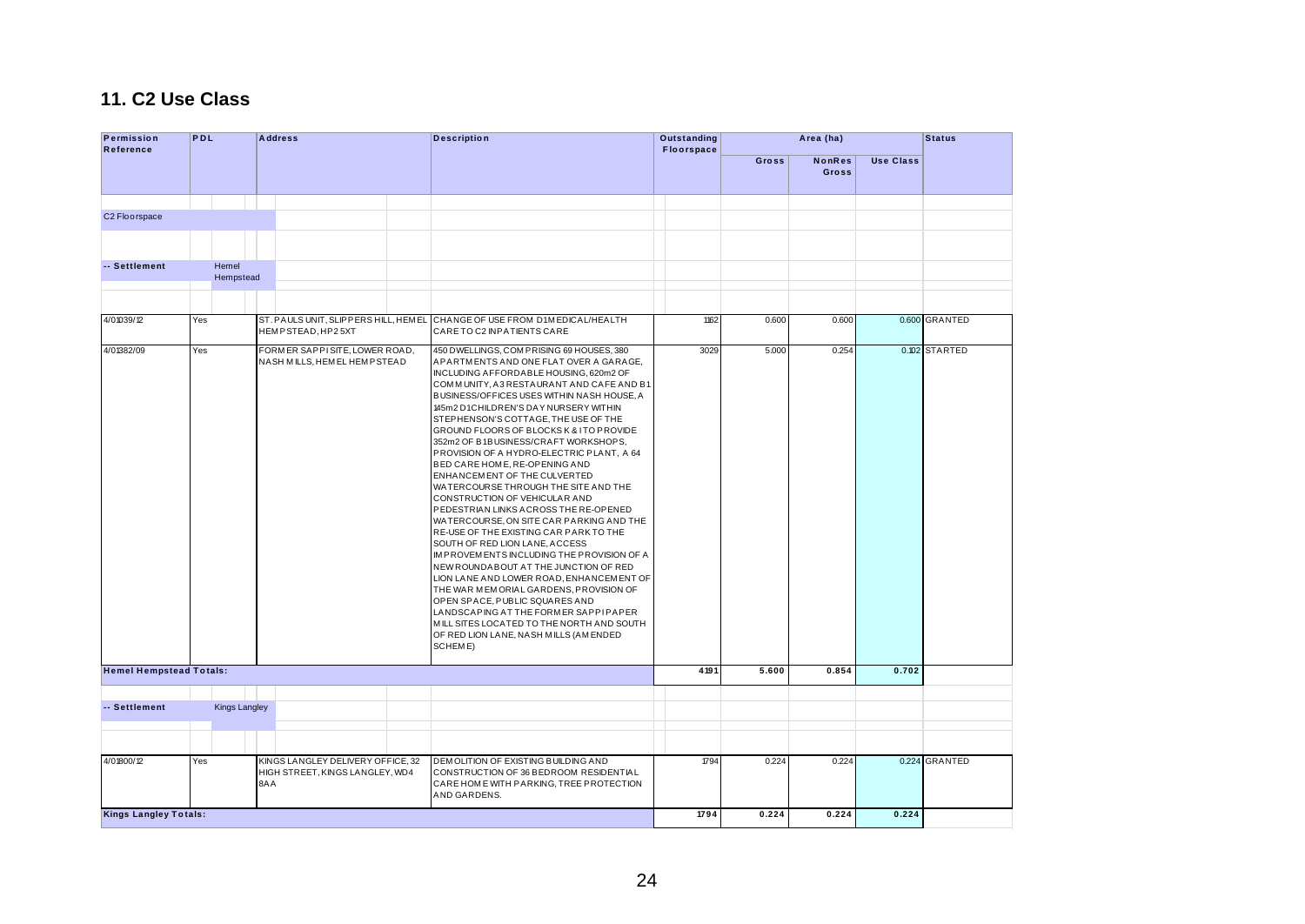### **11. C2 Use Class**

| Permission<br><b>Reference</b> | PDL |                      | <b>Address</b>                                                              | <b>Description</b>                                                                                                                                                                                                                                                                                                                                                                                                                                                                                                                                                                                                                                                                                                                                                                                                                                                                                                                                                                                                                                                                                           | Outstanding<br>Floorspace |       | Area (ha)              |                  | <b>Status</b> |
|--------------------------------|-----|----------------------|-----------------------------------------------------------------------------|--------------------------------------------------------------------------------------------------------------------------------------------------------------------------------------------------------------------------------------------------------------------------------------------------------------------------------------------------------------------------------------------------------------------------------------------------------------------------------------------------------------------------------------------------------------------------------------------------------------------------------------------------------------------------------------------------------------------------------------------------------------------------------------------------------------------------------------------------------------------------------------------------------------------------------------------------------------------------------------------------------------------------------------------------------------------------------------------------------------|---------------------------|-------|------------------------|------------------|---------------|
|                                |     |                      |                                                                             |                                                                                                                                                                                                                                                                                                                                                                                                                                                                                                                                                                                                                                                                                                                                                                                                                                                                                                                                                                                                                                                                                                              |                           | Gross | <b>NonRes</b><br>Gross | <b>Use Class</b> |               |
| C2 Floorspace                  |     |                      |                                                                             |                                                                                                                                                                                                                                                                                                                                                                                                                                                                                                                                                                                                                                                                                                                                                                                                                                                                                                                                                                                                                                                                                                              |                           |       |                        |                  |               |
| -- Settlement                  |     | Hemel                |                                                                             |                                                                                                                                                                                                                                                                                                                                                                                                                                                                                                                                                                                                                                                                                                                                                                                                                                                                                                                                                                                                                                                                                                              |                           |       |                        |                  |               |
|                                |     | Hempstead            |                                                                             |                                                                                                                                                                                                                                                                                                                                                                                                                                                                                                                                                                                                                                                                                                                                                                                                                                                                                                                                                                                                                                                                                                              |                           |       |                        |                  |               |
| 4/01039/12                     | Yes |                      | HEMPSTEAD, HP25XT                                                           | ST. PAULS UNIT, SLIPPERS HILL, HEMEL CHANGE OF USE FROM D1MEDICAL/HEALTH<br>CARE TO C2 INPATIENTS CARE                                                                                                                                                                                                                                                                                                                                                                                                                                                                                                                                                                                                                                                                                                                                                                                                                                                                                                                                                                                                       | 1162                      | 0.600 | 0.600                  |                  | 0.600 GRANTED |
| 4/01382/09                     | Yes |                      | FORMER SAPPISITE, LOWER ROAD,<br>NASH MILLS. HEMEL HEMPSTEAD                | 450 DWELLINGS, COM PRISING 69 HOUSES, 380<br>APARTMENTS AND ONE FLAT OVER A GARAGE,<br>INCLUDING A FFORDABLE HOUSING, 620m2 OF<br>COMMUNITY, A3 RESTAURANT AND CAFE AND B1<br>BUSINESS/OFFICES USES WITHIN NASH HOUSE, A<br>145m2 D1CHILDREN'S DAY NURSERY WITHIN<br>STEPHENSON'S COTTAGE, THE USE OF THE<br>GROUND FLOORS OF BLOCKS K & ITO PROVIDE<br>352m2 OF B1BUSINESS/CRAFT WORKSHOPS,<br>PROVISION OF A HYDRO-ELECTRIC PLANT, A 64<br>BED CARE HOME, RE-OPENING AND<br>ENHANCEMENT OF THE CULVERTED<br>WATERCOURSE THROUGH THE SITE AND THE<br>CONSTRUCTION OF VEHICULAR AND<br>PEDESTRIAN LINKS ACROSS THE RE-OPENED<br>WATERCOURSE, ON SITE CAR PARKING AND THE<br>RE-USE OF THE EXISTING CAR PARK TO THE<br>SOUTH OF RED LION LANE, ACCESS<br>IMPROVEMENTS INCLUDING THE PROVISION OF A<br>NEW ROUNDABOUT AT THE JUNCTION OF RED<br>LION LANE AND LOWER ROAD, ENHANCEM ENT OF<br>THE WAR MEMORIAL GARDENS, PROVISION OF<br>OPEN SPACE, PUBLIC SQUARES AND<br>LANDSCAPING AT THE FORMER SAPPIPAPER<br>MILL SITES LOCATED TO THE NORTH AND SOUTH<br>OF RED LION LANE, NASH MILLS (AMENDED<br>SCHEME) | 3029                      | 5.000 | 0.254                  |                  | 0.102 STARTED |
| <b>Hemel Hempstead Totals:</b> |     |                      |                                                                             |                                                                                                                                                                                                                                                                                                                                                                                                                                                                                                                                                                                                                                                                                                                                                                                                                                                                                                                                                                                                                                                                                                              | 4 1 9 1                   | 5.600 | 0.854                  | 0.702            |               |
| -- Settlement                  |     | <b>Kings Langley</b> |                                                                             |                                                                                                                                                                                                                                                                                                                                                                                                                                                                                                                                                                                                                                                                                                                                                                                                                                                                                                                                                                                                                                                                                                              |                           |       |                        |                  |               |
|                                |     |                      |                                                                             |                                                                                                                                                                                                                                                                                                                                                                                                                                                                                                                                                                                                                                                                                                                                                                                                                                                                                                                                                                                                                                                                                                              |                           |       |                        |                  |               |
| 4/01800/12                     | Yes |                      | KINGS LANGLEY DELIVERY OFFICE, 32<br>HIGH STREET, KINGS LANGLEY, WD4<br>AA8 | DEMOLITION OF EXISTING BUILDING AND<br>CONSTRUCTION OF 36 BEDROOM RESIDENTIAL<br>CARE HOME WITH PARKING, TREE PROTECTION<br>AND GARDENS.                                                                                                                                                                                                                                                                                                                                                                                                                                                                                                                                                                                                                                                                                                                                                                                                                                                                                                                                                                     | 1794                      | 0.224 | 0.224                  |                  | 0.224 GRANTED |
| <b>Kings Langley Totals:</b>   |     |                      |                                                                             |                                                                                                                                                                                                                                                                                                                                                                                                                                                                                                                                                                                                                                                                                                                                                                                                                                                                                                                                                                                                                                                                                                              | 1794                      | 0.224 | 0.224                  | 0.224            |               |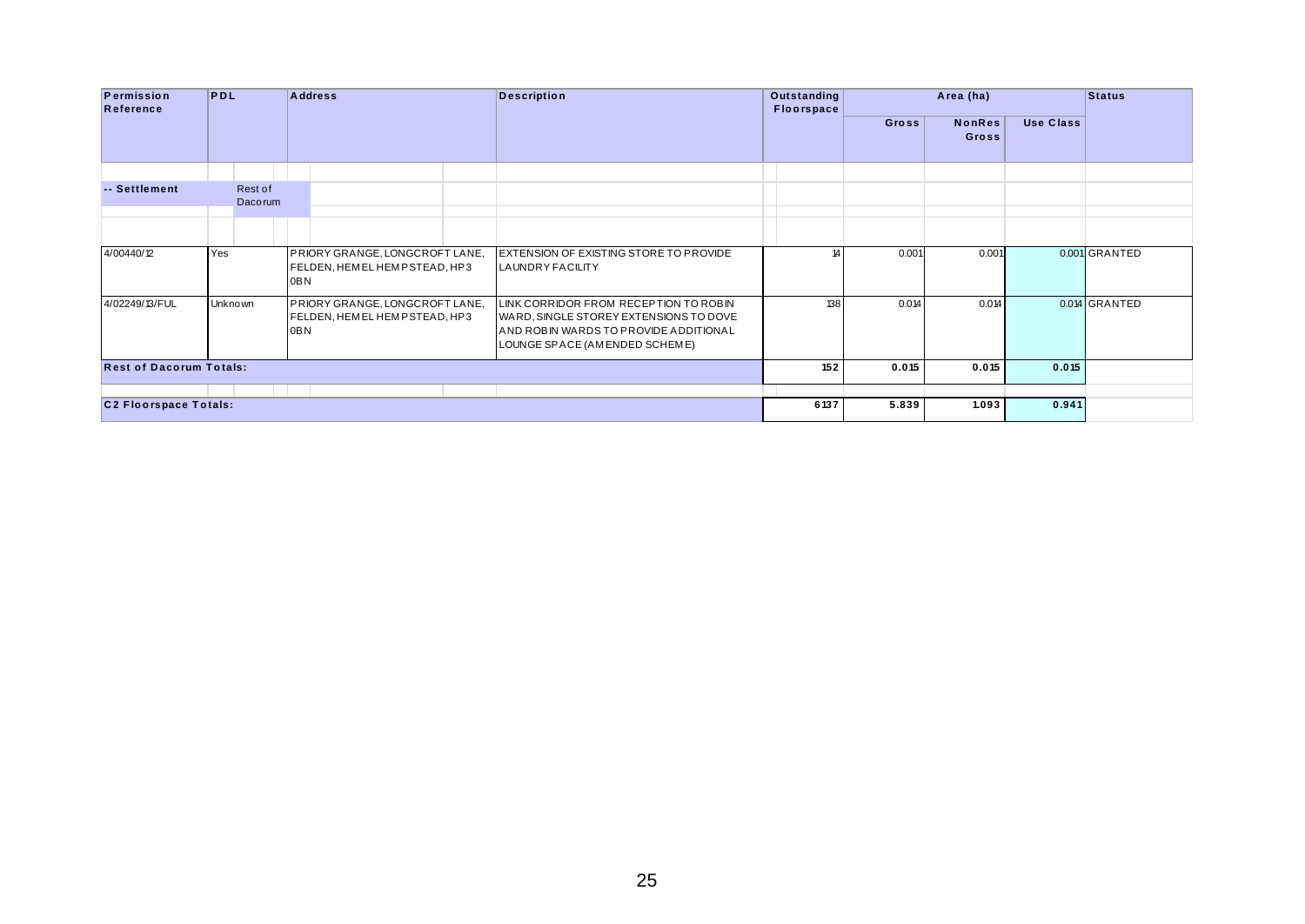| Permission<br>Reference        | PDL |                    | <b>Address</b>                                                                      | <b>Description</b>                                                                                                                                        | <b>Outstanding</b><br>Floorspace |              | Area (ha)                     |                  | <b>Status</b> |
|--------------------------------|-----|--------------------|-------------------------------------------------------------------------------------|-----------------------------------------------------------------------------------------------------------------------------------------------------------|----------------------------------|--------------|-------------------------------|------------------|---------------|
|                                |     |                    |                                                                                     |                                                                                                                                                           |                                  | <b>Gross</b> | <b>NonRes</b><br><b>Gross</b> | <b>Use Class</b> |               |
|                                |     |                    |                                                                                     |                                                                                                                                                           |                                  |              |                               |                  |               |
| -- Settlement                  |     | Rest of<br>Dacorum |                                                                                     |                                                                                                                                                           |                                  |              |                               |                  |               |
|                                |     |                    |                                                                                     |                                                                                                                                                           |                                  |              |                               |                  |               |
| 4/00440/12                     | Yes |                    | PRIORY GRANGE, LONGCROFT LANE,<br>FELDEN, HEM EL HEM PSTEAD, HP3<br>OB <sub>N</sub> | EXTENSION OF EXISTING STORE TO PROVIDE<br><b>LAUNDRY FACILITY</b>                                                                                         | 14                               | 0.001        | 0.001                         |                  | 0.001 GRANTED |
| 4/02249/13/FUL                 |     | <b>Unknown</b>     | PRIORY GRANGE, LONGCROFT LANE,<br>FELDEN, HEM EL HEM PSTEAD, HP3<br>OB <sub>N</sub> | LINK CORRIDOR FROM RECEPTION TO ROBIN<br>WARD, SINGLE STOREY EXTENSIONS TO DOVE<br>AND ROBIN WARDS TO PROVIDE ADDITIONAL<br>LOUNGE SPACE (AMENDED SCHEME) | 138                              | 0.014        | 0.014                         |                  | 0.014 GRANTED |
| <b>Rest of Dacorum Totals:</b> |     |                    |                                                                                     |                                                                                                                                                           | 152                              | 0.015        | 0.015                         | 0.015            |               |
| <b>C2 Floorspace Totals:</b>   |     |                    |                                                                                     |                                                                                                                                                           | 6137                             | 5.839        | 1.093                         | 0.941            |               |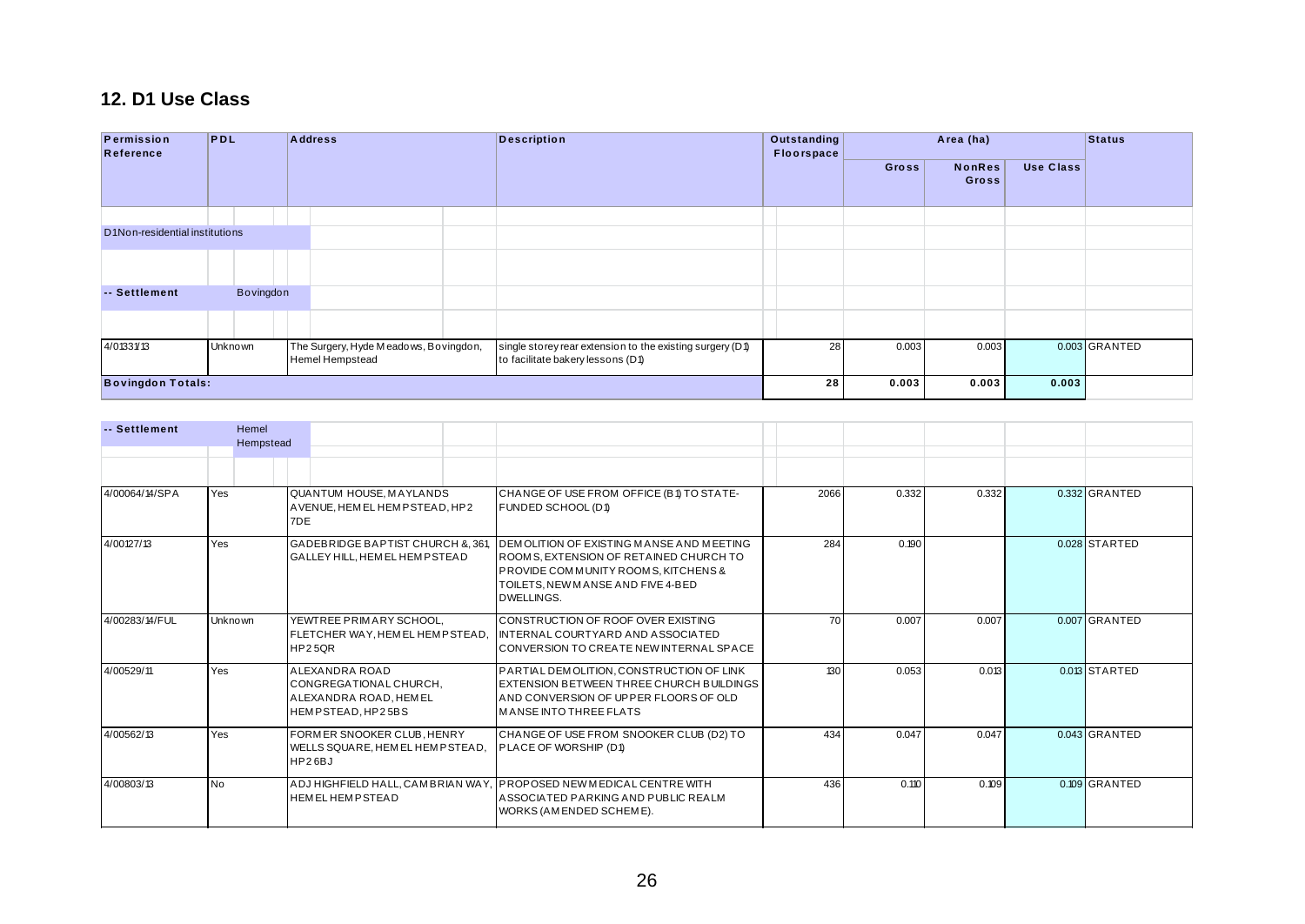#### **12. D1 Use Class**

| 12. D1 Use Class               |         |           |  |                                                          |                                                                                                |             |       |                               |                  |               |
|--------------------------------|---------|-----------|--|----------------------------------------------------------|------------------------------------------------------------------------------------------------|-------------|-------|-------------------------------|------------------|---------------|
| Permission                     | PDL     |           |  | <b>Address</b>                                           | <b>Description</b>                                                                             | Outstanding |       | Area (ha)                     |                  | <b>Status</b> |
| Reference                      |         |           |  |                                                          |                                                                                                | Floorspace  | Gross | <b>NonRes</b><br><b>Gross</b> | <b>Use Class</b> |               |
| D1Non-residential institutions |         |           |  |                                                          |                                                                                                |             |       |                               |                  |               |
|                                |         |           |  |                                                          |                                                                                                |             |       |                               |                  |               |
| -- Settlement                  |         | Bovingdon |  |                                                          |                                                                                                |             |       |                               |                  |               |
|                                |         |           |  |                                                          |                                                                                                |             |       |                               |                  |               |
| 4/01331/13                     | Unknown |           |  | The Surgery, Hyde Meadows, Bovingdon,<br>Hemel Hempstead | single storey rear extension to the existing surgery (D1)<br>to facilitate bakery lessons (D1) | 28          | 0.003 | 0.003                         |                  | 0.003 GRANTED |
| <b>Bovingdon Totals:</b>       |         |           |  |                                                          |                                                                                                | 28          | 0.003 | 0.003                         | 0.003            |               |

| -- Settlement  | Hemel<br>Hempstead |                                                                                               |                                                                                                                                                                                                                |      |       |       |                 |
|----------------|--------------------|-----------------------------------------------------------------------------------------------|----------------------------------------------------------------------------------------------------------------------------------------------------------------------------------------------------------------|------|-------|-------|-----------------|
|                |                    |                                                                                               |                                                                                                                                                                                                                |      |       |       |                 |
| 4/00064/14/SPA | Yes                | <b>QUANTUM HOUSE, MAYLANDS</b><br>AVENUE, HEM EL HEM PSTEAD, HP2<br>7DE                       | CHANGE OF USE FROM OFFICE (B1) TO STATE-<br>FUNDED SCHOOL (D1)                                                                                                                                                 | 2066 | 0.332 | 0.332 | $0.332$ GRANTED |
| 4/00127/13     | <b>Yes</b>         | GALLEY HILL, HEMEL HEM PSTEAD                                                                 | GADEBRIDGE BAPTIST CHURCH &, 361, DEMOLITION OF EXISTING MANSE AND MEETING<br>ROOMS, EXTENSION OF RETAINED CHURCH TO<br>PROVIDE COMMUNITY ROOMS, KITCHENS &<br>TOILETS, NEW MANSE AND FIVE 4-BED<br>DWELLINGS. | 284  | 0.190 |       | $0.028$ STARTED |
| 4/00283/14/FUL | Unknown            | YEWTREE PRIMARY SCHOOL.<br>FLETCHER WAY, HEMEL HEMPSTEAD,<br>HP25QR                           | CONSTRUCTION OF ROOF OVER EXISTING<br>INTERNAL COURTYARD AND ASSOCIATED<br>CONVERSION TO CREATE NEW INTERNAL SPACE                                                                                             | 70   | 0.007 | 0.007 | 0.007 GRANTED   |
| 4/00529/11     | Yes                | <b>ALEXANDRA ROAD</b><br>CONGREGATIONAL CHURCH,<br>ALEXANDRA ROAD, HEMEL<br>HEMPSTEAD, HP25BS | PARTIAL DEMOLITION, CONSTRUCTION OF LINK<br>EXTENSION BETWEEN THREE CHURCH BUILDINGS<br>AND CONVERSION OF UPPER FLOORS OF OLD<br><b>IMANSE INTO THREE FLATS</b>                                                | 130  | 0.053 | 0.013 | 0.013 STARTED   |
| 4/00562/13     | Yes                | FORMER SNOOKER CLUB, HENRY<br>WELLS SQUARE. HEMEL HEM PSTEAD.<br>HP26BJ                       | CHANGE OF USE FROM SNOOKER CLUB (D2) TO<br>PLACE OF WORSHIP (D1)                                                                                                                                               | 434  | 0.047 | 0.047 | 0.043 GRANTED   |
| 4/00803/13     | <b>No</b>          | <b>HEMELHEMPSTEAD</b>                                                                         | ADJ HIGHFIELD HALL, CAMBRIAN WAY, PROPOSED NEW MEDICAL CENTRE WITH<br>ASSOCIATED PARKING AND PUBLIC REALM<br>WORKS (AMENDED SCHEME).                                                                           | 436  | 0.110 | 0.109 | 0.109 GRANTED   |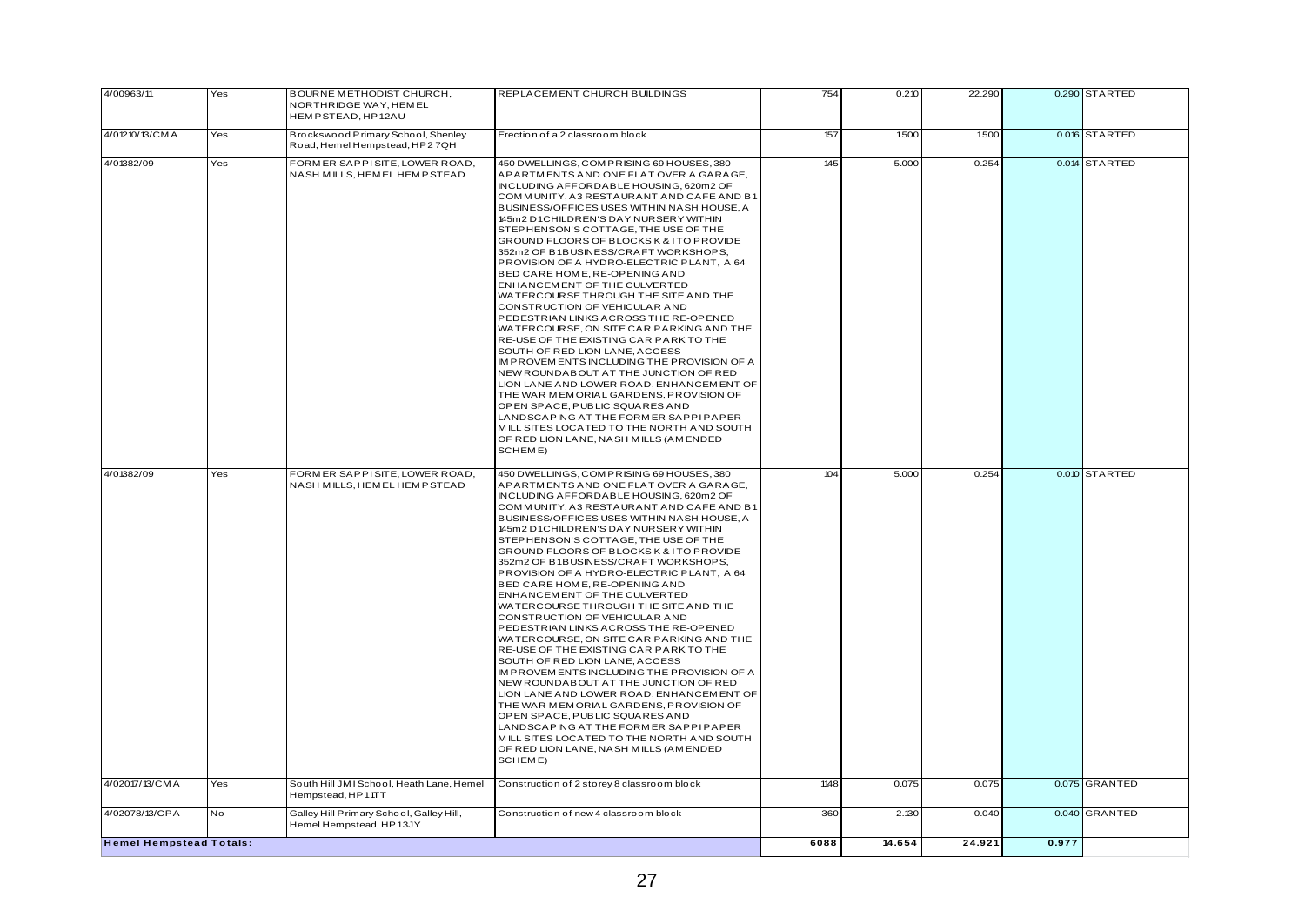| 4/00963/11                       | Yes       | BOURNE METHODIST CHURCH,<br>NORTHRIDGE WAY, HEM EL<br>HEMPSTEAD, HP12AU                                    | REPLACEMENT CHURCH BUILDINGS                                                                                                                                                                                                                                                                                                                                                                                                                                                                                                                                                                                                                                                                                                                                                                                                                                                                                                                                                                                                                                                                                 | 754         | 0.210          | 22.290         |       | 0.290 STARTED                  |
|----------------------------------|-----------|------------------------------------------------------------------------------------------------------------|--------------------------------------------------------------------------------------------------------------------------------------------------------------------------------------------------------------------------------------------------------------------------------------------------------------------------------------------------------------------------------------------------------------------------------------------------------------------------------------------------------------------------------------------------------------------------------------------------------------------------------------------------------------------------------------------------------------------------------------------------------------------------------------------------------------------------------------------------------------------------------------------------------------------------------------------------------------------------------------------------------------------------------------------------------------------------------------------------------------|-------------|----------------|----------------|-------|--------------------------------|
| 4/01210/13/CMA                   | Yes       | Brockswood Primary School, Shenley<br>Road, Hemel Hempstead, HP2 7QH                                       | Erection of a 2 classroom block                                                                                                                                                                                                                                                                                                                                                                                                                                                                                                                                                                                                                                                                                                                                                                                                                                                                                                                                                                                                                                                                              | 157         | 1.500          | 1.500          |       | 0.016 STARTED                  |
| 4/01382/09                       | Yes       | FORMER SAPPISITE, LOWER ROAD,<br>NASH MILLS, HEM EL HEM PSTEAD                                             | 450 DWELLINGS, COM PRISING 69 HOUSES, 380<br>APARTMENTS AND ONE FLAT OVER A GARAGE,<br>INCLUDING A FFORDABLE HOUSING, 620m2 OF<br>COMMUNITY, A3 RESTAURANT AND CAFE AND B1<br>BUSINESS/OFFICES USES WITHIN NASH HOUSE, A<br>145m2 D1CHILDREN'S DAY NURSERY WITHIN<br>STEPHENSON'S COTTAGE, THE USE OF THE<br>GROUND FLOORS OF BLOCKS K & ITO PROVIDE<br>352m2 OF B1BUSINESS/CRAFT WORKSHOPS,<br>PROVISION OF A HYDRO-ELECTRIC PLANT, A 64<br>BED CARE HOME, RE-OPENING AND<br>ENHANCEM ENT OF THE CULVERTED<br>WATERCOURSE THROUGH THE SITE AND THE<br>CONSTRUCTION OF VEHICULAR AND<br>PEDESTRIAN LINKS ACROSS THE RE-OPENED<br>WATERCOURSE, ON SITE CAR PARKING AND THE<br>RE-USE OF THE EXISTING CAR PARK TO THE<br>SOUTH OF RED LION LANE, ACCESS<br>IMPROVEMENTS INCLUDING THE PROVISION OF A<br>NEW ROUNDABOUT AT THE JUNCTION OF RED<br>LION LANE AND LOWER ROAD, ENHANCEMENT OF<br>THE WAR MEMORIAL GARDENS, PROVISION OF<br>OPEN SPACE, PUBLIC SQUARES AND<br>LANDSCAPING AT THE FORMER SAPPIPAPER<br>MILL SITES LOCATED TO THE NORTH AND SOUTH<br>OF RED LION LANE, NASH MILLS (AMENDED<br>SCHEME) | 145         | 5.000          | 0.254          |       | 0.014 STARTED                  |
| 4/01382/09                       | Yes       | FORMER SAPPISITE, LOWER ROAD,<br>NASH MILLS, HEMEL HEMPSTEAD                                               | 450 DWELLINGS, COM PRISING 69 HOUSES, 380<br>APARTMENTS AND ONE FLAT OVER A GARAGE,<br>INCLUDING AFFORDABLE HOUSING, 620m2 OF<br>COMMUNITY, A3 RESTAURANT AND CAFE AND B1<br>BUSINESS/OFFICES USES WITHIN NASH HOUSE, A<br>145m2 D1CHILDREN'S DAY NURSERY WITHIN<br>STEPHENSON'S COTTAGE, THE USE OF THE<br>GROUND FLOORS OF BLOCKS K & ITO PROVIDE<br>352m2 OF B1BUSINESS/CRAFT WORKSHOPS,<br>PROVISION OF A HYDRO-ELECTRIC PLANT, A 64<br>BED CARE HOME, RE-OPENING AND<br>ENHANCEM ENT OF THE CULVERTED<br>WATERCOURSE THROUGH THE SITE AND THE<br>CONSTRUCTION OF VEHICULAR AND<br>PEDESTRIAN LINKS ACROSS THE RE-OPENED<br>WATERCOURSE, ON SITE CAR PARKING AND THE<br>RE-USE OF THE EXISTING CAR PARK TO THE<br>SOUTH OF RED LION LANE, ACCESS<br>IMPROVEMENTS INCLUDING THE PROVISION OF A<br>NEW ROUNDABOUT AT THE JUNCTION OF RED<br>LION LANE AND LOWER ROAD, ENHANCEMENT OF<br>THE WAR MEMORIAL GARDENS, PROVISION OF<br>OPEN SPACE, PUBLIC SQUARES AND<br>LANDSCAPING AT THE FORMER SAPPIPAPER<br>MILL SITES LOCATED TO THE NORTH AND SOUTH<br>OF RED LION LANE, NASH MILLS (AMENDED<br>SCHEME)  | 104         | 5.000          | 0.254          |       | 0.010 STARTED                  |
| 4/02017/13/CMA<br>4/02078/13/CPA | Yes<br>No | South Hill JM I School, Heath Lane, Hemel<br>Hempstead, HP11TT<br>Galley Hill Primary School, Galley Hill, | Construction of 2 storey 8 classroom block<br>Construction of new 4 classroom block                                                                                                                                                                                                                                                                                                                                                                                                                                                                                                                                                                                                                                                                                                                                                                                                                                                                                                                                                                                                                          | 1148<br>360 | 0.075<br>2.130 | 0.075<br>0.040 |       | 0.075 GRANTED<br>0.040 GRANTED |
|                                  |           | Hemel Hempstead, HP13JY                                                                                    |                                                                                                                                                                                                                                                                                                                                                                                                                                                                                                                                                                                                                                                                                                                                                                                                                                                                                                                                                                                                                                                                                                              |             |                |                |       |                                |
| <b>Hemel Hempstead Totals:</b>   |           |                                                                                                            |                                                                                                                                                                                                                                                                                                                                                                                                                                                                                                                                                                                                                                                                                                                                                                                                                                                                                                                                                                                                                                                                                                              | 6088        | 14.654         | 24.921         | 0.977 |                                |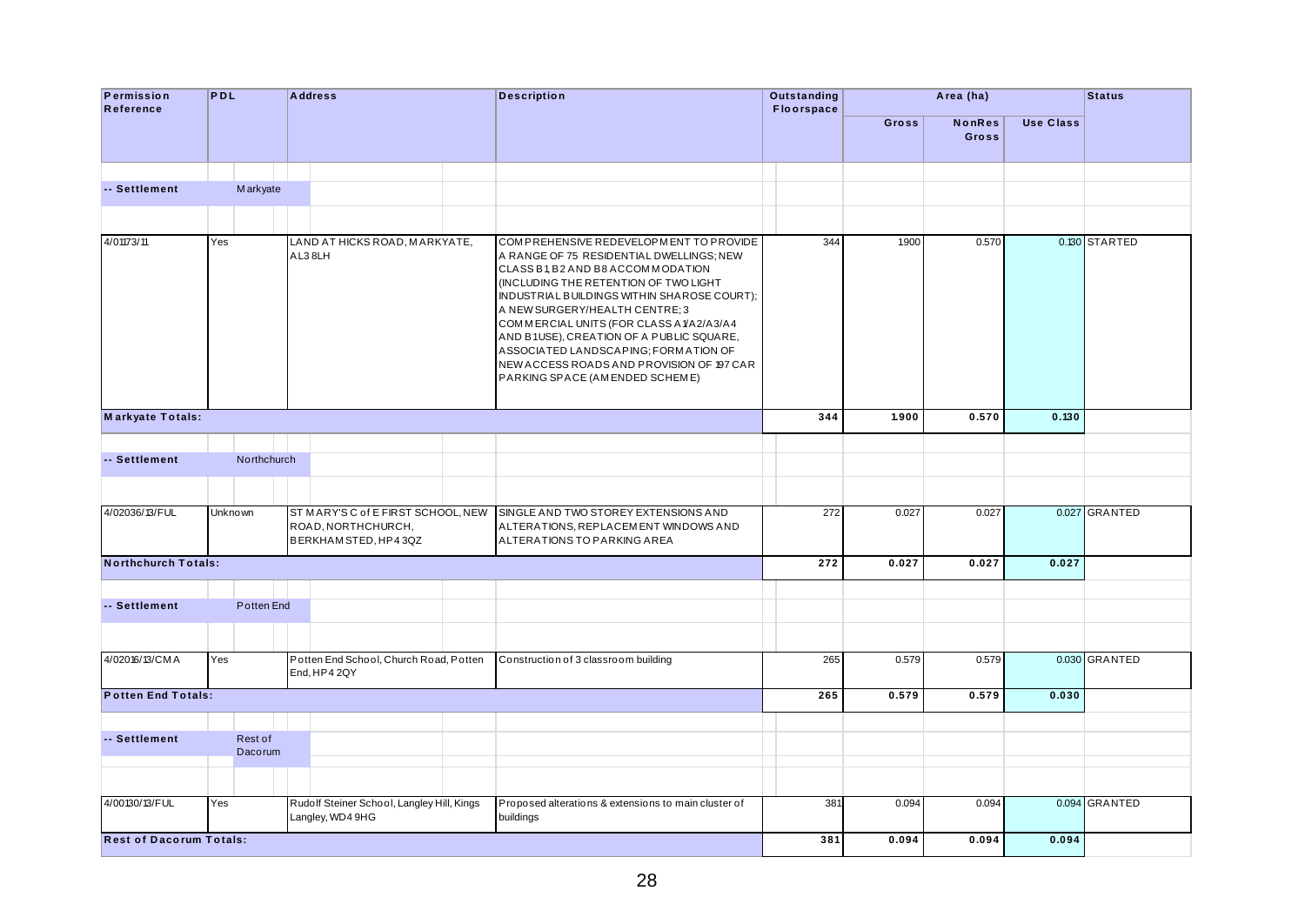| Permission<br>Reference        | PDL |                    | <b>Address</b> |                                                                                   | <b>Description</b> | <b>Outstanding</b><br><b>Floorspace</b>                                                                                                                                                                                                                                                                                                                                                                                                                          |     | Area (ha) |                        | <b>Status</b>    |               |
|--------------------------------|-----|--------------------|----------------|-----------------------------------------------------------------------------------|--------------------|------------------------------------------------------------------------------------------------------------------------------------------------------------------------------------------------------------------------------------------------------------------------------------------------------------------------------------------------------------------------------------------------------------------------------------------------------------------|-----|-----------|------------------------|------------------|---------------|
|                                |     |                    |                |                                                                                   |                    |                                                                                                                                                                                                                                                                                                                                                                                                                                                                  |     | Gross     | <b>NonRes</b><br>Gross | <b>Use Class</b> |               |
|                                |     |                    |                |                                                                                   |                    |                                                                                                                                                                                                                                                                                                                                                                                                                                                                  |     |           |                        |                  |               |
| -- Settlement                  |     | Markyate           |                |                                                                                   |                    |                                                                                                                                                                                                                                                                                                                                                                                                                                                                  |     |           |                        |                  |               |
|                                |     |                    |                |                                                                                   |                    |                                                                                                                                                                                                                                                                                                                                                                                                                                                                  |     |           |                        |                  |               |
| 4/01173/11                     | Yes |                    |                | LAND AT HICKS ROAD, MARKYATE,<br>AL38LH                                           |                    | COMPREHENSIVE REDEVELOPMENT TO PROVIDE<br>A RANGE OF 75 RESIDENTIAL DWELLINGS; NEW<br>CLASS B1, B2 AND B8 ACCOMMODATION<br>(INCLUDING THE RETENTION OF TWO LIGHT<br>INDUSTRIAL BUILDINGS WITHIN SHAROSE COURT);<br>A NEW SURGERY/HEALTH CENTRE; 3<br>COMMERCIAL UNITS (FOR CLASS A 1/A2/A3/A4<br>AND B1USE), CREATION OF A PUBLIC SQUARE,<br>ASSOCIATED LANDSCAPING; FORMATION OF<br>NEW ACCESS ROADS AND PROVISION OF 197 CAR<br>PARKING SPACE (AMENDED SCHEME) | 344 | 1.900     | 0.570                  |                  | 0.130 STARTED |
| <b>Markyate Totals:</b>        |     |                    |                |                                                                                   |                    |                                                                                                                                                                                                                                                                                                                                                                                                                                                                  | 344 | 1.900     | 0.570                  | 0.130            |               |
|                                |     |                    |                |                                                                                   |                    |                                                                                                                                                                                                                                                                                                                                                                                                                                                                  |     |           |                        |                  |               |
| -- Settlement                  |     | Northchurch        |                |                                                                                   |                    |                                                                                                                                                                                                                                                                                                                                                                                                                                                                  |     |           |                        |                  |               |
|                                |     |                    |                |                                                                                   |                    |                                                                                                                                                                                                                                                                                                                                                                                                                                                                  |     |           |                        |                  |               |
| 4/02036/13/FUL                 |     | Unknown            |                | ST MARY'S C of E FIRST SCHOOL, NEW<br>ROAD, NORTHCHURCH,<br>BERKHAM STED, HP4 3QZ |                    | SINGLE AND TWO STOREY EXTENSIONS AND<br>ALTERATIONS, REPLACEMENT WINDOWS AND<br>ALTERATIONS TO PARKING AREA                                                                                                                                                                                                                                                                                                                                                      | 272 | 0.027     | 0.027                  |                  | 0.027 GRANTED |
| <b>Northchurch Totals:</b>     |     |                    |                |                                                                                   |                    |                                                                                                                                                                                                                                                                                                                                                                                                                                                                  | 272 | 0.027     | 0.027                  | 0.027            |               |
| -- Settlement                  |     | Potten End         |                |                                                                                   |                    |                                                                                                                                                                                                                                                                                                                                                                                                                                                                  |     |           |                        |                  |               |
|                                |     |                    |                |                                                                                   |                    |                                                                                                                                                                                                                                                                                                                                                                                                                                                                  |     |           |                        |                  |               |
| 4/02016/13/CMA                 | Yes |                    |                | Potten End School, Church Road, Potten<br>End, HP4 2QY                            |                    | Construction of 3 classroom building                                                                                                                                                                                                                                                                                                                                                                                                                             | 265 | 0.579     | 0.579                  |                  | 0.030 GRANTED |
| <b>Potten End Totals:</b>      |     |                    |                |                                                                                   |                    |                                                                                                                                                                                                                                                                                                                                                                                                                                                                  | 265 | 0.579     | 0.579                  | 0.030            |               |
|                                |     |                    |                |                                                                                   |                    |                                                                                                                                                                                                                                                                                                                                                                                                                                                                  |     |           |                        |                  |               |
| -- Settlement                  |     | Rest of<br>Dacorum |                |                                                                                   |                    |                                                                                                                                                                                                                                                                                                                                                                                                                                                                  |     |           |                        |                  |               |
|                                |     |                    |                |                                                                                   |                    |                                                                                                                                                                                                                                                                                                                                                                                                                                                                  |     |           |                        |                  |               |
| 4/00130/13/FUL                 | Yes |                    |                | Rudolf Steiner School, Langley Hill, Kings<br>Langley, WD4 9HG                    |                    | Proposed alterations & extensions to main cluster of<br>buildings                                                                                                                                                                                                                                                                                                                                                                                                | 381 | 0.094     | 0.094                  |                  | 0.094 GRANTED |
| <b>Rest of Dacorum Totals:</b> |     |                    |                |                                                                                   |                    |                                                                                                                                                                                                                                                                                                                                                                                                                                                                  | 381 | 0.094     | 0.094                  | 0.094            |               |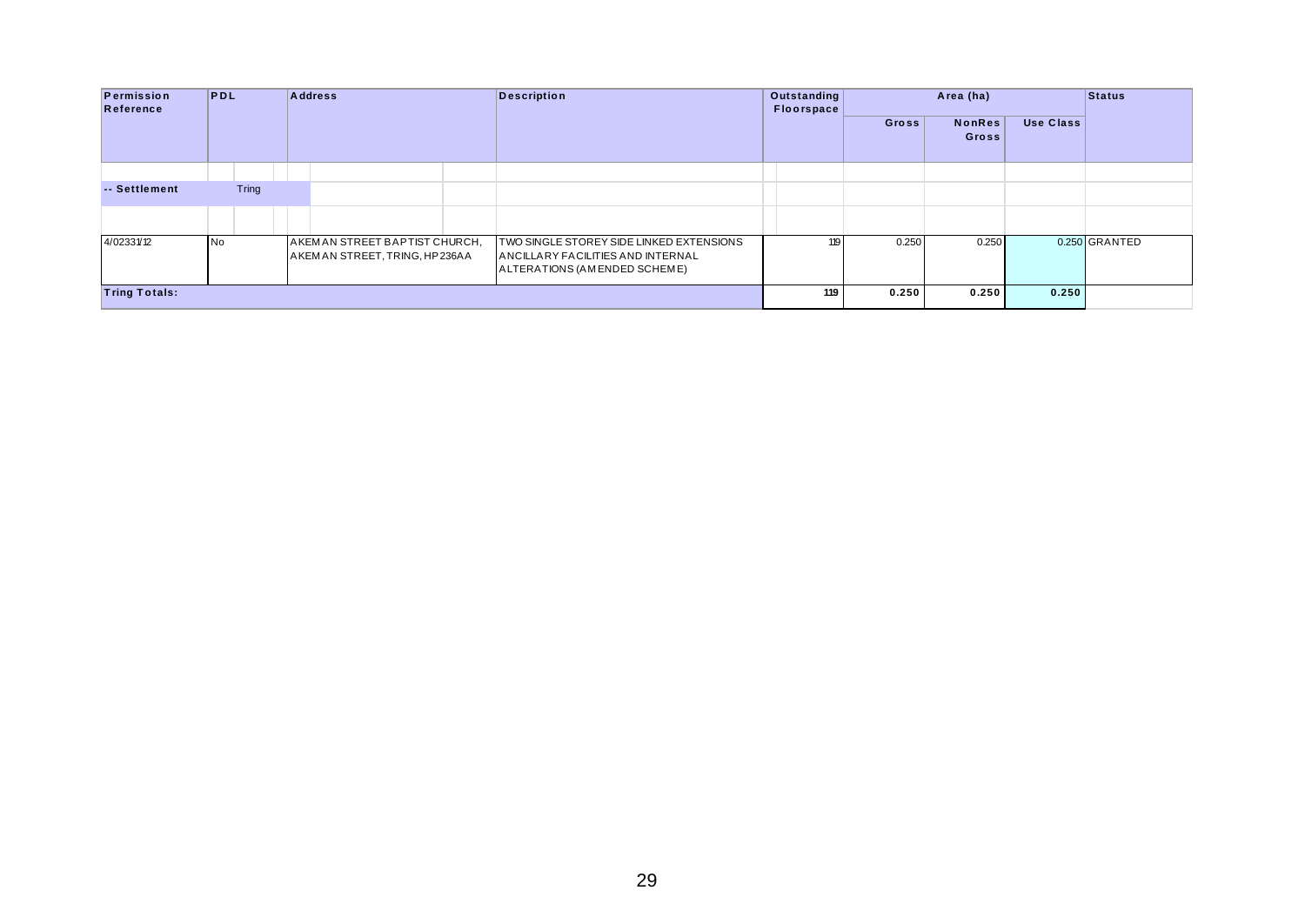| Permission<br>Reference | <b>PDL</b>      | <b>Address</b> |                                                                | <b>Description</b>                                                                                            | Outstanding<br>Floorspace |     |              | Area (ha)                     |           | Status        |
|-------------------------|-----------------|----------------|----------------------------------------------------------------|---------------------------------------------------------------------------------------------------------------|---------------------------|-----|--------------|-------------------------------|-----------|---------------|
|                         |                 |                |                                                                |                                                                                                               |                           |     | <b>Gross</b> | <b>NonRes</b><br><b>Gross</b> | Use Class |               |
|                         |                 |                |                                                                |                                                                                                               |                           |     |              |                               |           |               |
| -- Settlement           | <b>Tring</b>    |                |                                                                |                                                                                                               |                           |     |              |                               |           |               |
|                         |                 |                |                                                                |                                                                                                               |                           |     |              |                               |           |               |
| 4/02331/12              | IN <sub>o</sub> |                | AKEMAN STREET BAPTIST CHURCH,<br>AKEMAN STREET, TRING, HP236AA | TWO SINGLE STOREY SIDE LINKED EXTENSIONS<br>ANCILLARY FACILITIES AND INTERNAL<br>ALTERATIONS (AMENDED SCHEME) |                           | 119 | 0.250        | 0.250                         |           | 0.250 GRANTED |
| <b>Tring Totals:</b>    |                 |                |                                                                |                                                                                                               |                           | 119 | 0.250        | 0.250                         | 0.250     |               |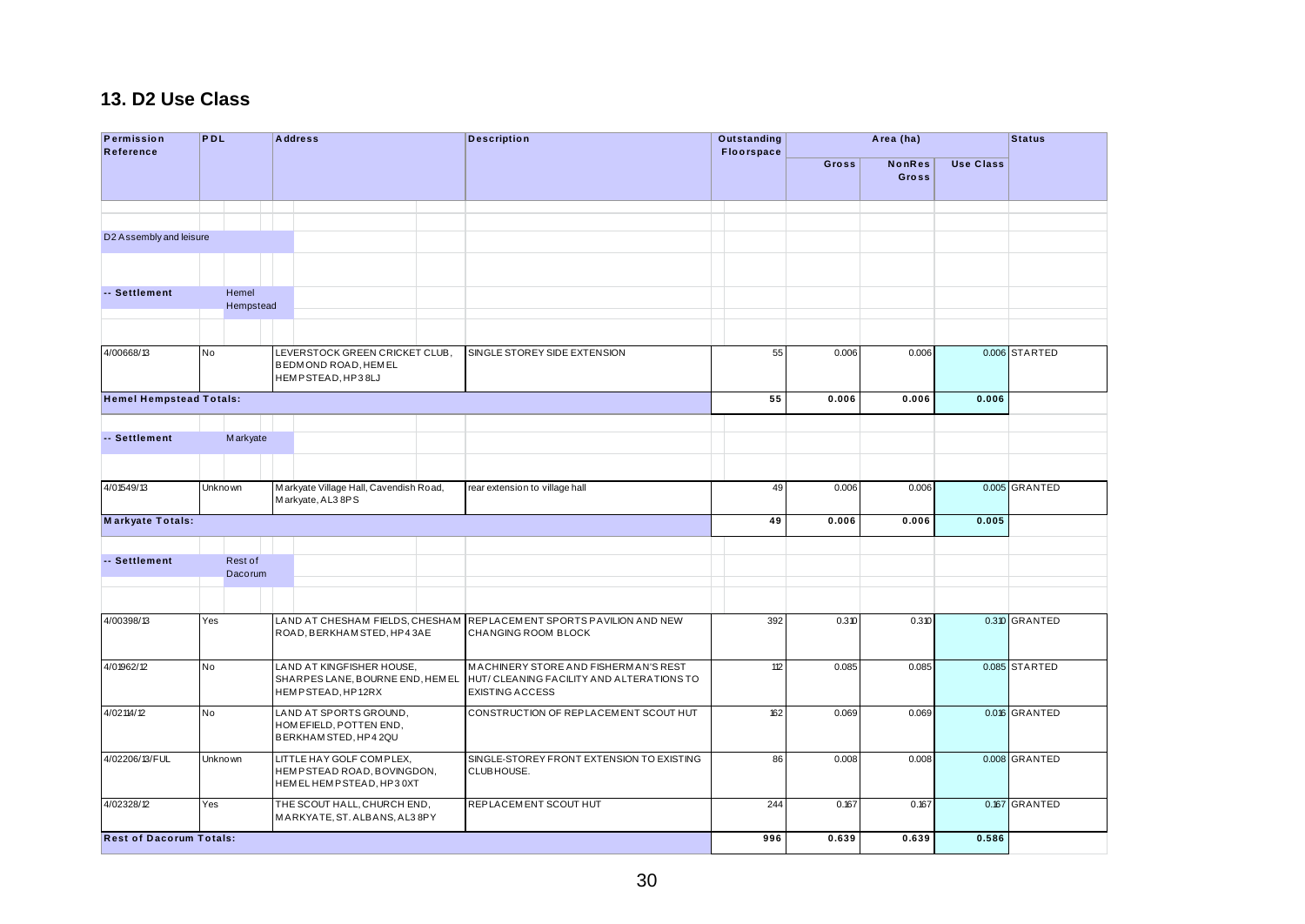# 13. D2 Use Class

| Permission<br>Reference        | <b>PDL</b>     |                           | <b>Address</b>                                                                     | <b>Description</b>                                                                                          | <b>Outstanding</b><br>Floorspace |       | Area (ha)              |                  | <b>Status</b> |
|--------------------------------|----------------|---------------------------|------------------------------------------------------------------------------------|-------------------------------------------------------------------------------------------------------------|----------------------------------|-------|------------------------|------------------|---------------|
|                                |                |                           |                                                                                    |                                                                                                             |                                  | Gross | <b>NonRes</b><br>Gross | <b>Use Class</b> |               |
|                                |                |                           |                                                                                    |                                                                                                             |                                  |       |                        |                  |               |
|                                |                |                           |                                                                                    |                                                                                                             |                                  |       |                        |                  |               |
| D2 Assembly and leisure        |                |                           |                                                                                    |                                                                                                             |                                  |       |                        |                  |               |
|                                |                |                           |                                                                                    |                                                                                                             |                                  |       |                        |                  |               |
| -- Settlement                  |                | Hemel<br>Hempstead        |                                                                                    |                                                                                                             |                                  |       |                        |                  |               |
|                                |                |                           |                                                                                    |                                                                                                             |                                  |       |                        |                  |               |
| 4/00668/13                     | No             |                           | LEVERSTOCK GREEN CRICKET CLUB.<br><b>BEDMOND ROAD, HEMEL</b><br>HEMPSTEAD, HP3 8LJ | SINGLE STOREY SIDE EXTENSION                                                                                | 55                               | 0.006 | 0.006                  |                  | 0.006 STARTED |
| <b>Hemel Hempstead Totals:</b> |                |                           |                                                                                    |                                                                                                             | 55                               | 0.006 | 0.006                  | 0.006            |               |
| -- Settlement                  |                | Markyate                  |                                                                                    |                                                                                                             |                                  |       |                        |                  |               |
|                                |                |                           |                                                                                    |                                                                                                             |                                  |       |                        |                  |               |
| 4/01549/13                     |                | <b>Unknown</b>            | Markyate Village Hall, Cavendish Road,<br>Markyate, AL3 8PS                        | rear extension to village hall                                                                              | 49                               | 0.006 | 0.006                  |                  | 0.005 GRANTED |
| <b>Markyate Totals:</b>        |                |                           |                                                                                    |                                                                                                             | 49                               | 0.006 | 0.006                  | 0.005            |               |
| -- Settlement                  |                | Rest of<br><b>Dacorum</b> |                                                                                    |                                                                                                             |                                  |       |                        |                  |               |
|                                |                |                           |                                                                                    |                                                                                                             |                                  |       |                        |                  |               |
| 4/00398/13                     | Yes            |                           | ROAD, BERKHAM STED, HP43AE                                                         | LAND AT CHESHAM FIELDS, CHESHAM REPLACEMENT SPORTS PAVILION AND NEW<br>CHANGING ROOM BLOCK                  | 392                              | 0.310 | 0.310                  |                  | 0.310 GRANTED |
| 4/01962/12                     | No             |                           | LAND AT KINGFISHER HOUSE,<br>SHARPES LANE, BOURNE END, HEMEL<br>HEMPSTEAD, HP12RX  | MACHINERY STORE AND FISHERMAN'S REST<br>HUT/ CLEANING FACILITY AND ALTERATIONS TO<br><b>EXISTING ACCESS</b> | 112                              | 0.085 | 0.085                  |                  | 0.085 STARTED |
| 4/02114/12                     | N <sub>o</sub> |                           | LAND AT SPORTS GROUND,<br>HOM EFIELD, POTTEN END,<br>BERKHAM STED, HP4 2QU         | CONSTRUCTION OF REPLACEMENT SCOUT HUT                                                                       | 162                              | 0.069 | 0.069                  |                  | 0.016 GRANTED |
| 4/02206/13/FUL                 |                | <b>Unknown</b>            | LITTLE HAY GOLF COMPLEX,<br>HEMPSTEAD ROAD, BOVINGDON,<br>HEMEL HEMPSTEAD, HP30XT  | SINGLE-STOREY FRONT EXTENSION TO EXISTING<br>CLUBHOUSE.                                                     | 86                               | 0.008 | 0.008                  |                  | 0.008 GRANTED |
| 4/02328/12                     | Yes            |                           | THE SCOUT HALL, CHURCH END,<br>MARKYATE, ST. ALBANS, AL3 8PY                       | REPLACEMENT SCOUT HUT                                                                                       | 244                              | 0.167 | 0.167                  |                  | 0.167 GRANTED |
| <b>Rest of Dacorum Totals:</b> |                |                           |                                                                                    |                                                                                                             | 996                              | 0.639 | 0.639                  | 0.586            |               |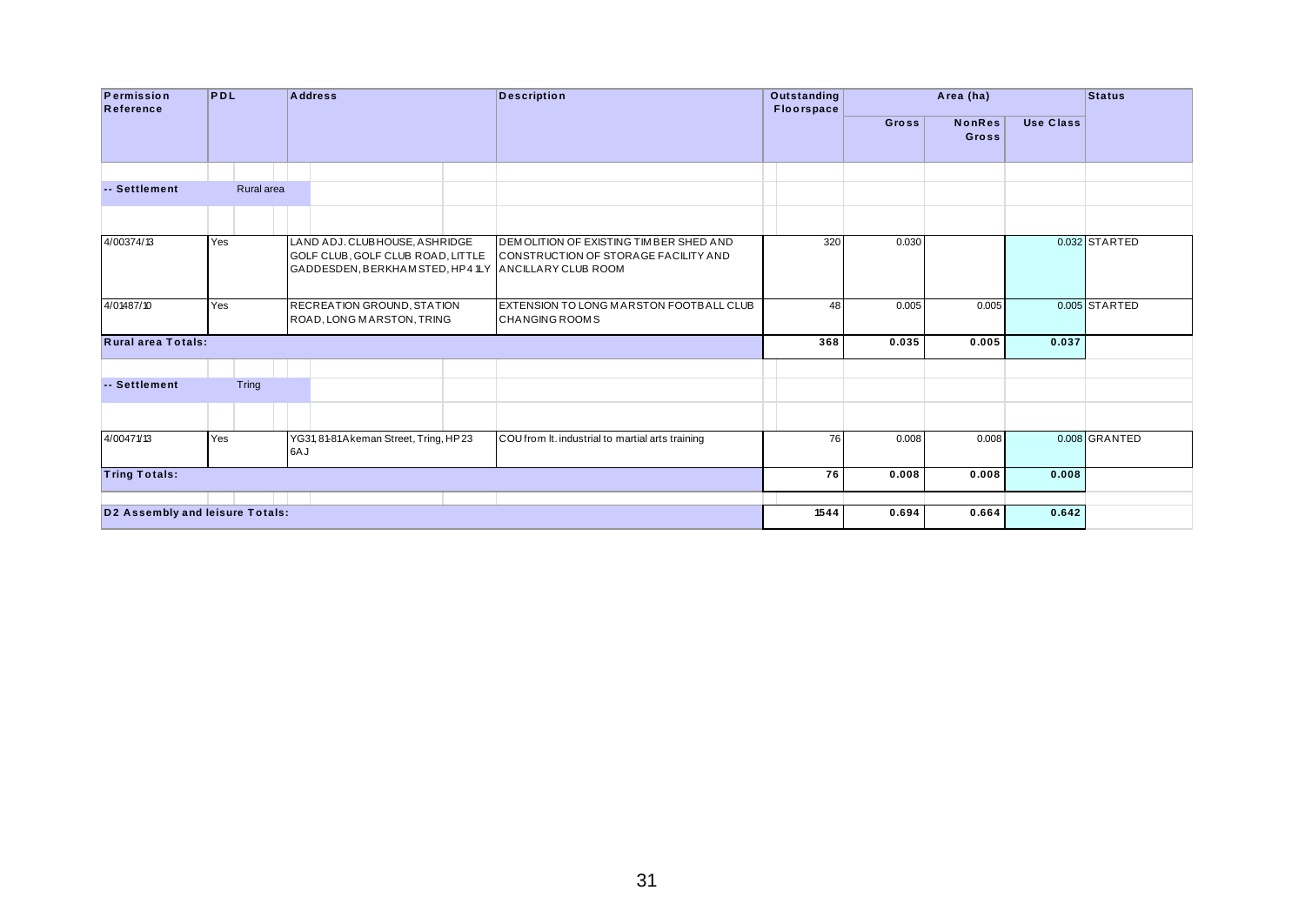| Permission<br>Reference         | PDL |            | <b>Address</b> |                                                                    |       | <b>Description</b>                                                                                                                    | Outstanding<br><b>Floorspace</b> |       | Area (ha) | <b>Status</b> |               |
|---------------------------------|-----|------------|----------------|--------------------------------------------------------------------|-------|---------------------------------------------------------------------------------------------------------------------------------------|----------------------------------|-------|-----------|---------------|---------------|
|                                 |     |            |                |                                                                    | Gross | <b>NonRes</b><br><b>Gross</b>                                                                                                         | <b>Use Class</b>                 |       |           |               |               |
|                                 |     |            |                |                                                                    |       |                                                                                                                                       |                                  |       |           |               |               |
| -- Settlement                   |     | Rural area |                |                                                                    |       |                                                                                                                                       |                                  |       |           |               |               |
|                                 |     |            |                |                                                                    |       |                                                                                                                                       |                                  |       |           |               |               |
| 4/00374/13                      | Yes |            |                | LAND ADJ. CLUBHOUSE, ASHRIDGE<br>GOLF CLUB, GOLF CLUB ROAD, LITTLE |       | DEMOLITION OF EXISTING TIMBER SHED AND<br>CONSTRUCTION OF STORAGE FACILITY AND<br>GADDESDEN, BERKHAMSTED, HP4 1LY ANCILLARY CLUB ROOM | 320                              | 0.030 |           |               | 0.032 STARTED |
| 4/01487/10                      | Yes |            |                | RECREATION GROUND, STATION<br>ROAD, LONG MARSTON, TRING            |       | EXTENSION TO LONG MARSTON FOOTBALL CLUB<br><b>CHANGING ROOMS</b>                                                                      | 48                               | 0.005 | 0.005     |               | 0.005 STARTED |
| <b>Rural area Totals:</b>       |     |            |                |                                                                    |       |                                                                                                                                       | 368                              | 0.035 | 0.005     | 0.037         |               |
| -- Settlement                   |     | Tring      |                |                                                                    |       |                                                                                                                                       |                                  |       |           |               |               |
|                                 |     |            |                |                                                                    |       |                                                                                                                                       |                                  |       |           |               |               |
| 4/0047113                       | Yes |            | 16AJ           | YG31, 81-81A keman Street, Tring, HP23                             |       | COU from It. industrial to martial arts training                                                                                      | 76                               | 0.008 | 0.008     |               | 0.008 GRANTED |
| <b>Tring Totals:</b>            |     |            |                | 76                                                                 | 0.008 | 0.008                                                                                                                                 | 0.008                            |       |           |               |               |
|                                 |     |            |                |                                                                    |       |                                                                                                                                       |                                  |       |           |               |               |
| D2 Assembly and leisure Totals: |     |            |                |                                                                    |       |                                                                                                                                       | 1544                             | 0.694 | 0.664     | 0.642         |               |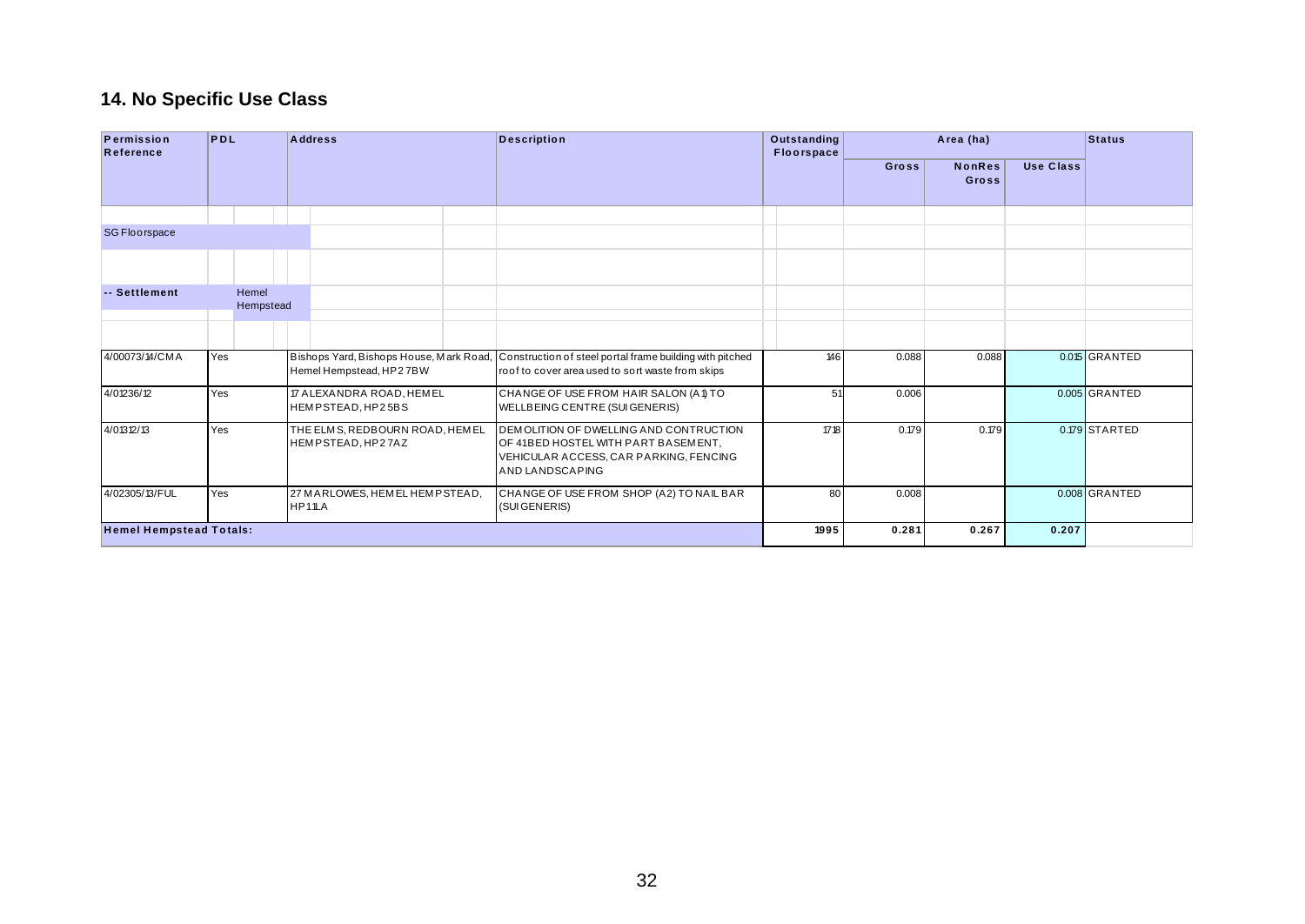#### **14. No Specific Use Class**

| Permission<br>Reference        | PDL |       |           |        | <b>Address</b>                                                     | <b>Description</b>                                                                                                                                | Outstanding<br><b>Floorspace</b> |                  | Area (ha) |       | Status        |
|--------------------------------|-----|-------|-----------|--------|--------------------------------------------------------------------|---------------------------------------------------------------------------------------------------------------------------------------------------|----------------------------------|------------------|-----------|-------|---------------|
|                                |     |       |           |        |                                                                    | Gross                                                                                                                                             | <b>NonRes</b><br>Gross           | <b>Use Class</b> |           |       |               |
|                                |     |       |           |        |                                                                    |                                                                                                                                                   |                                  |                  |           |       |               |
| <b>SG Floorspace</b>           |     |       |           |        |                                                                    |                                                                                                                                                   |                                  |                  |           |       |               |
|                                |     |       |           |        |                                                                    |                                                                                                                                                   |                                  |                  |           |       |               |
| -- Settlement                  |     | Hemel | Hempstead |        |                                                                    |                                                                                                                                                   |                                  |                  |           |       |               |
|                                |     |       |           |        |                                                                    |                                                                                                                                                   |                                  |                  |           |       |               |
| 4/00073/14/CMA                 | Yes |       |           |        | Bishops Yard, Bishops House, Mark Road,<br>Hemel Hempstead, HP27BW | Construction of steel portal frame building with pitched<br>roof to cover area used to sort waste from skips                                      | 146                              | 0.088            | 0.088     |       | 0.015 GRANTED |
| 4/01236/12                     | Yes |       |           |        | 17 ALEXANDRA ROAD, HEM EL<br>HEMPSTEAD, HP25BS                     | CHANGE OF USE FROM HAIR SALON (A1) TO<br>WELLBEING CENTRE (SUI GENERIS)                                                                           | 51                               | 0.006            |           |       | 0.005 GRANTED |
| 4/01312/13                     | Yes |       |           |        | THE ELMS, REDBOURN ROAD, HEMEL<br>HEMPSTEAD, HP27AZ                | DEMOLITION OF DWELLING AND CONTRUCTION<br>OF 41BED HOSTEL WITH PART BASEMENT,<br>VEHICULAR ACCESS, CAR PARKING, FENCING<br><b>AND LANDSCAPING</b> | 1718                             | 0.179            | 0.179     |       | 0.179 STARTED |
| 4/02305/13/FUL                 | Yes |       |           | HP11LA | 27 MARLOWES, HEMEL HEMPSTEAD,                                      | CHANGE OF USE FROM SHOP (A2) TO NAIL BAR<br>(SUI GENERIS)                                                                                         | 80                               | 0.008            |           |       | 0.008 GRANTED |
| <b>Hemel Hempstead Totals:</b> |     |       |           |        |                                                                    |                                                                                                                                                   | 1995                             | 0.281            | 0.267     | 0.207 |               |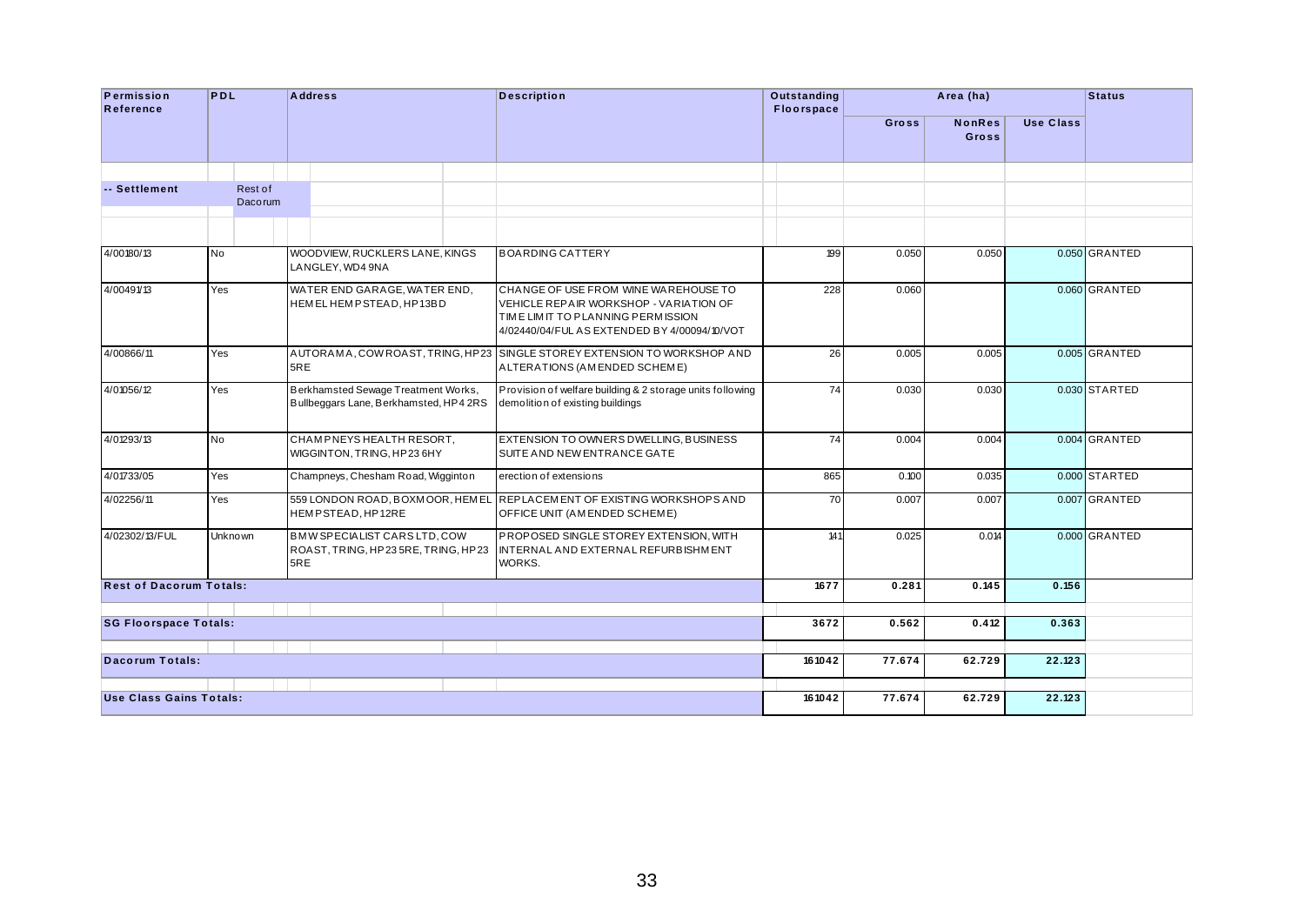| Permission<br>Reference        | PDL            |                           |                                                                             | <b>Address</b>                                                                |  | <b>Description</b>                                                                                                                                                  | Outstanding<br><b>Floorspace</b> |        | Area (ha)              |                  | <b>Status</b> |
|--------------------------------|----------------|---------------------------|-----------------------------------------------------------------------------|-------------------------------------------------------------------------------|--|---------------------------------------------------------------------------------------------------------------------------------------------------------------------|----------------------------------|--------|------------------------|------------------|---------------|
|                                |                |                           |                                                                             |                                                                               |  |                                                                                                                                                                     |                                  | Gross  | <b>NonRes</b><br>Gross | <b>Use Class</b> |               |
|                                |                |                           |                                                                             |                                                                               |  |                                                                                                                                                                     |                                  |        |                        |                  |               |
| -- Settlement                  |                | Rest of<br><b>Dacorum</b> |                                                                             |                                                                               |  |                                                                                                                                                                     |                                  |        |                        |                  |               |
|                                |                |                           |                                                                             |                                                                               |  |                                                                                                                                                                     |                                  |        |                        |                  |               |
| 4/00180/13                     | N <sub>o</sub> |                           |                                                                             | <b>WOODVIEW, RUCKLERS LANE, KINGS</b>                                         |  | <b>BOARDING CATTERY</b>                                                                                                                                             | 199                              | 0.050  | 0.050                  |                  | 0.050 GRANTED |
| 4/0049113                      | Yes            |                           | LANGLEY, WD4 9NA<br>WATER END GARAGE, WATER END,<br>HEMEL HEMPSTEAD, HP13BD |                                                                               |  | CHANGE OF USE FROM WINE WAREHOUSE TO<br>VEHICLE REPAIR WORKSHOP - VARIATION OF<br>TIME LIMIT TO PLANNING PERMISSION<br>4/02440/04/FUL AS EXTENDED BY 4/00094/10/VOT | 228                              | 0.060  |                        |                  | 0.060 GRANTED |
| 4/00866/11                     | Yes            |                           |                                                                             | 5RE                                                                           |  | AUTORAMA, COW ROAST, TRING, HP23 SINGLE STOREY EXTENSION TO WORKSHOP AND<br>ALTERATIONS (AMENDED SCHEME)                                                            | 26                               | 0.005  | 0.005                  |                  | 0.005 GRANTED |
| 4/01056/12                     | Yes            |                           |                                                                             | Berkhamsted Sewage Treatment Works,<br>Bullbeggars Lane, Berkhamsted, HP4 2RS |  | Provision of welfare building & 2 storage units following<br>demolition of existing buildings                                                                       | 74                               | 0.030  | 0.030                  |                  | 0.030 STARTED |
| 4/01293/13                     | N <sub>o</sub> |                           |                                                                             | CHAMPNEYS HEALTH RESORT,<br>WIGGINTON, TRING, HP23 6HY                        |  | EXTENSION TO OWNERS DWELLING, BUSINESS<br>SUITE AND NEW ENTRANCE GATE                                                                                               | 74                               | 0.004  | 0.004                  |                  | 0.004 GRANTED |
| 4/01733/05                     | Yes            |                           |                                                                             | Champneys, Chesham Road, Wigginton                                            |  | erection of extensions                                                                                                                                              | 865                              | 0.100  | 0.035                  |                  | 0.000 STARTED |
| 4/02256/11                     | Yes            |                           |                                                                             | 559 LONDON ROAD, BOXMOOR, HEMEL<br>HEMPSTEAD, HP12RE                          |  | REPLACEMENT OF EXISTING WORKSHOPS AND<br>OFFICE UNIT (AMENDED SCHEME)                                                                                               | 70                               | 0.007  | 0.007                  |                  | 0.007 GRANTED |
| 4/02302/13/FUL                 |                | <b>Unknown</b>            | 5RE                                                                         | <b>BMW SPECIALIST CARS LTD, COW</b><br>ROAST, TRING, HP23 5RE, TRING, HP23    |  | PROPOSED SINGLE STOREY EXTENSION, WITH<br>INTERNAL AND EXTERNAL REFURBISHMENT<br>WORKS.                                                                             | 141                              | 0.025  | 0.014                  |                  | 0.000 GRANTED |
| <b>Rest of Dacorum Totals:</b> |                |                           |                                                                             |                                                                               |  |                                                                                                                                                                     | 1677                             | 0.281  | 0.145                  | 0.156            |               |
| <b>SG Floorspace Totals:</b>   |                |                           |                                                                             |                                                                               |  |                                                                                                                                                                     | 3672                             | 0.562  | 0.412                  | 0.363            |               |
| <b>Dacorum Totals:</b>         |                |                           |                                                                             |                                                                               |  |                                                                                                                                                                     | 16 10 4 2                        | 77.674 | 62.729                 | 22.123           |               |
| <b>Use Class Gains Totals:</b> |                |                           |                                                                             |                                                                               |  |                                                                                                                                                                     | 161042                           | 77.674 | 62.729                 | 22.123           |               |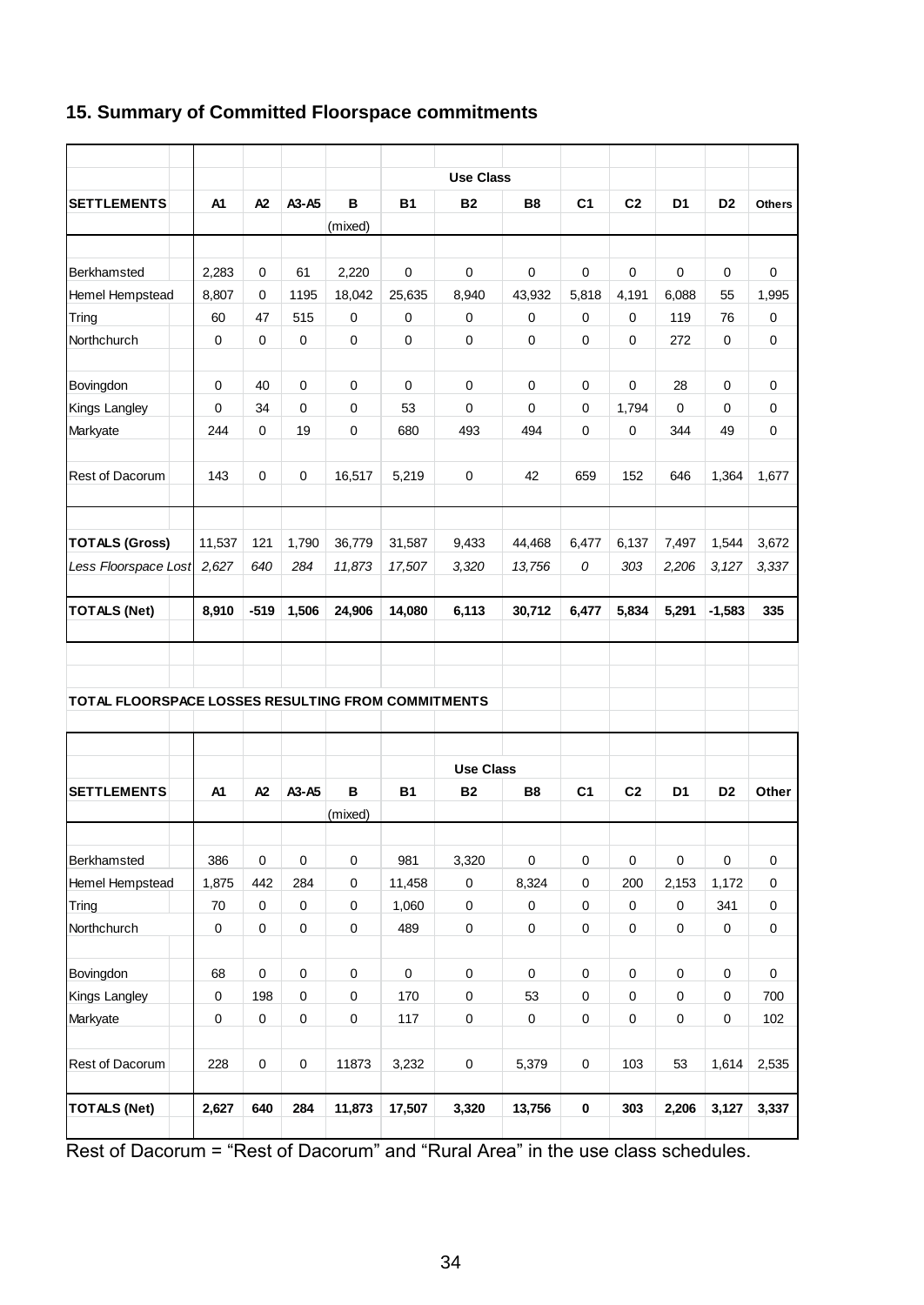# **15. Summary of Committed Floorspace commitments**

|                                                    |                     |                |                |                        |              | <b>Use Class</b>         |                        |                |                |                        |                  |                        |
|----------------------------------------------------|---------------------|----------------|----------------|------------------------|--------------|--------------------------|------------------------|----------------|----------------|------------------------|------------------|------------------------|
| <b>SETTLEMENTS</b>                                 | A1                  | A <sub>2</sub> | A3-A5          | в                      | <b>B1</b>    | <b>B2</b>                | <b>B8</b>              | C <sub>1</sub> | C <sub>2</sub> | D1                     | D <sub>2</sub>   | <b>Others</b>          |
|                                                    |                     |                |                | (mixed)                |              |                          |                        |                |                |                        |                  |                        |
|                                                    |                     |                |                |                        |              |                          |                        |                |                |                        |                  |                        |
| Berkhamsted                                        | 2,283               | 0              | 61             | 2,220                  | $\mathbf 0$  | 0                        | $\Omega$               | 0              | 0              | $\Omega$               | $\Omega$         | 0                      |
| Hemel Hempstead                                    | 8,807               | 0              | 1195           | 18,042                 | 25,635       | 8,940                    | 43,932                 | 5,818          | 4,191          | 6,088                  | 55               | 1,995                  |
| Tring                                              | 60                  | 47             | 515            | 0                      | 0            | 0                        | 0                      | $\Omega$       | 0              | 119                    | 76               | 0                      |
| Northchurch                                        | 0                   | 0              | $\mathbf 0$    | 0                      | 0            | $\mathbf 0$              | $\mathbf 0$            | 0              | 0              | 272                    | 0                | 0                      |
| Bovingdon                                          | 0                   | 40             | 0              | 0                      | $\Omega$     | $\Omega$                 | $\Omega$               | 0              | 0              | 28                     | $\Omega$         | 0                      |
| Kings Langley                                      | $\Omega$            | 34             | 0              | 0                      | 53           | $\Omega$                 | $\Omega$               | 0              | 1,794          | $\Omega$               | $\Omega$         | 0                      |
| Markyate                                           | 244                 | 0              | 19             | $\mathbf 0$            | 680          | 493                      | 494                    | 0              | 0              | 344                    | 49               | $\mathbf 0$            |
| Rest of Dacorum                                    | 143                 | 0              | 0              | 16,517                 | 5,219        | 0                        | 42                     | 659            | 152            | 646                    | 1,364            | 1,677                  |
|                                                    |                     |                |                |                        |              |                          |                        |                |                |                        |                  |                        |
| <b>TOTALS (Gross)</b>                              | 11,537              | 121            | 1,790          | 36,779                 | 31,587       | 9,433                    | 44,468                 | 6,477          | 6,137          | 7,497                  | 1,544            | 3,672                  |
| Less Floorspace Lost                               | 2,627               | 640            | 284            | 11,873                 | 17,507       | 3,320                    | 13,756                 | 0              | 303            | 2,206                  | 3,127            | 3,337                  |
|                                                    |                     |                |                | 24,906                 | 14,080       | 6,113                    | 30,712                 | 6,477          | 5,834          | 5,291                  | $-1,583$         | 335                    |
| <b>TOTALS (Net)</b>                                | 8,910               | $-519$         | 1,506          |                        |              |                          |                        |                |                |                        |                  |                        |
| TOTAL FLOORSPACE LOSSES RESULTING FROM COMMITMENTS |                     |                |                |                        |              |                          |                        |                |                |                        |                  |                        |
|                                                    |                     |                |                |                        |              | <b>Use Class</b>         |                        |                |                |                        |                  |                        |
| <b>SETTLEMENTS</b>                                 | A1                  | A2             | A3-A5          | в                      | <b>B1</b>    | <b>B2</b>                | <b>B8</b>              | C1             | C <sub>2</sub> | D1                     | D <sub>2</sub>   |                        |
|                                                    |                     |                |                | (mixed)                |              |                          |                        |                |                |                        |                  |                        |
|                                                    |                     |                |                |                        |              |                          |                        |                |                |                        |                  |                        |
| Berkhamsted                                        | 386                 | $\pmb{0}$      | $\mathbf 0$    | $\mathbf 0$            | 981          | 3,320                    | $\mathsf 0$            | 0              | $\pmb{0}$      | $\mathbf 0$            | $\mathbf 0$      | 0                      |
| Hemel Hempstead                                    | 1,875               | 442            | 284            | $\mathsf 0$            | 11,458       | $\pmb{0}$                | 8,324                  | $\mathsf 0$    | 200            | 2,153                  | 1,172            | $\pmb{0}$              |
| Tring<br>Northchurch                               | $70\,$<br>$\pmb{0}$ | 0<br>$\pmb{0}$ | 0<br>$\pmb{0}$ | $\pmb{0}$<br>$\pmb{0}$ | 1,060<br>489 | $\pmb{0}$<br>$\mathbf 0$ | $\pmb{0}$<br>$\pmb{0}$ | 0<br>0         | 0<br>$\pmb{0}$ | $\pmb{0}$<br>$\pmb{0}$ | 341<br>$\pmb{0}$ | $\pmb{0}$<br>$\pmb{0}$ |
|                                                    |                     |                |                |                        |              |                          |                        |                |                |                        |                  |                        |
| Bovingdon                                          | 68                  | $\mathsf 0$    | $\pmb{0}$      | $\pmb{0}$              | $\pmb{0}$    | $\mathbf 0$              | $\pmb{0}$              | 0              | 0              | $\pmb{0}$              | $\pmb{0}$        | $\mathsf 0$            |
| Kings Langley                                      | $\pmb{0}$           | 198            | $\pmb{0}$      | $\mathbf 0$            | 170          | $\mathbf 0$              | 53                     | 0              | $\mathsf 0$    | $\pmb{0}$              | $\pmb{0}$        | 700                    |
| Markyate                                           | $\mathsf 0$         | $\mathbf 0$    | $\pmb{0}$      | $\pmb{0}$              | 117          | $\mathbf 0$              | $\pmb{0}$              | 0              | $\pmb{0}$      | $\pmb{0}$              | $\pmb{0}$        | 102                    |
| Rest of Dacorum                                    | 228                 | $\mathsf 0$    | $\mathsf 0$    | 11873                  | 3,232        | $\mathbf 0$              | 5,379                  | 0              | 103            | 53                     | 1,614            | Other<br>2,535         |

Rest of Dacorum = "Rest of Dacorum" and "Rural Area" in the use class schedules.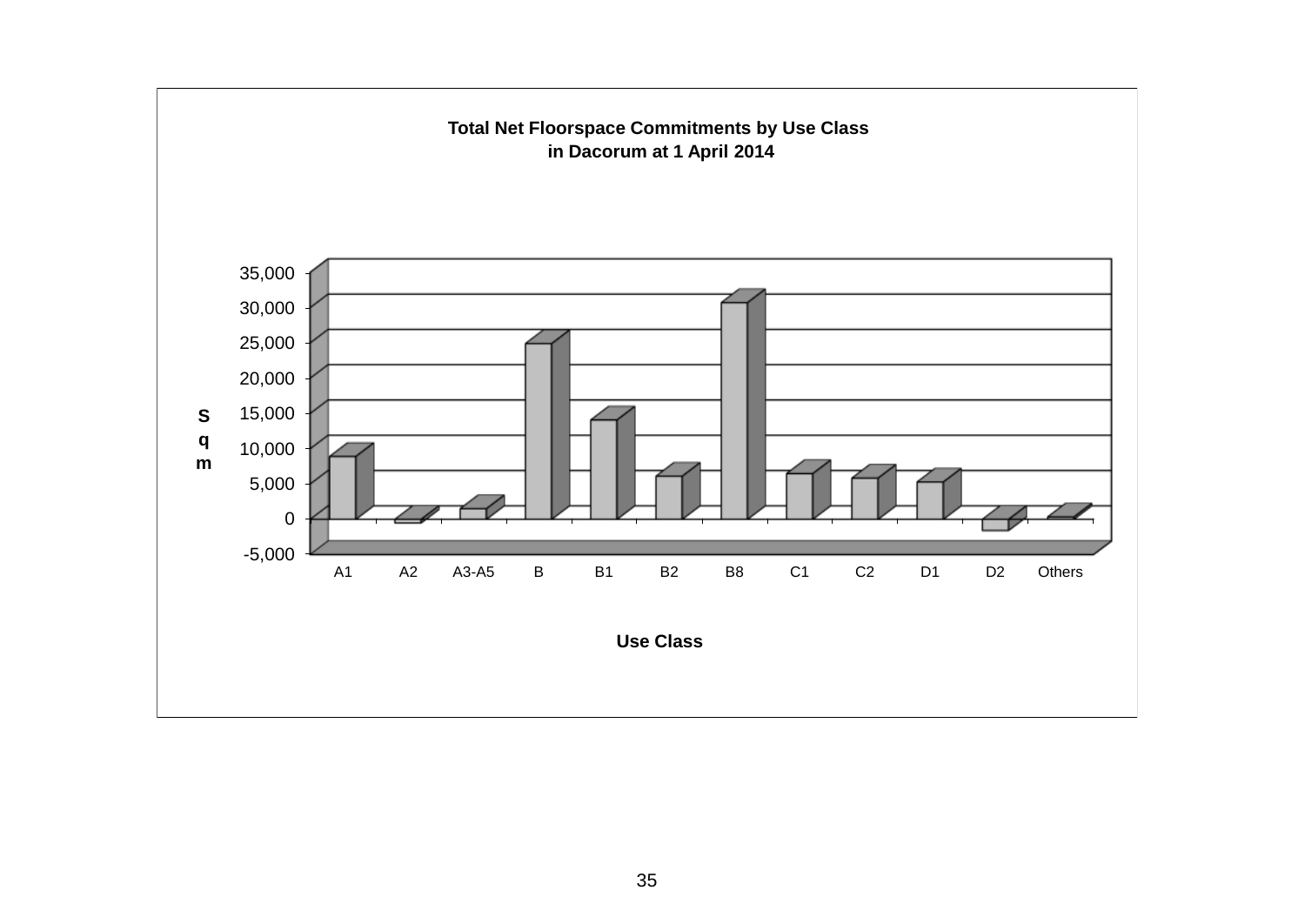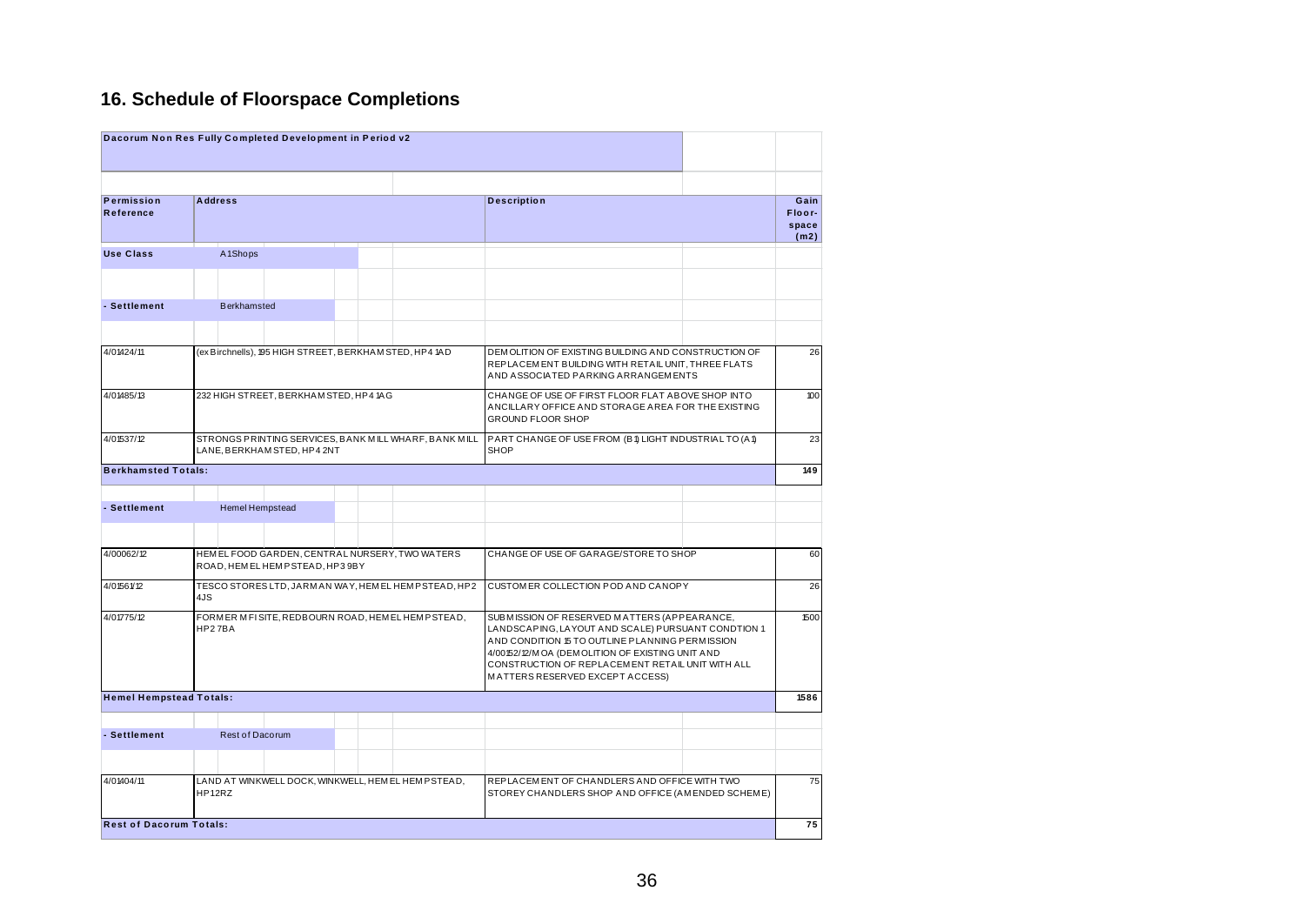| Dacorum Non Res Fully Completed Development in Period v2 |                    |                                                         |  |                                                       |                                                                                                                                                                                       |                                                                                                           |                                 |
|----------------------------------------------------------|--------------------|---------------------------------------------------------|--|-------------------------------------------------------|---------------------------------------------------------------------------------------------------------------------------------------------------------------------------------------|-----------------------------------------------------------------------------------------------------------|---------------------------------|
| Permission<br>Reference                                  | <b>Address</b>     |                                                         |  |                                                       | <b>Description</b>                                                                                                                                                                    |                                                                                                           | Gain<br>Floor-<br>space<br>(m2) |
| <b>Use Class</b>                                         | A1Shops            |                                                         |  |                                                       |                                                                                                                                                                                       |                                                                                                           |                                 |
| - Settlement                                             |                    | <b>Berkhamsted</b>                                      |  |                                                       |                                                                                                                                                                                       |                                                                                                           |                                 |
| 4/01424/11                                               |                    | (ex Birchnells), 195 HIGH STREET, BERKHAM STED, HP4 1AD |  |                                                       | AND ASSOCIATED PARKING ARRANGEMENTS                                                                                                                                                   | DEMOLITION OF EXISTING BUILDING AND CONSTRUCTION OF<br>REPLACEMENT BUILDING WITH RETAIL UNIT, THREE FLATS | 26                              |
| 4/01485/13                                               |                    | 232 HIGH STREET, BERKHAM STED, HP4 1AG                  |  |                                                       | GROUND FLOOR SHOP                                                                                                                                                                     | CHANGE OF USE OF FIRST FLOOR FLAT ABOVE SHOP INTO<br>ANCILLARY OFFICE AND STORAGE AREA FOR THE EXISTING   | 100                             |
| 4/01537/12                                               |                    | LANE, BERKHAM STED, HP42NT                              |  | STRONGS PRINTING SERVICES, BANK MILL WHARF, BANK MILL | <b>SHOP</b>                                                                                                                                                                           | PART CHANGE OF USE FROM (B1) LIGHT INDUSTRIAL TO (A1)                                                     | 23                              |
| <b>Berkhamsted Totals:</b>                               |                    |                                                         |  |                                                       |                                                                                                                                                                                       |                                                                                                           | 149                             |
|                                                          |                    |                                                         |  |                                                       |                                                                                                                                                                                       |                                                                                                           |                                 |
| - Settlement                                             |                    | <b>Hemel Hempstead</b>                                  |  |                                                       |                                                                                                                                                                                       |                                                                                                           |                                 |
| 4/00062/12                                               |                    | ROAD, HEM EL HEM PSTEAD, HP3 9BY                        |  | HEMEL FOOD GARDEN, CENTRAL NURSERY, TWO WATERS        | CHANGE OF USE OF GARAGE/STORE TO SHOP                                                                                                                                                 |                                                                                                           | 60                              |
| 4/01561/12                                               | 4JS                |                                                         |  | TESCO STORES LTD, JARMAN WAY, HEMEL HEMPSTEAD, HP2    | CUSTOMER COLLECTION POD AND CANOPY                                                                                                                                                    |                                                                                                           | 26                              |
| 4/01775/12                                               | HP27BA             |                                                         |  | FORMER MFISITE, REDBOURN ROAD, HEMEL HEMPSTEAD,       | SUBM ISSION OF RESERVED MATTERS (APPEARANCE,<br>AND CONDITION 15 TO OUTLINE PLANNING PERMISSION<br>4/00152/12/MOA (DEMOLITION OF EXISTING UNIT AND<br>MATTERS RESERVED EXCEPT ACCESS) | LANDSCAPING, LAYOUT AND SCALE) PURSUANT CONDTION 1<br>CONSTRUCTION OF REPLACEMENT RETAIL UNIT WITH ALL    | 1500                            |
| <b>Hemel Hempstead Totals:</b>                           |                    |                                                         |  |                                                       |                                                                                                                                                                                       |                                                                                                           | 1586                            |
| - Settlement                                             |                    |                                                         |  |                                                       |                                                                                                                                                                                       |                                                                                                           |                                 |
|                                                          |                    | Rest of Dacorum                                         |  |                                                       |                                                                                                                                                                                       |                                                                                                           |                                 |
|                                                          |                    |                                                         |  |                                                       |                                                                                                                                                                                       |                                                                                                           |                                 |
| 4/01404/11                                               | HP <sub>12RZ</sub> |                                                         |  | LAND AT WINKWELL DOCK, WINKWELL, HEM EL HEM PSTEAD,   | REPLACEMENT OF CHANDLERS AND OFFICE WITH TWO                                                                                                                                          | STOREY CHANDLERS SHOP AND OFFICE (AMENDED SCHEME)                                                         | 75                              |
|                                                          |                    |                                                         |  |                                                       |                                                                                                                                                                                       |                                                                                                           |                                 |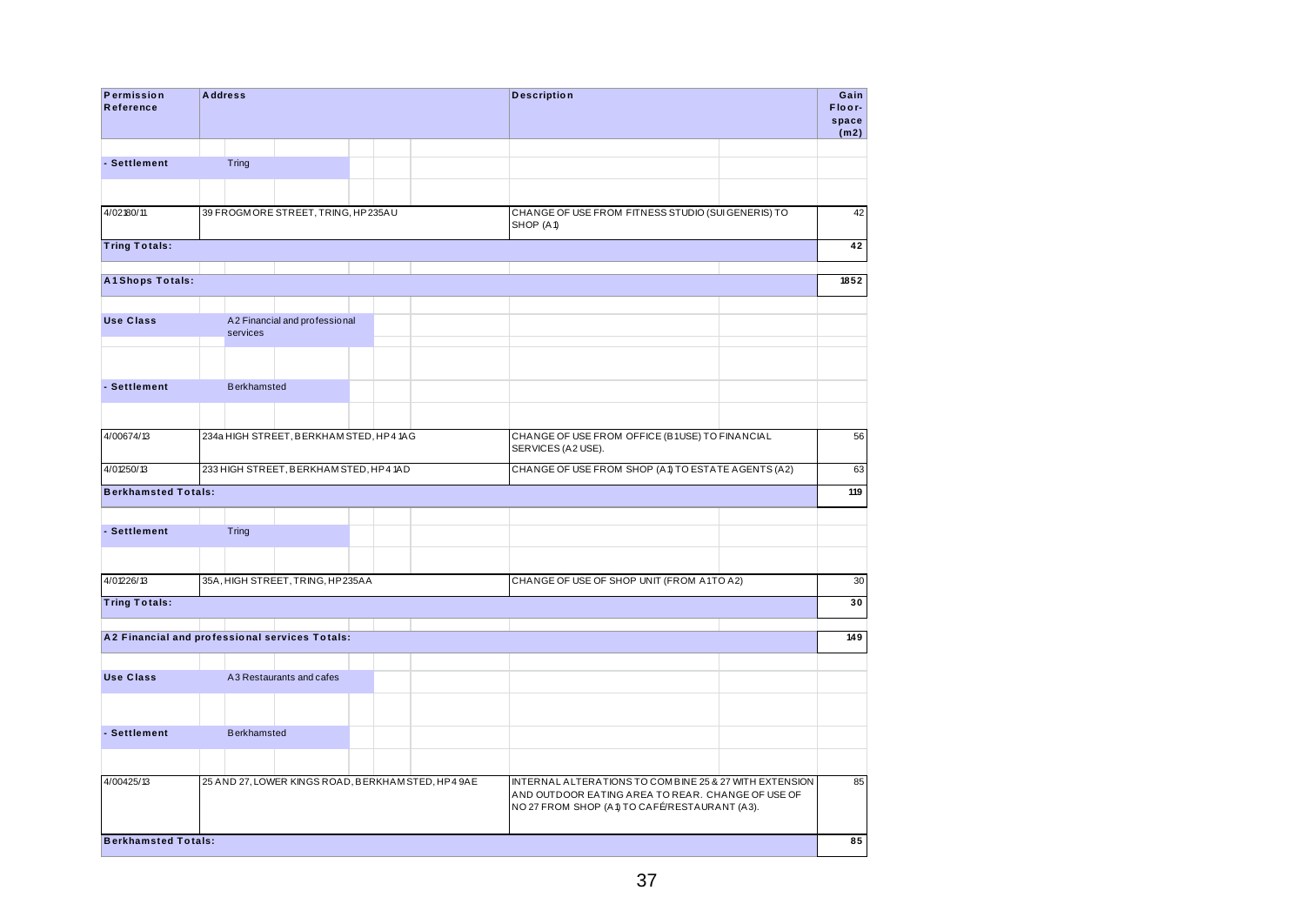| Permission<br>Reference                        | <b>Address</b>     |                                                    |  | <b>Description</b>                                                                                                                                           | Gain<br>Floor-<br>space<br>(m2) |
|------------------------------------------------|--------------------|----------------------------------------------------|--|--------------------------------------------------------------------------------------------------------------------------------------------------------------|---------------------------------|
| - Settlement                                   | <b>Tring</b>       |                                                    |  |                                                                                                                                                              |                                 |
|                                                |                    |                                                    |  |                                                                                                                                                              |                                 |
| 4/02180/11                                     |                    | 39 FROGM ORE STREET, TRING, HP235AU                |  | CHANGE OF USE FROM FITNESS STUDIO (SUI GENERIS) TO<br>SHOP (A1)                                                                                              | 42                              |
| <b>Tring Totals:</b>                           |                    |                                                    |  |                                                                                                                                                              | 42                              |
| <b>A1Shops Totals:</b>                         |                    |                                                    |  |                                                                                                                                                              | 1852                            |
| <b>Use Class</b>                               | services           | A2 Financial and professional                      |  |                                                                                                                                                              |                                 |
| - Settlement                                   | <b>Berkhamsted</b> |                                                    |  |                                                                                                                                                              |                                 |
| 4/00674/13                                     |                    | 234a HIGH STREET, BERKHAM STED, HP4 1AG            |  | CHANGE OF USE FROM OFFICE (B1USE) TO FINANCIAL<br>SERVICES (A2 USE).                                                                                         | 56                              |
| 4/01250/13                                     |                    | 233 HIGH STREET, BERKHAM STED, HP4 1AD             |  | CHANGE OF USE FROM SHOP (A1) TO ESTATE AGENTS (A2)                                                                                                           | 63                              |
| <b>Berkhamsted Totals:</b>                     |                    |                                                    |  |                                                                                                                                                              | 119                             |
| - Settlement                                   | Tring              |                                                    |  |                                                                                                                                                              |                                 |
| 4/01226/13                                     |                    | 35A, HIGH STREET, TRING, HP235AA                   |  | CHANGE OF USE OF SHOP UNIT (FROM A1TO A2)                                                                                                                    | $30\,$                          |
| <b>Tring Totals:</b>                           |                    |                                                    |  |                                                                                                                                                              | 30                              |
| A2 Financial and professional services Totals: |                    |                                                    |  |                                                                                                                                                              | 149                             |
| <b>Use Class</b>                               |                    | A3 Restaurants and cafes                           |  |                                                                                                                                                              |                                 |
|                                                |                    |                                                    |  |                                                                                                                                                              |                                 |
| - Settlement                                   | <b>Berkhamsted</b> |                                                    |  |                                                                                                                                                              |                                 |
| 4/00425/13                                     |                    | 25 AND 27, LOWER KINGS ROAD, BERKHAM STED, HP4 9AE |  | INTERNAL ALTERATIONS TO COMBINE 25 & 27 WITH EXTENSION<br>AND OUTDOOR EATING AREA TO REAR. CHANGE OF USE OF<br>NO 27 FROM SHOP (A1) TO CAFÉ/RESTAURANT (A3). | 85                              |
| <b>Berkhamsted Totals:</b>                     |                    |                                                    |  |                                                                                                                                                              |                                 |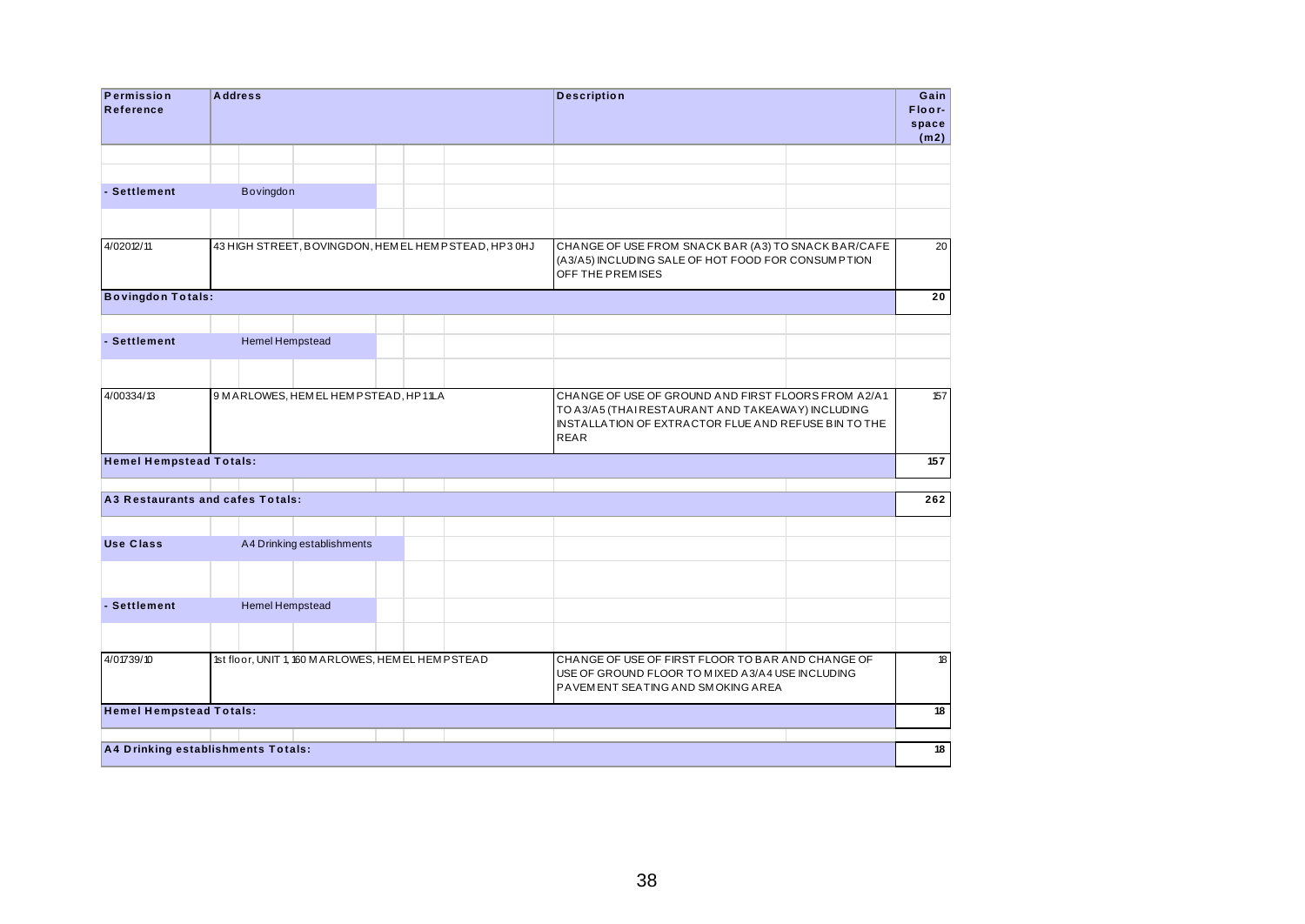| Permission<br>Reference            | <b>Address</b>                                                                                                                                                                                                         |                            |  |  |                                                     | <b>Description</b>                                                                                                            |  | Gain<br>Floor-<br>space<br>(m2) |  |  |
|------------------------------------|------------------------------------------------------------------------------------------------------------------------------------------------------------------------------------------------------------------------|----------------------------|--|--|-----------------------------------------------------|-------------------------------------------------------------------------------------------------------------------------------|--|---------------------------------|--|--|
|                                    |                                                                                                                                                                                                                        |                            |  |  |                                                     |                                                                                                                               |  |                                 |  |  |
| - Settlement                       |                                                                                                                                                                                                                        | Bovingdon                  |  |  |                                                     |                                                                                                                               |  |                                 |  |  |
|                                    |                                                                                                                                                                                                                        |                            |  |  |                                                     |                                                                                                                               |  |                                 |  |  |
| 4/02012/11                         |                                                                                                                                                                                                                        |                            |  |  | 43 HIGH STREET, BOVINGDON, HEMEL HEMPSTEAD, HP3 0HJ | CHANGE OF USE FROM SNACK BAR (A3) TO SNACK BAR/CAFE<br>(A3/A5) INCLUDING SALE OF HOT FOOD FOR CONSUMPTION<br>OFF THE PREMISES |  | 20                              |  |  |
| <b>Bovingdon Totals:</b>           |                                                                                                                                                                                                                        |                            |  |  |                                                     |                                                                                                                               |  | 20                              |  |  |
|                                    |                                                                                                                                                                                                                        |                            |  |  |                                                     |                                                                                                                               |  |                                 |  |  |
| - Settlement                       |                                                                                                                                                                                                                        | <b>Hemel Hempstead</b>     |  |  |                                                     |                                                                                                                               |  |                                 |  |  |
|                                    |                                                                                                                                                                                                                        |                            |  |  |                                                     |                                                                                                                               |  |                                 |  |  |
| 4/00334/13                         | 9 MARLOWES, HEM EL HEMPSTEAD, HP11LA<br>CHANGE OF USE OF GROUND AND FIRST FLOORS FROM A2/A1<br>TO A3/A5 (THAIRESTAURANT AND TAKEAWAY) INCLUDING<br>INSTALLATION OF EXTRACTOR FLUE AND REFUSE BIN TO THE<br><b>REAR</b> |                            |  |  |                                                     |                                                                                                                               |  |                                 |  |  |
| <b>Hemel Hempstead Totals:</b>     |                                                                                                                                                                                                                        |                            |  |  |                                                     |                                                                                                                               |  | 157                             |  |  |
| A3 Restaurants and cafes Totals:   |                                                                                                                                                                                                                        |                            |  |  |                                                     |                                                                                                                               |  | 262                             |  |  |
|                                    |                                                                                                                                                                                                                        |                            |  |  |                                                     |                                                                                                                               |  |                                 |  |  |
| Use Class                          |                                                                                                                                                                                                                        | A4 Drinking establishments |  |  |                                                     |                                                                                                                               |  |                                 |  |  |
|                                    |                                                                                                                                                                                                                        |                            |  |  |                                                     |                                                                                                                               |  |                                 |  |  |
| - Settlement                       |                                                                                                                                                                                                                        | <b>Hemel Hempstead</b>     |  |  |                                                     |                                                                                                                               |  |                                 |  |  |
|                                    |                                                                                                                                                                                                                        |                            |  |  |                                                     |                                                                                                                               |  |                                 |  |  |
| 4/01739/10                         | 1st floor, UNIT 1, 160 MARLOWES, HEM EL HEM PSTEAD<br>CHANGE OF USE OF FIRST FLOOR TO BAR AND CHANGE OF<br>USE OF GROUND FLOOR TO MIXED A3/A4 USE INCLUDING<br>PAVEMENT SEATING AND SMOKING AREA                       |                            |  |  |                                                     |                                                                                                                               |  |                                 |  |  |
| <b>Hemel Hempstead Totals:</b>     |                                                                                                                                                                                                                        |                            |  |  |                                                     |                                                                                                                               |  | 18                              |  |  |
|                                    |                                                                                                                                                                                                                        |                            |  |  |                                                     |                                                                                                                               |  |                                 |  |  |
| A4 Drinking establishments Totals: |                                                                                                                                                                                                                        |                            |  |  |                                                     |                                                                                                                               |  | 18                              |  |  |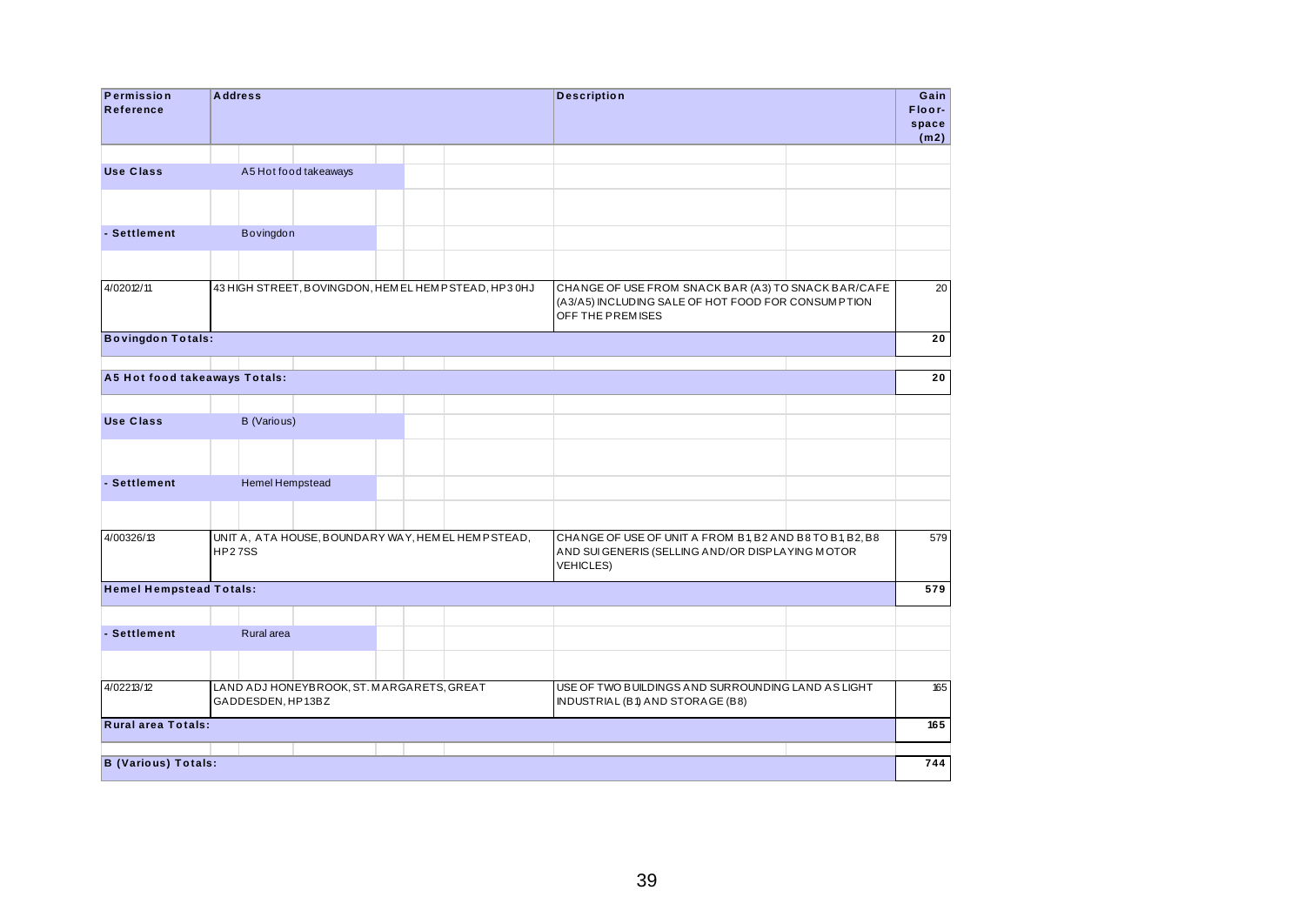| Permission                     | <b>Address</b>                |                                           |                                                     | <b>Description</b>                                                   |                                                                                                            | Gain            |
|--------------------------------|-------------------------------|-------------------------------------------|-----------------------------------------------------|----------------------------------------------------------------------|------------------------------------------------------------------------------------------------------------|-----------------|
| Reference                      |                               |                                           |                                                     |                                                                      |                                                                                                            | Floor-<br>space |
|                                |                               |                                           |                                                     |                                                                      |                                                                                                            | (m2)            |
| <b>Use Class</b>               |                               | A5 Hot food takeaways                     |                                                     |                                                                      |                                                                                                            |                 |
|                                |                               |                                           |                                                     |                                                                      |                                                                                                            |                 |
| - Settlement                   | Bovingdon                     |                                           |                                                     |                                                                      |                                                                                                            |                 |
|                                |                               |                                           |                                                     |                                                                      |                                                                                                            |                 |
| 4/02012/11                     |                               |                                           | 43 HIGH STREET, BOVINGDON, HEMEL HEMPSTEAD, HP3 0HJ | OFF THE PREMISES                                                     | CHANGE OF USE FROM SNACK BAR (A3) TO SNACK BAR/CAFE<br>(A3/A5) INCLUDING SALE OF HOT FOOD FOR CONSUM PTION | 20              |
| <b>Bovingdon Totals:</b>       |                               |                                           |                                                     |                                                                      |                                                                                                            | 20              |
|                                |                               |                                           |                                                     |                                                                      |                                                                                                            |                 |
|                                | A5 Hot food takeaways Totals: |                                           |                                                     |                                                                      |                                                                                                            | 20              |
| <b>Use Class</b>               | B (Various)                   |                                           |                                                     |                                                                      |                                                                                                            |                 |
|                                |                               |                                           |                                                     |                                                                      |                                                                                                            |                 |
| - Settlement                   | <b>Hemel Hempstead</b>        |                                           |                                                     |                                                                      |                                                                                                            |                 |
|                                |                               |                                           |                                                     |                                                                      |                                                                                                            |                 |
| 4/00326/13                     | <b>HP27SS</b>                 |                                           | UNIT A, ATA HOUSE, BOUNDARY WAY, HEMEL HEMPSTEAD,   | AND SUI GENERIS (SELLING AND/OR DISPLAYING MOTOR<br><b>VEHICLES)</b> | CHANGE OF USE OF UNIT A FROM B1, B2 AND B8 TO B1, B2, B8                                                   | 579             |
| <b>Hemel Hempstead Totals:</b> |                               |                                           |                                                     |                                                                      |                                                                                                            | 579             |
|                                |                               |                                           |                                                     |                                                                      |                                                                                                            |                 |
| - Settlement                   | Rural area                    |                                           |                                                     |                                                                      |                                                                                                            |                 |
| 4/02213/12                     |                               |                                           |                                                     |                                                                      |                                                                                                            |                 |
|                                | GADDESDEN, HP13BZ             | LAND ADJ HONEYBROOK, ST. MARGARETS, GREAT |                                                     | INDUSTRIAL (B1) AND STORAGE (B8)                                     | USE OF TWO BUILDINGS AND SURROUNDING LAND AS LIGHT                                                         | 165             |
| <b>Rural area Totals:</b>      |                               |                                           |                                                     |                                                                      |                                                                                                            | 165             |
|                                |                               |                                           |                                                     |                                                                      |                                                                                                            |                 |
| <b>B</b> (Various) Totals:     |                               |                                           |                                                     |                                                                      |                                                                                                            | 744             |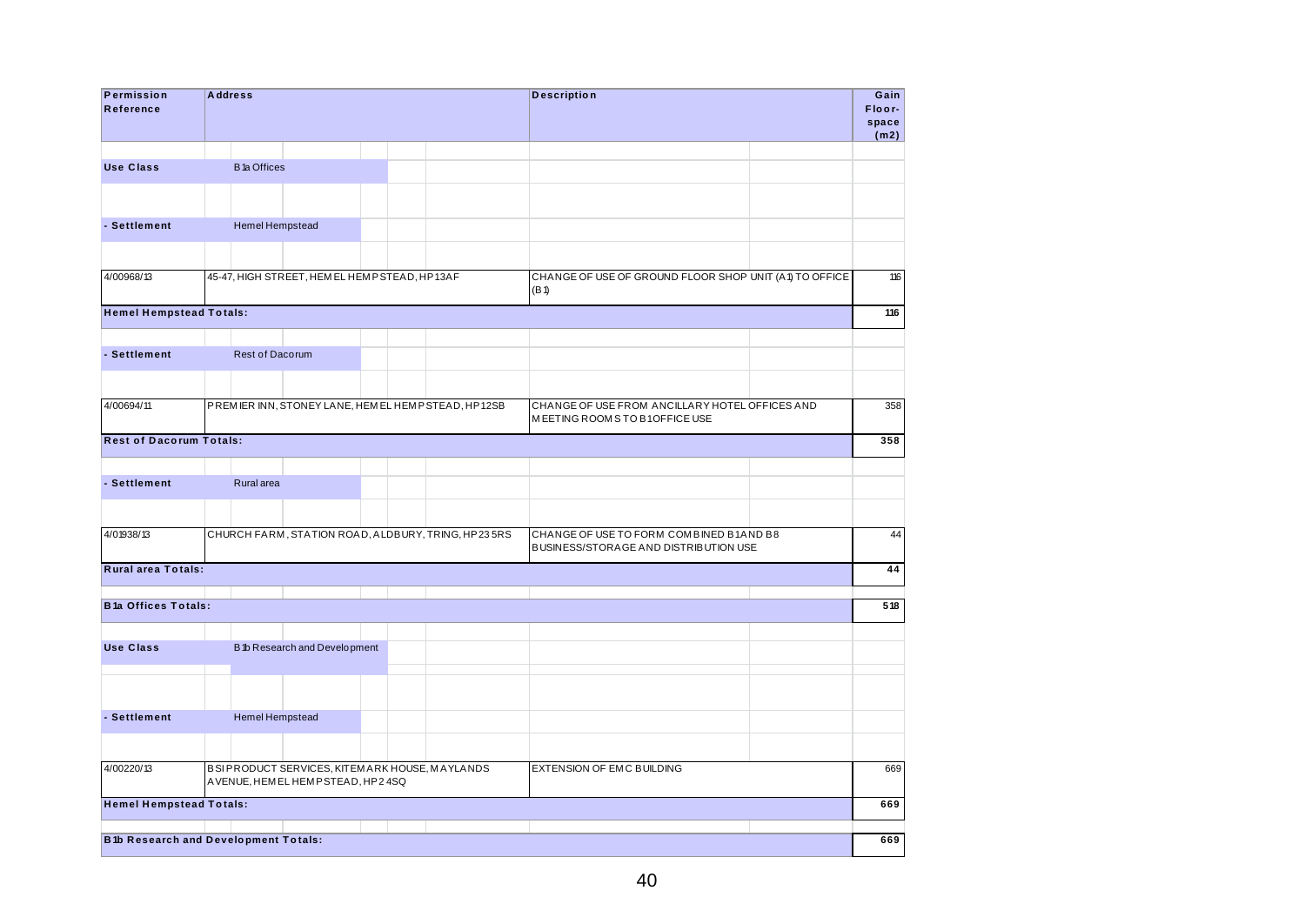| Permission<br><b>Reference</b> | <b>Address</b><br><b>Description</b>                                                                                                   | Gain<br>Floor-<br>space<br>(m2) |
|--------------------------------|----------------------------------------------------------------------------------------------------------------------------------------|---------------------------------|
|                                |                                                                                                                                        |                                 |
| <b>Use Class</b>               | <b>B</b> 1a Offices                                                                                                                    |                                 |
|                                |                                                                                                                                        |                                 |
| - Settlement                   | Hemel Hempstead                                                                                                                        |                                 |
|                                |                                                                                                                                        |                                 |
| 4/00968/13                     | 45-47, HIGH STREET, HEMEL HEMPSTEAD, HP13AF<br>CHANGE OF USE OF GROUND FLOOR SHOP UNIT (A1) TO OFFICE<br>(B <sub>1</sub> )             | 116                             |
| <b>Hemel Hempstead Totals:</b> |                                                                                                                                        | 116                             |
|                                |                                                                                                                                        |                                 |
| - Settlement                   | Rest of Dacorum                                                                                                                        |                                 |
|                                |                                                                                                                                        |                                 |
| 4/00694/11                     | PREMIER INN, STONEY LANE, HEMEL HEMPSTEAD, HP12SB<br>CHANGE OF USE FROM ANCILLARY HOTEL OFFICES AND<br>MEETING ROOMS TO B1OFFICE USE   | 358                             |
| <b>Rest of Dacorum Totals:</b> |                                                                                                                                        | 358                             |
|                                |                                                                                                                                        |                                 |
| - Settlement                   | Rural area                                                                                                                             |                                 |
|                                |                                                                                                                                        |                                 |
| 4/01938/13                     | CHURCH FARM, STATION ROAD, ALDBURY, TRING, HP235RS<br>CHANGE OF USE TO FORM COMBINED B1AND B8<br>BUSINESS/STORAGE AND DISTRIBUTION USE | 44                              |
| Rural area Totals:             |                                                                                                                                        | 44                              |
|                                |                                                                                                                                        |                                 |
| <b>B1a Offices Totals:</b>     |                                                                                                                                        | 518                             |
| <b>Use Class</b>               |                                                                                                                                        |                                 |
|                                | B 1b Research and Development                                                                                                          |                                 |
|                                |                                                                                                                                        |                                 |
|                                |                                                                                                                                        |                                 |
| - Settlement                   | Hemel Hempstead                                                                                                                        |                                 |
|                                |                                                                                                                                        |                                 |
| 4/00220/13                     | BSIPRODUCT SERVICES, KITEMARK HOUSE, MAYLANDS<br><b>EXTENSION OF EMC BUILDING</b><br>A VENUE, HEM EL HEM PSTEAD, HP2 4SQ               | 669                             |
| <b>Hemel Hempstead Totals:</b> |                                                                                                                                        | 669                             |
|                                |                                                                                                                                        |                                 |
|                                | <b>B1b Research and Development Totals:</b>                                                                                            | 669                             |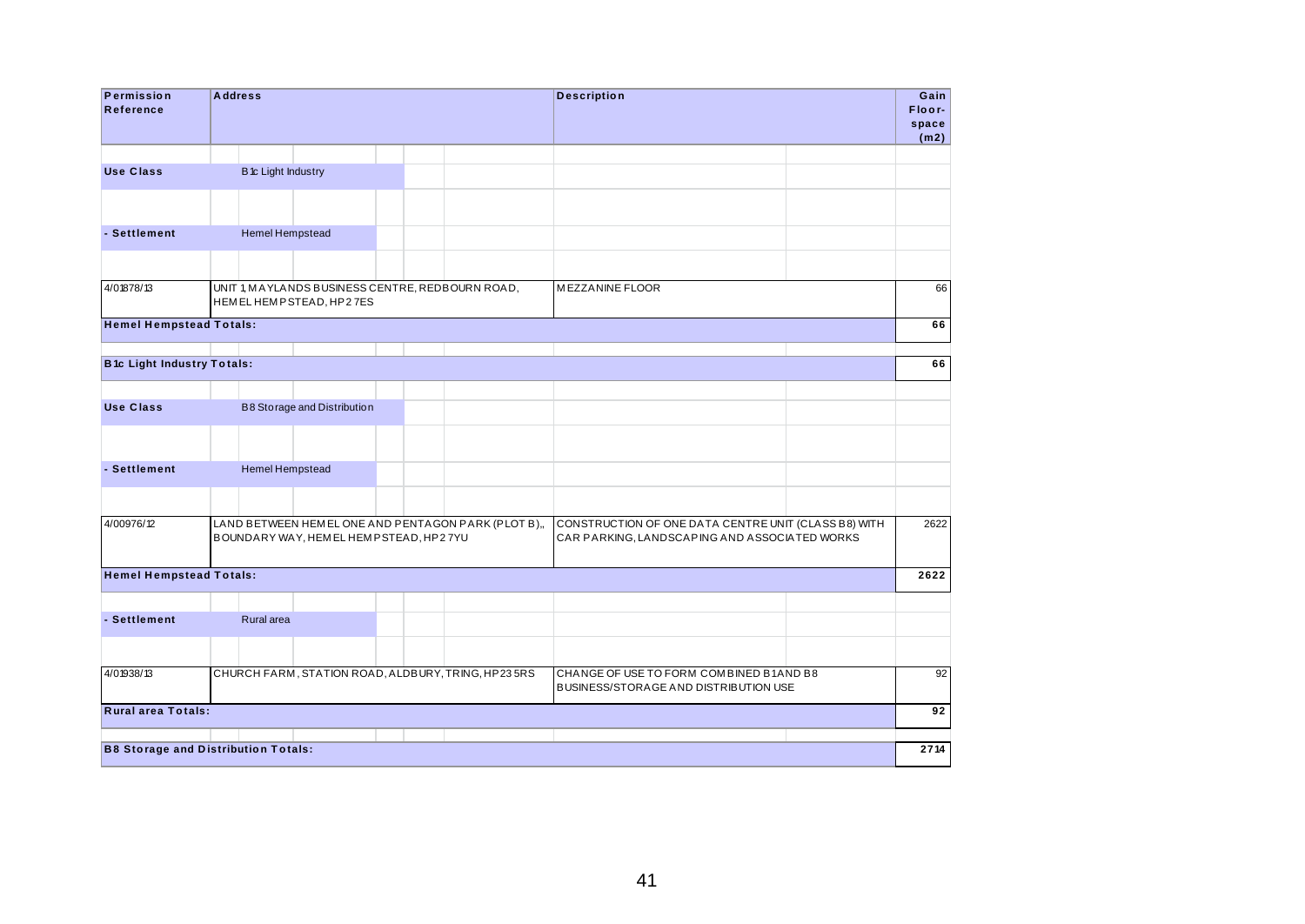| Permission                                 | <b>Address</b>         |                                       |  |                                                     | <b>Description</b>     |                                         |                                                                                                       | Gain                    |
|--------------------------------------------|------------------------|---------------------------------------|--|-----------------------------------------------------|------------------------|-----------------------------------------|-------------------------------------------------------------------------------------------------------|-------------------------|
| Reference                                  |                        |                                       |  |                                                     |                        |                                         |                                                                                                       | Floor-<br>space<br>(m2) |
| <b>Use Class</b>                           | B 1c Light Industry    |                                       |  |                                                     |                        |                                         |                                                                                                       |                         |
|                                            |                        |                                       |  |                                                     |                        |                                         |                                                                                                       |                         |
| - Settlement                               | <b>Hemel Hempstead</b> |                                       |  |                                                     |                        |                                         |                                                                                                       |                         |
|                                            |                        |                                       |  |                                                     |                        |                                         |                                                                                                       |                         |
| 4/01878/13                                 |                        | HEMEL HEMPSTEAD, HP27ES               |  | UNIT 1, MAYLANDS BUSINESS CENTRE, REDBOURN ROAD,    | <b>MEZZANINE FLOOR</b> |                                         |                                                                                                       | 66                      |
| <b>Hemel Hempstead Totals:</b>             |                        |                                       |  |                                                     |                        |                                         |                                                                                                       | 66                      |
| <b>B</b> 1c Light Industry Totals:         |                        |                                       |  |                                                     |                        |                                         |                                                                                                       | 66                      |
|                                            |                        |                                       |  |                                                     |                        |                                         |                                                                                                       |                         |
| <b>Use Class</b>                           |                        | <b>B8 Storage and Distribution</b>    |  |                                                     |                        |                                         |                                                                                                       |                         |
|                                            |                        |                                       |  |                                                     |                        |                                         |                                                                                                       |                         |
| - Settlement                               | <b>Hemel Hempstead</b> |                                       |  |                                                     |                        |                                         |                                                                                                       |                         |
|                                            |                        |                                       |  |                                                     |                        |                                         |                                                                                                       |                         |
| 4/00976/12                                 |                        | BOUNDARY WAY, HEMEL HEMPSTEAD, HP27YU |  | LAND BETWEEN HEMEL ONE AND PENTAGON PARK (PLOT B),, |                        |                                         | CONSTRUCTION OF ONE DATA CENTRE UNIT (CLASS B8) WITH<br>CAR PARKING, LANDSCAPING AND ASSOCIATED WORKS | 2622                    |
| <b>Hemel Hempstead Totals:</b>             |                        |                                       |  |                                                     |                        |                                         |                                                                                                       | 2622                    |
|                                            |                        |                                       |  |                                                     |                        |                                         |                                                                                                       |                         |
| - Settlement                               | Rural area             |                                       |  |                                                     |                        |                                         |                                                                                                       |                         |
| 4/01938/13                                 |                        |                                       |  | CHURCH FARM, STATION ROAD, ALDBURY, TRING, HP235RS  |                        | CHANGE OF USE TO FORM COMBINED B1AND B8 |                                                                                                       | 92                      |
|                                            |                        |                                       |  |                                                     |                        | BUSINESS/STORAGE AND DISTRIBUTION USE   |                                                                                                       |                         |
| <b>Rural area Totals:</b>                  |                        |                                       |  |                                                     |                        |                                         |                                                                                                       | 92                      |
|                                            |                        |                                       |  |                                                     |                        |                                         |                                                                                                       |                         |
| <b>B8 Storage and Distribution Totals:</b> |                        |                                       |  |                                                     |                        |                                         |                                                                                                       | 2714                    |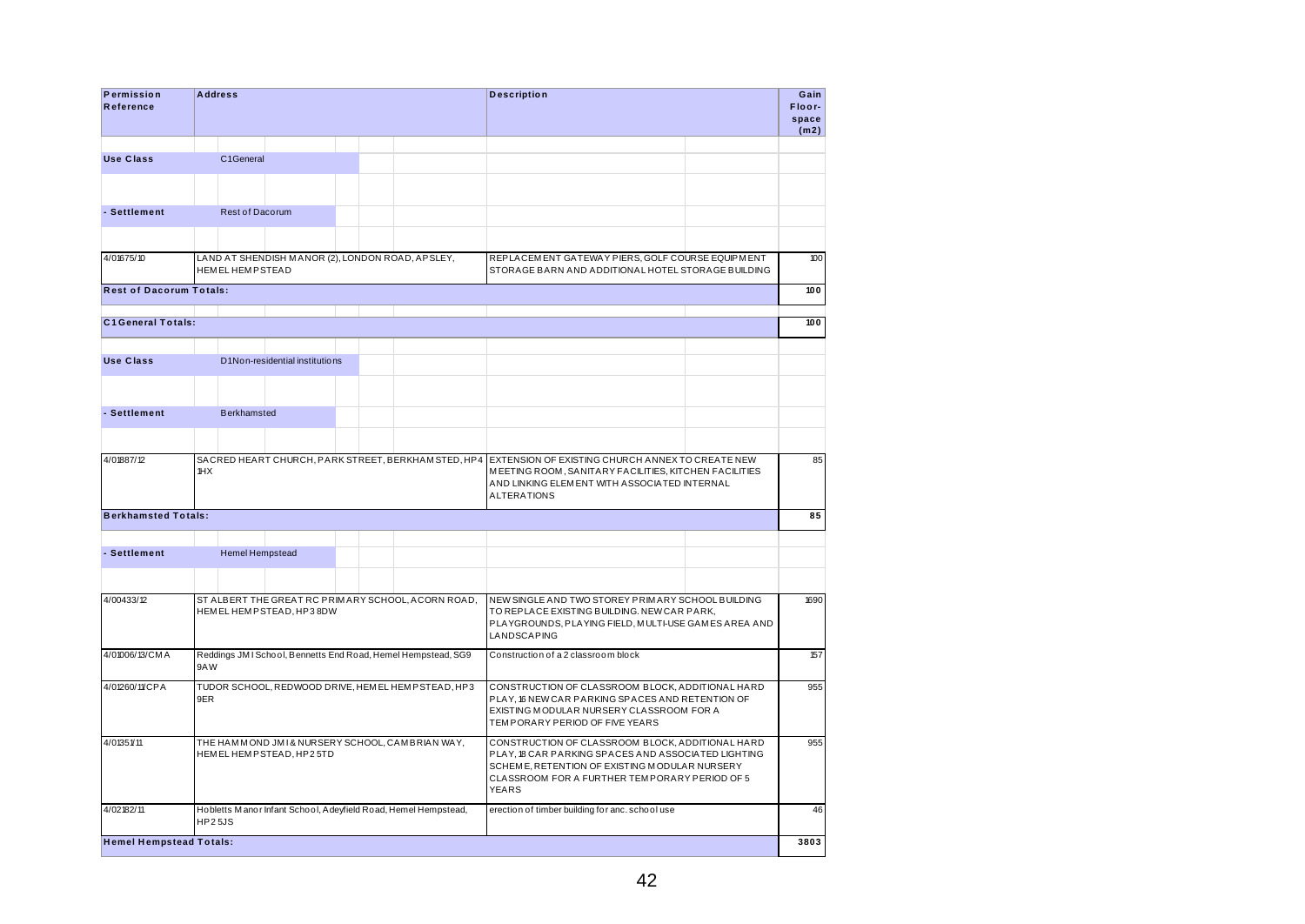| Permission<br>Reference        | <b>Address</b>         |                                |  |                                                                | <b>Description</b>                                                                                                                                                                                                                  |  | Gain<br>Floor-<br>space<br>(m2) |
|--------------------------------|------------------------|--------------------------------|--|----------------------------------------------------------------|-------------------------------------------------------------------------------------------------------------------------------------------------------------------------------------------------------------------------------------|--|---------------------------------|
| <b>Use Class</b>               | C1General              |                                |  |                                                                |                                                                                                                                                                                                                                     |  |                                 |
|                                |                        |                                |  |                                                                |                                                                                                                                                                                                                                     |  |                                 |
| - Settlement                   | Rest of Dacorum        |                                |  |                                                                |                                                                                                                                                                                                                                     |  |                                 |
|                                |                        |                                |  |                                                                |                                                                                                                                                                                                                                     |  |                                 |
| 4/01675/10                     | <b>HEMELHEMPSTEAD</b>  |                                |  | LAND AT SHENDISH MANOR (2), LONDON ROAD, APSLEY,               | REPLACEMENT GATEWAY PIERS, GOLF COURSE EQUIPMENT<br>STORAGE BARN AND ADDITIONAL HOTEL STORAGE BUILDING                                                                                                                              |  | 100                             |
| <b>Rest of Dacorum Totals:</b> |                        |                                |  |                                                                |                                                                                                                                                                                                                                     |  | 100                             |
| <b>C1 General Totals:</b>      |                        |                                |  |                                                                |                                                                                                                                                                                                                                     |  | 100                             |
|                                |                        |                                |  |                                                                |                                                                                                                                                                                                                                     |  |                                 |
| <b>Use Class</b>               |                        | D1Non-residential institutions |  |                                                                |                                                                                                                                                                                                                                     |  |                                 |
|                                |                        |                                |  |                                                                |                                                                                                                                                                                                                                     |  |                                 |
| - Settlement                   | <b>Berkhamsted</b>     |                                |  |                                                                |                                                                                                                                                                                                                                     |  |                                 |
|                                |                        |                                |  |                                                                |                                                                                                                                                                                                                                     |  |                                 |
| 4/01887/12                     | 1HX                    |                                |  |                                                                | SACRED HEART CHURCH, PARK STREET, BERKHAM STED, HP4 EXTENSION OF EXISTING CHURCH ANNEX TO CREATE NEW<br>MEETING ROOM, SANITARY FACILITIES, KITCHEN FACILITIES<br>AND LINKING ELEMENT WITH ASSOCIATED INTERNAL<br><b>ALTERATIONS</b> |  | 85                              |
| <b>Berkhamsted Totals:</b>     |                        |                                |  |                                                                |                                                                                                                                                                                                                                     |  | 85                              |
|                                |                        |                                |  |                                                                |                                                                                                                                                                                                                                     |  |                                 |
| - Settlement                   | <b>Hemel Hempstead</b> |                                |  |                                                                |                                                                                                                                                                                                                                     |  |                                 |
| 4/00433/12                     |                        |                                |  | ST ALBERT THE GREAT RC PRIMARY SCHOOL, ACORN ROAD,             | NEW SINGLE AND TWO STOREY PRIMARY SCHOOL BUILDING                                                                                                                                                                                   |  | 1690                            |
|                                |                        | HEMEL HEMPSTEAD, HP38DW        |  |                                                                | TO REPLACE EXISTING BUILDING. NEW CAR PARK,<br>PLAYGROUNDS, PLAYING FIELD, MULTI-USE GAMES AREA AND<br>LANDSCAPING                                                                                                                  |  |                                 |
| 4/01006/13/CMA                 | 9AW                    |                                |  | Reddings JM1School, Bennetts End Road, Hemel Hempstead, SG9    | Construction of a 2 classroom block                                                                                                                                                                                                 |  | 157                             |
| 4/01260/11/CPA                 | 9ER                    |                                |  | TUDOR SCHOOL, REDWOOD DRIVE, HEMEL HEMPSTEAD, HP3              | CONSTRUCTION OF CLASSROOM BLOCK, ADDITIONAL HARD<br>PLAY, 16 NEW CAR PARKING SPACES AND RETENTION OF<br>EXISTING MODULAR NURSERY CLASSROOM FOR A<br>TEMPORARY PERIOD OF FIVE YEARS                                                  |  | 955                             |
| 4/01351/11                     |                        | HEMEL HEMPSTEAD, HP25TD        |  | THE HAMMOND JMI & NURSERY SCHOOL, CAMBRIAN WAY,                | CONSTRUCTION OF CLASSROOM BLOCK, ADDITIONAL HARD<br>PLAY, 18 CAR PARKING SPACES AND ASSOCIATED LIGHTING<br>SCHEME, RETENTION OF EXISTING MODULAR NURSERY<br>CLASSROOM FOR A FURTHER TEMPORARY PERIOD OF 5<br>YEARS                  |  |                                 |
| 4/02182/11                     | HP25JS                 |                                |  | Hobletts Manor Infant School, Adeyfield Road, Hemel Hempstead, | erection of timber building for anc. school use                                                                                                                                                                                     |  | 46                              |
|                                |                        |                                |  |                                                                |                                                                                                                                                                                                                                     |  |                                 |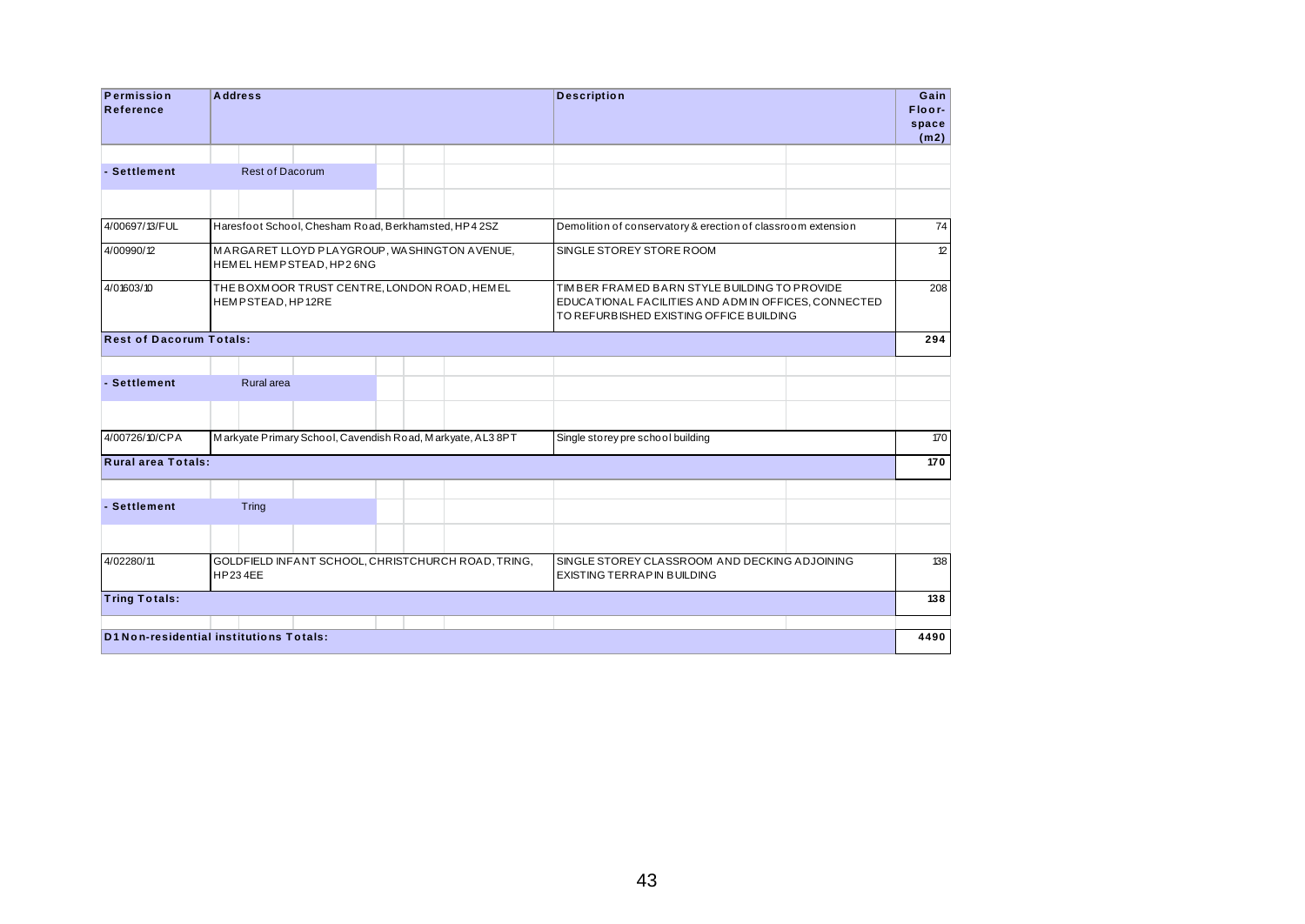| Permission<br>Reference        | <b>Address</b>                                                                                                                                             |                                                      |  |  |                                                            | <b>Description</b>                                                                      | Gain<br>Floor-<br>space<br>(m2)                              |     |  |  |
|--------------------------------|------------------------------------------------------------------------------------------------------------------------------------------------------------|------------------------------------------------------|--|--|------------------------------------------------------------|-----------------------------------------------------------------------------------------|--------------------------------------------------------------|-----|--|--|
| - Settlement                   | Rest of Dacorum                                                                                                                                            |                                                      |  |  |                                                            |                                                                                         |                                                              |     |  |  |
| 4/00697/13/FUL                 |                                                                                                                                                            | Haresfoot School, Chesham Road, Berkhamsted, HP4 2SZ |  |  |                                                            |                                                                                         | Demolition of conservatory & erection of classroom extension | 74  |  |  |
| 4/00990/12                     |                                                                                                                                                            | HEMEL HEMPSTEAD, HP26NG                              |  |  | MARGARET LLOYD PLAYGROUP, WASHINGTON AVENUE,               | SINGLE STOREY STORE ROOM                                                                |                                                              | 12  |  |  |
| 4/01603/10                     | HEMPSTEAD, HP12RE                                                                                                                                          | THE BOXMOOR TRUST CENTRE, LONDON ROAD, HEMEL         |  |  |                                                            | TIMBER FRAMED BARN STYLE BUILDING TO PROVIDE<br>TO REFURBISHED EXISTING OFFICE BUILDING | EDUCATIONAL FACILITIES AND ADM IN OFFICES, CONNECTED         | 208 |  |  |
| <b>Rest of Dacorum Totals:</b> |                                                                                                                                                            |                                                      |  |  |                                                            |                                                                                         |                                                              | 294 |  |  |
| - Settlement                   | Rural area                                                                                                                                                 |                                                      |  |  |                                                            |                                                                                         |                                                              |     |  |  |
| 4/00726/10/CPA                 |                                                                                                                                                            |                                                      |  |  | Markyate Primary School, Cavendish Road, Markyate, AL3 8PT | Single storey pre school building                                                       |                                                              | 170 |  |  |
| <b>Rural area Totals:</b>      |                                                                                                                                                            |                                                      |  |  |                                                            |                                                                                         |                                                              | 170 |  |  |
| - Settlement                   | Tring                                                                                                                                                      |                                                      |  |  |                                                            |                                                                                         |                                                              |     |  |  |
| 4/02280/11                     | GOLDFIELD INFANT SCHOOL, CHRISTCHURCH ROAD, TRING,<br>SINGLE STOREY CLASSROOM AND DECKING ADJOINING<br><b>HP234EE</b><br><b>EXISTING TERRAPIN BUILDING</b> |                                                      |  |  |                                                            |                                                                                         |                                                              |     |  |  |
| <b>Tring Totals:</b>           |                                                                                                                                                            |                                                      |  |  |                                                            |                                                                                         |                                                              | 138 |  |  |
|                                |                                                                                                                                                            |                                                      |  |  |                                                            |                                                                                         |                                                              |     |  |  |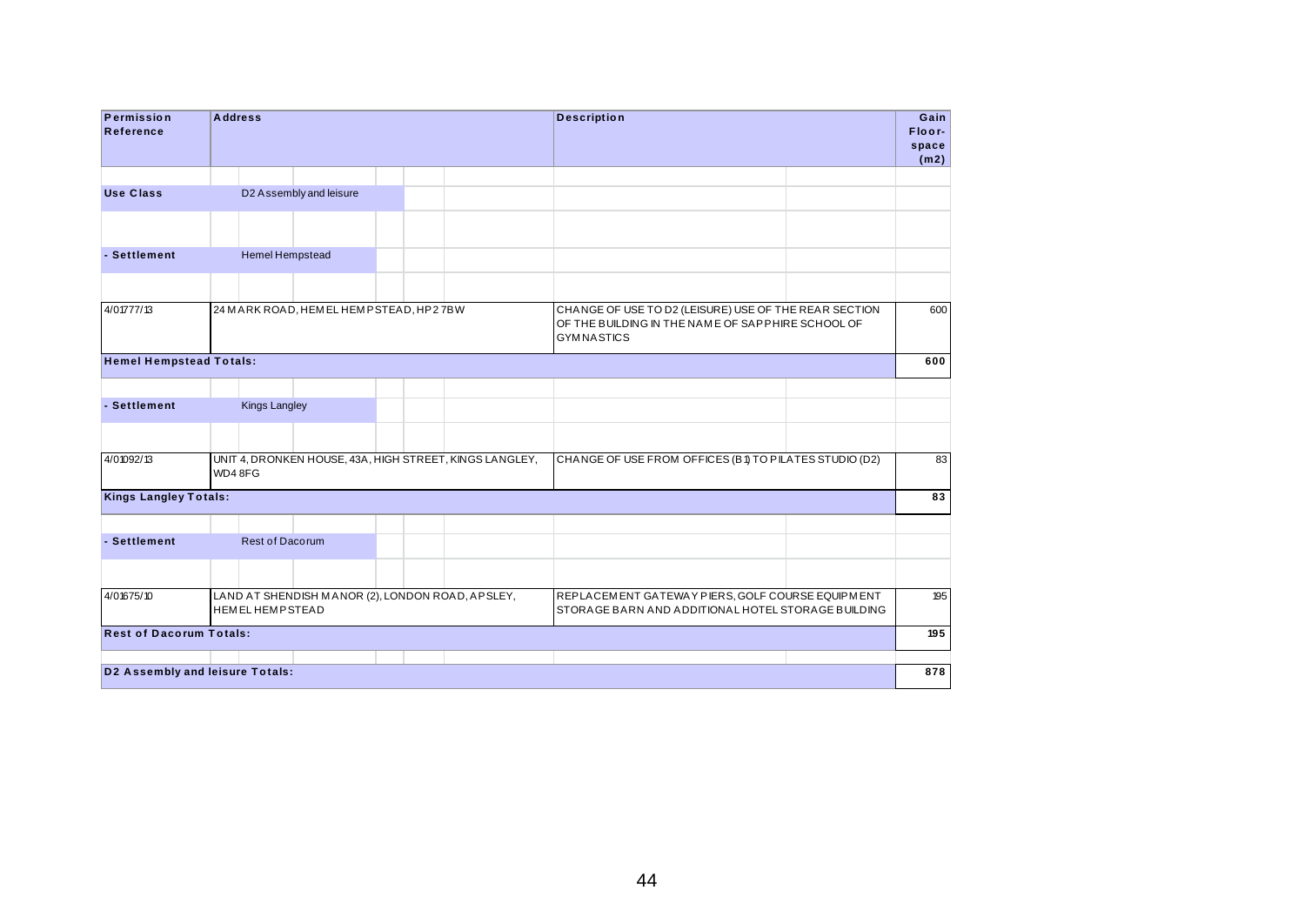| Permission<br>Reference         |                                                                                                                                                                                     | <b>Address</b>         |                                        |  |  |                                                         | <b>Description</b>                                                                                                              |  |  |     |  |
|---------------------------------|-------------------------------------------------------------------------------------------------------------------------------------------------------------------------------------|------------------------|----------------------------------------|--|--|---------------------------------------------------------|---------------------------------------------------------------------------------------------------------------------------------|--|--|-----|--|
|                                 |                                                                                                                                                                                     |                        |                                        |  |  |                                                         |                                                                                                                                 |  |  |     |  |
| <b>Use Class</b>                |                                                                                                                                                                                     |                        | D2 Assembly and leisure                |  |  |                                                         |                                                                                                                                 |  |  |     |  |
|                                 |                                                                                                                                                                                     |                        |                                        |  |  |                                                         |                                                                                                                                 |  |  |     |  |
| - Settlement                    |                                                                                                                                                                                     | Hemel Hempstead        |                                        |  |  |                                                         |                                                                                                                                 |  |  |     |  |
|                                 |                                                                                                                                                                                     |                        |                                        |  |  |                                                         |                                                                                                                                 |  |  |     |  |
| 4/01777/13                      |                                                                                                                                                                                     |                        | 24 MARK ROAD, HEMEL HEMPSTEAD, HP2 7BW |  |  |                                                         | CHANGE OF USE TO D2 (LEISURE) USE OF THE REAR SECTION<br>OF THE BUILDING IN THE NAME OF SAPPHIRE SCHOOL OF<br><b>GYMNASTICS</b> |  |  | 600 |  |
| <b>Hemel Hempstead Totals:</b>  |                                                                                                                                                                                     |                        |                                        |  |  |                                                         |                                                                                                                                 |  |  | 600 |  |
|                                 |                                                                                                                                                                                     |                        |                                        |  |  |                                                         |                                                                                                                                 |  |  |     |  |
| - Settlement                    |                                                                                                                                                                                     | <b>Kings Langley</b>   |                                        |  |  |                                                         |                                                                                                                                 |  |  |     |  |
|                                 |                                                                                                                                                                                     |                        |                                        |  |  |                                                         |                                                                                                                                 |  |  |     |  |
| 4/01092/13                      |                                                                                                                                                                                     | WD48FG                 |                                        |  |  | UNIT 4, DRONKEN HOUSE, 43A, HIGH STREET, KINGS LANGLEY, | CHANGE OF USE FROM OFFICES (B1) TO PILATES STUDIO (D2)                                                                          |  |  | 83  |  |
| <b>Kings Langley Totals:</b>    |                                                                                                                                                                                     |                        |                                        |  |  |                                                         |                                                                                                                                 |  |  | 83  |  |
| - Settlement                    |                                                                                                                                                                                     | <b>Rest of Dacorum</b> |                                        |  |  |                                                         |                                                                                                                                 |  |  |     |  |
|                                 |                                                                                                                                                                                     |                        |                                        |  |  |                                                         |                                                                                                                                 |  |  |     |  |
|                                 |                                                                                                                                                                                     |                        |                                        |  |  |                                                         |                                                                                                                                 |  |  |     |  |
| 4/01675/10                      | LAND AT SHENDISH MANOR (2), LONDON ROAD, APSLEY,<br>REPLACEMENT GATEWAY PIERS, GOLF COURSE EQUIPMENT<br><b>HEMELHEMPSTEAD</b><br>STORAGE BARN AND ADDITIONAL HOTEL STORAGE BUILDING |                        |                                        |  |  |                                                         |                                                                                                                                 |  |  | 195 |  |
| <b>Rest of Dacorum Totals:</b>  |                                                                                                                                                                                     |                        |                                        |  |  |                                                         |                                                                                                                                 |  |  | 195 |  |
|                                 |                                                                                                                                                                                     |                        |                                        |  |  |                                                         |                                                                                                                                 |  |  |     |  |
| D2 Assembly and leisure Totals: |                                                                                                                                                                                     |                        |                                        |  |  |                                                         |                                                                                                                                 |  |  | 878 |  |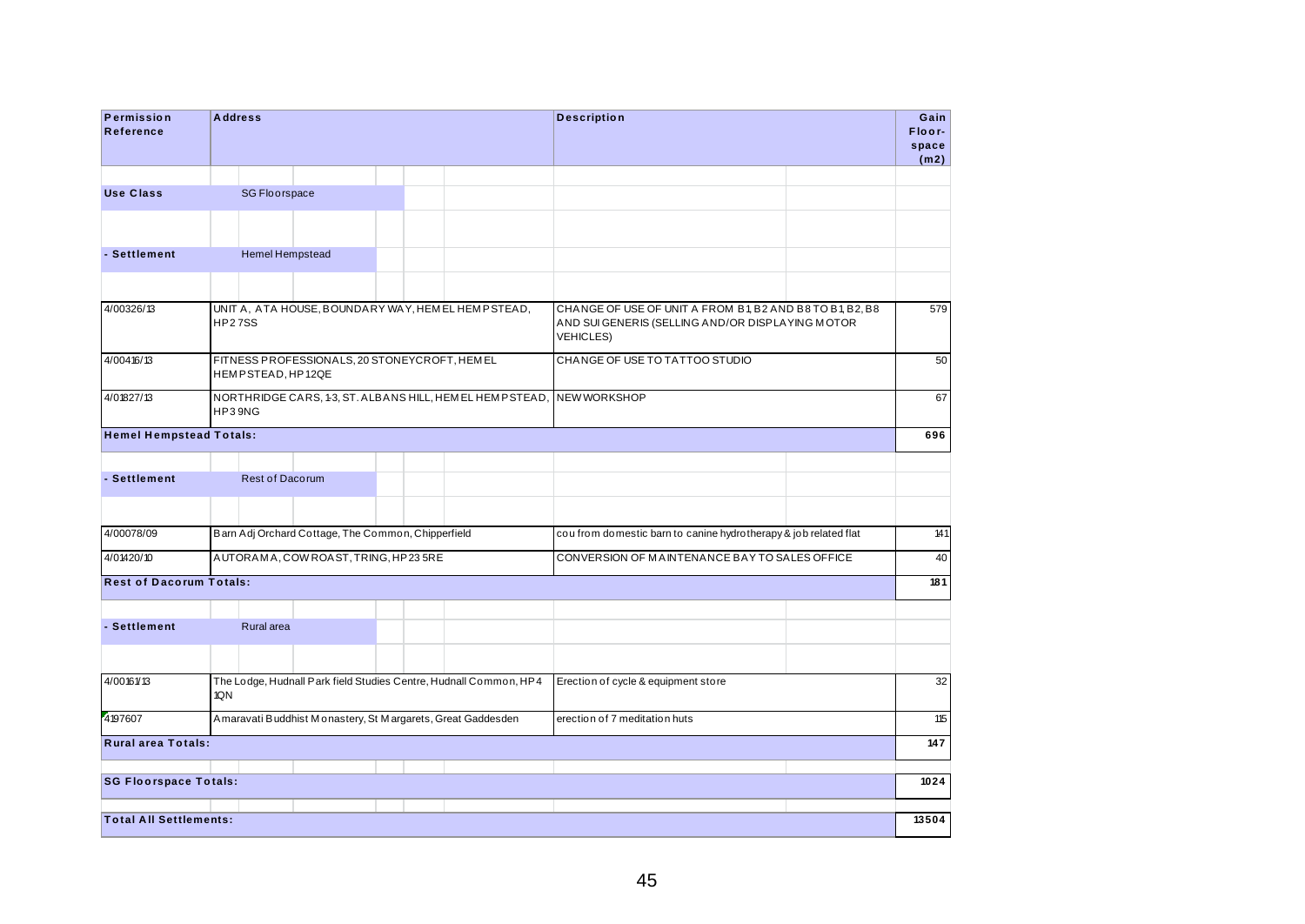| Permission<br>Reference        | <b>Address</b>         |                                                             |  |                                                                        | <b>Description</b>                                                                                                              |  | Gain<br>Floor-<br>space<br>(m2) |
|--------------------------------|------------------------|-------------------------------------------------------------|--|------------------------------------------------------------------------|---------------------------------------------------------------------------------------------------------------------------------|--|---------------------------------|
| <b>Use Class</b>               | <b>SG Floorspace</b>   |                                                             |  |                                                                        |                                                                                                                                 |  |                                 |
|                                |                        |                                                             |  |                                                                        |                                                                                                                                 |  |                                 |
| - Settlement                   |                        | <b>Hemel Hempstead</b>                                      |  |                                                                        |                                                                                                                                 |  |                                 |
|                                |                        |                                                             |  |                                                                        |                                                                                                                                 |  |                                 |
| 4/00326/13                     | <b>HP27SS</b>          |                                                             |  | UNIT A, ATA HOUSE, BOUNDARY WAY, HEM EL HEM PSTEAD,                    | CHANGE OF USE OF UNIT A FROM B1, B2 AND B8 TO B1, B2, B8<br>AND SUIGENERIS (SELLING AND/OR DISPLAYING MOTOR<br><b>VEHICLES)</b> |  | 579                             |
| 4/00416/13                     | HEMPSTEAD, HP12QE      | FITNESS PROFESSIONALS, 20 STONEYCROFT, HEMEL                |  |                                                                        | CHANGE OF USE TO TATTOO STUDIO                                                                                                  |  | 50                              |
| 4/01827/13                     | HP39NG                 |                                                             |  | NORTHRIDGE CARS, 1-3, ST. ALBANS HILL, HEM EL HEM PSTEAD, NEW WORKSHOP |                                                                                                                                 |  | 67                              |
| <b>Hemel Hempstead Totals:</b> |                        |                                                             |  |                                                                        |                                                                                                                                 |  | 696                             |
| - Settlement                   | <b>Rest of Dacorum</b> |                                                             |  |                                                                        |                                                                                                                                 |  |                                 |
|                                |                        |                                                             |  |                                                                        |                                                                                                                                 |  |                                 |
| 4/00078/09                     |                        | Barn Adj Orchard Cottage, The Common, Chipperfield          |  |                                                                        | cou from domestic barn to canine hydrotherapy & job related flat                                                                |  | 141                             |
| 4/01420/10                     |                        | AUTORAMA, COW ROAST, TRING, HP23 5RE                        |  |                                                                        | CONVERSION OF MAINTENANCE BAY TO SALES OFFICE                                                                                   |  |                                 |
| <b>Rest of Dacorum Totals:</b> |                        |                                                             |  |                                                                        |                                                                                                                                 |  | 181                             |
|                                |                        |                                                             |  |                                                                        |                                                                                                                                 |  |                                 |
| - Settlement                   | Rural area             |                                                             |  |                                                                        |                                                                                                                                 |  |                                 |
| 4/00161/13                     |                        |                                                             |  | The Lodge, Hudnall Park field Studies Centre, Hudnall Common, HP4      | Erection of cycle & equipment store                                                                                             |  | 32                              |
|                                | 1QN                    |                                                             |  |                                                                        |                                                                                                                                 |  |                                 |
| 4197607                        |                        | Amaravati Buddhist Monastery, St Margarets, Great Gaddesden |  |                                                                        | erection of 7 meditation huts                                                                                                   |  | 115                             |
| <b>Rural area Totals:</b>      |                        |                                                             |  |                                                                        |                                                                                                                                 |  | 147                             |
| <b>SG Floorspace Totals:</b>   |                        |                                                             |  |                                                                        |                                                                                                                                 |  | 1024                            |
|                                |                        |                                                             |  |                                                                        |                                                                                                                                 |  |                                 |
| <b>Total All Settlements:</b>  |                        |                                                             |  |                                                                        |                                                                                                                                 |  | 13504                           |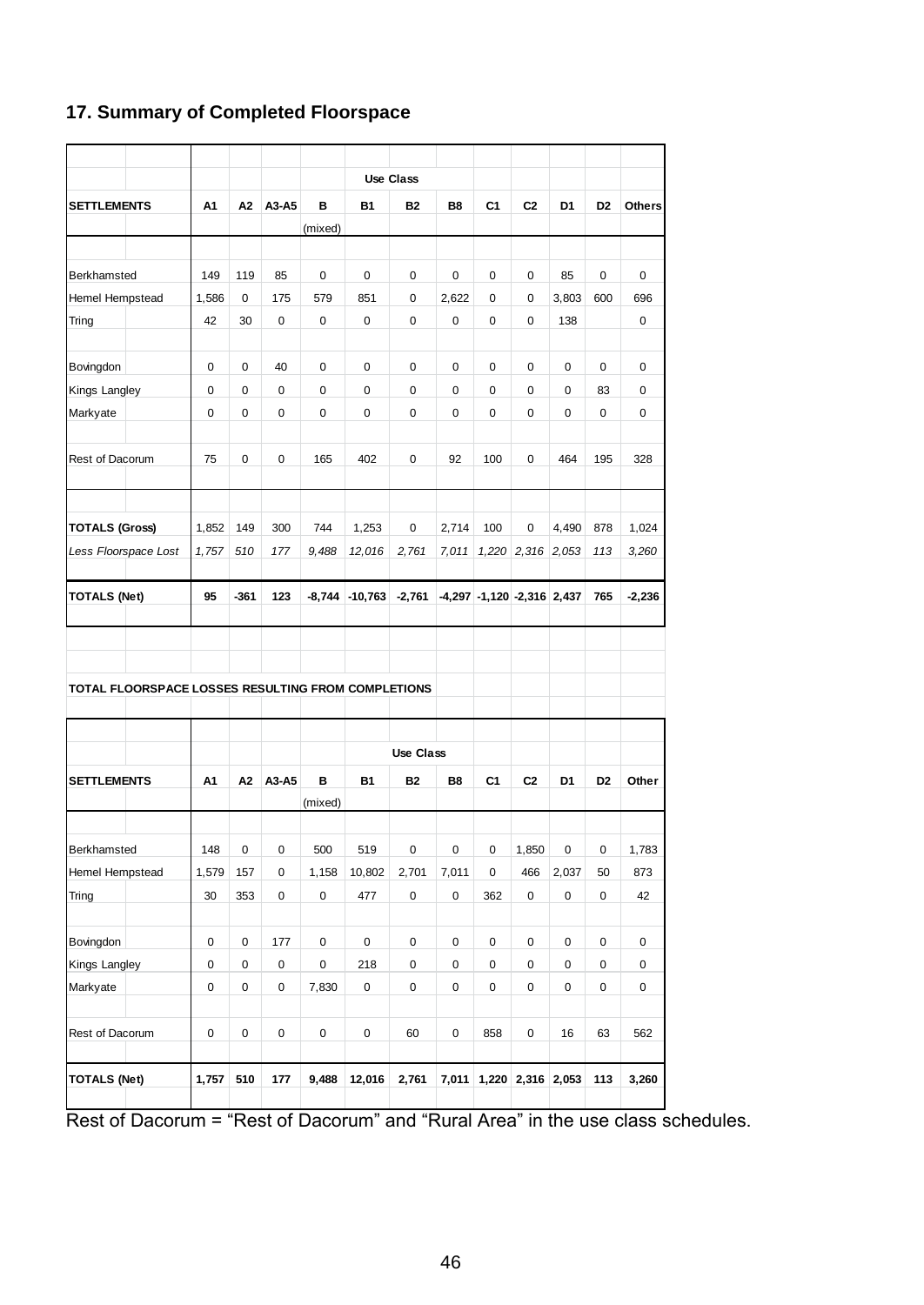# **17. Summary of Completed Floorspace**

|                                                    |       |                |                     |              |             | <b>Use Class</b>   |                |                                  |                     |                |                |               |
|----------------------------------------------------|-------|----------------|---------------------|--------------|-------------|--------------------|----------------|----------------------------------|---------------------|----------------|----------------|---------------|
| <b>SETTLEMENTS</b>                                 | A1    | А2             | A3-A5               | в            | <b>B1</b>   | <b>B2</b>          | <b>B8</b>      | C1                               | C <sub>2</sub>      | D1             | D <sub>2</sub> | <b>Others</b> |
|                                                    |       |                |                     | (mixed)      |             |                    |                |                                  |                     |                |                |               |
|                                                    |       |                |                     |              |             |                    |                |                                  |                     |                |                |               |
| Berkhamsted                                        | 149   | 119            | 85                  | 0            | $\mathbf 0$ | 0                  | $\mathbf 0$    | 0                                | 0                   | 85             | 0              | 0             |
| Hemel Hempstead                                    | 1,586 | 0              | 175                 | 579          | 851         | 0                  | 2,622          | 0                                | 0                   | 3,803          | 600            | 696           |
| Tring                                              | 42    | 30             | 0                   | 0            | 0           | 0                  | 0              | 0                                | 0                   | 138            |                | 0             |
| Bovingdon                                          | 0     | 0              | 40                  | $\mathbf 0$  | 0           | 0                  | 0              | 0                                | 0                   | 0              | 0              | 0             |
| Kings Langley                                      | 0     | 0              | 0                   | $\mathbf 0$  | $\mathbf 0$ | 0                  | 0              | 0                                | 0                   | 0              | 83             | 0             |
| Markyate                                           | 0     | 0              | 0                   | 0            | $\mathbf 0$ | 0                  | 0              | 0                                | 0                   | $\mathbf 0$    | $\mathbf 0$    | 0             |
|                                                    |       |                |                     |              |             |                    |                |                                  |                     |                |                |               |
| Rest of Dacorum                                    | 75    | 0              | 0                   | 165          | 402         | 0                  | 92             | 100                              | 0                   | 464            | 195            | 328           |
|                                                    |       |                |                     |              |             |                    |                |                                  |                     |                |                |               |
| <b>TOTALS (Gross)</b>                              | 1,852 | 149            | 300                 | 744          | 1,253       | 0                  | 2,714          | 100                              | 0                   | 4,490          | 878            | 1,024         |
| Less Floorspace Lost                               | 1,757 | 510            | 177                 | 9,488        | 12,016      | 2,761              | 7,011          |                                  | $1,220$ 2,316 2,053 |                | 113            | 3,260         |
| <b>TOTALS (Net)</b>                                | 95    | $-361$         | 123                 | $-8,744$     |             | $-10,763$ $-2,761$ |                | $-4,297$ $-1,120$ $-2,316$ 2,437 |                     |                | 765            | $-2,236$      |
|                                                    |       |                |                     |              |             |                    |                |                                  |                     |                |                |               |
| TOTAL FLOORSPACE LOSSES RESULTING FROM COMPLETIONS |       |                |                     |              |             |                    |                |                                  |                     |                |                |               |
|                                                    |       |                |                     |              |             |                    |                |                                  |                     |                |                |               |
|                                                    |       |                |                     |              |             | <b>Use Class</b>   |                |                                  |                     |                |                |               |
| <b>SETTLEMENTS</b>                                 | A1    | A <sub>2</sub> | A3-A5               | в<br>(mixed) | <b>B1</b>   | <b>B2</b>          | B <sub>8</sub> | C <sub>1</sub>                   | C <sub>2</sub>      | D <sub>1</sub> | D <sub>2</sub> | Other         |
|                                                    |       |                |                     |              |             |                    |                |                                  |                     |                |                |               |
| Berkhamsted                                        | 148   | $\pmb{0}$      | 0                   | 500          | 519         | $\mathbf 0$        | $\pmb{0}$      | 0                                | 1,850               | $\mathbf 0$    | 0              | 1,783         |
| Hemel Hempstead                                    | 1,579 | 157            | 0                   | 1,158        | 10,802      | 2,701              | 7,011          | 0                                | 466                 | 2,037          | 50             | 873           |
| Tring                                              | 30    | 353            | $\mathsf 0$         | $\mathbf 0$  | 477         | $\mathbf 0$        | $\mathbf 0$    | 362                              | $\pmb{0}$           | $\mathbf 0$    | $\mathsf 0$    | 42            |
| Bovingdon                                          | 0     | $\pmb{0}$      | 177                 | $\mathsf 0$  | $\pmb{0}$   | $\pmb{0}$          | $\pmb{0}$      | $\pmb{0}$                        | $\pmb{0}$           | $\pmb{0}$      | $\pmb{0}$      | 0             |
| Kings Langley                                      | 0     | $\pmb{0}$      | $\pmb{0}$           | $\pmb{0}$    | 218         | 0                  | $\pmb{0}$      | 0                                | 0                   | $\pmb{0}$      | $\pmb{0}$      | 0             |
| Markyate                                           | 0     | $\pmb{0}$      | $\pmb{0}$           | 7,830        | $\pmb{0}$   | 0                  | $\pmb{0}$      | 0                                | 0                   | $\pmb{0}$      | 0              | 0             |
| Rest of Dacorum                                    | 0     | $\mathsf 0$    | $\mathsf{O}\xspace$ | $\pmb{0}$    | $\pmb{0}$   | 60                 | $\pmb{0}$      | 858                              | $\pmb{0}$           | 16             | 63             | 562           |
| <b>TOTALS (Net)</b>                                | 1,757 | 510            | 177                 | 9,488        | 12,016      | 2,761              | 7,011          |                                  | 1,220 2,316         | 2,053          | 113            | 3,260         |

Rest of Dacorum = "Rest of Dacorum" and "Rural Area" in the use class schedules.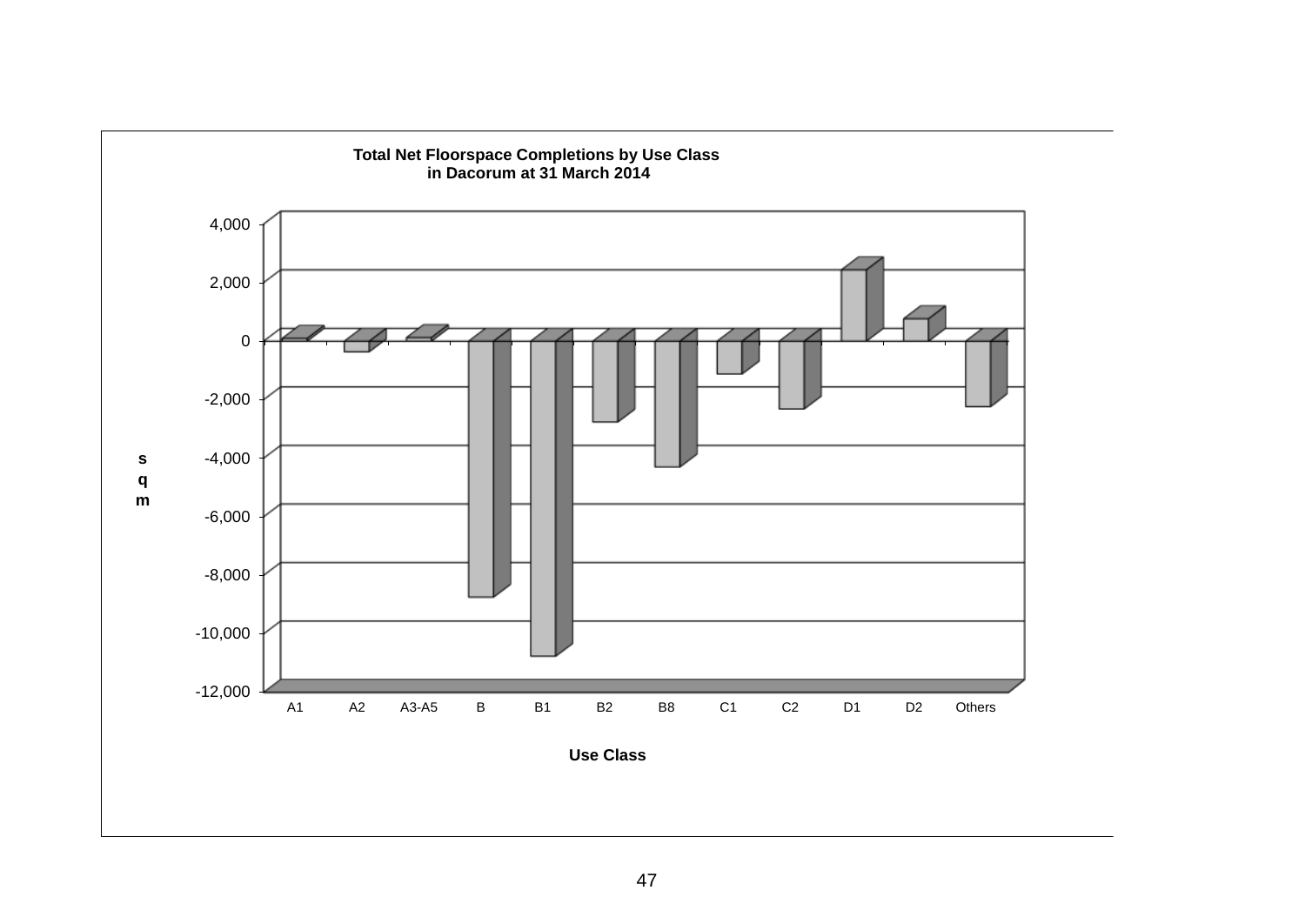